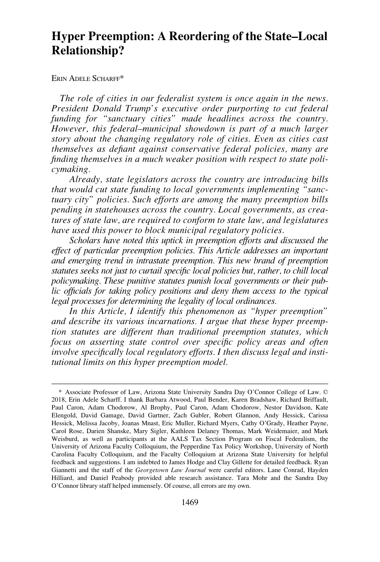# **Hyper Preemption: A Reordering of the State–Local Relationship?**

ERIN ADELE SCHARFF\*

*The role of cities in our federalist system is once again in the news. President Donald Trump's executive order purporting to cut federal funding for "sanctuary cities" made headlines across the country. However, this federal–municipal showdown is part of a much larger story about the changing regulatory role of cities. Even as cities cast themselves as defiant against conservative federal policies, many are finding themselves in a much weaker position with respect to state policymaking.* 

*Already, state legislators across the country are introducing bills that would cut state funding to local governments implementing "sanctuary city" policies. Such efforts are among the many preemption bills pending in statehouses across the country. Local governments, as creatures of state law, are required to conform to state law, and legislatures have used this power to block municipal regulatory policies.* 

*Scholars have noted this uptick in preemption efforts and discussed the effect of particular preemption policies. This Article addresses an important and emerging trend in intrastate preemption. This new brand of preemption statutes seeks not just to curtail specific local policies but, rather, to chill local policymaking. These punitive statutes punish local governments or their public officials for taking policy positions and deny them access to the typical legal processes for determining the legality of local ordinances.* 

*In this Article, I identify this phenomenon as "hyper preemption" and describe its various incarnations. I argue that these hyper preemption statutes are different than traditional preemption statutes, which focus on asserting state control over specific policy areas and often involve specifically local regulatory efforts. I then discuss legal and institutional limits on this hyper preemption model.* 

<sup>\*</sup> Associate Professor of Law, Arizona State University Sandra Day O'Connor College of Law. © 2018, Erin Adele Scharff. I thank Barbara Atwood, Paul Bender, Karen Bradshaw, Richard Briffault, Paul Caron, Adam Chodorow, Al Brophy, Paul Caron, Adam Chodorow, Nestor Davidson, Kate Elengold, David Gamage, David Gartner, Zach Gubler, Robert Glannon, Andy Hessick, Carissa Hessick, Melissa Jacoby, Joanas Mnast, Eric Muller, Richard Myers, Cathy O'Grady, Heather Payne, Carol Rose, Darien Shanske, Mary Sigler, Kathleen Delaney Thomas, Mark Weidemaier, and Mark Weisburd, as well as participants at the AALS Tax Section Program on Fiscal Federalism, the University of Arizona Faculty Colloquium, the Pepperdine Tax Policy Workshop, University of North Carolina Faculty Colloquium, and the Faculty Colloquium at Arizona State University for helpful feedback and suggestions. I am indebted to James Hodge and Clay Gillette for detailed feedback. Ryan Giannetti and the staff of the *Georgetown Law Journal* were careful editors. Lane Conrad, Hayden Hilliard, and Daniel Peabody provided able research assistance. Tara Mohr and the Sandra Day O'Connor library staff helped immensely. Of course, all errors are my own.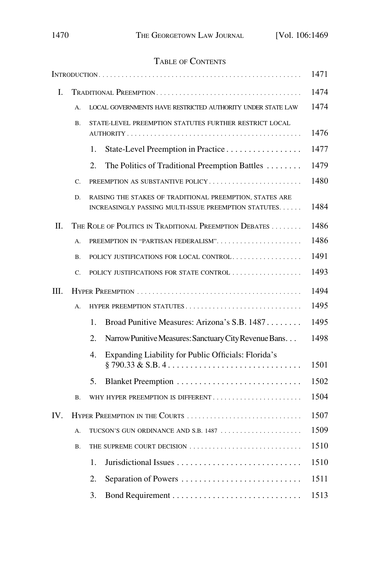# TABLE OF CONTENTS

|     |                                        |                                                                                                                   | 1471 |
|-----|----------------------------------------|-------------------------------------------------------------------------------------------------------------------|------|
| I.  |                                        |                                                                                                                   |      |
|     | А.                                     | LOCAL GOVERNMENTS HAVE RESTRICTED AUTHORITY UNDER STATE LAW                                                       | 1474 |
|     | <b>B.</b>                              | STATE-LEVEL PREEMPTION STATUTES FURTHER RESTRICT LOCAL                                                            | 1476 |
|     |                                        | State-Level Preemption in Practice<br>1.                                                                          | 1477 |
|     |                                        | The Politics of Traditional Preemption Battles<br>2.                                                              | 1479 |
|     | $C_{\cdot}$                            | PREEMPTION AS SUBSTANTIVE POLICY                                                                                  | 1480 |
|     | D.                                     | RAISING THE STAKES OF TRADITIONAL PREEMPTION, STATES ARE<br>INCREASINGLY PASSING MULTI-ISSUE PREEMPTION STATUTES. | 1484 |
| H.  |                                        | THE ROLE OF POLITICS IN TRADITIONAL PREEMPTION DEBATES                                                            | 1486 |
|     | А.                                     | PREEMPTION IN "PARTISAN FEDERALISM"                                                                               | 1486 |
|     | <b>B.</b>                              | POLICY JUSTIFICATIONS FOR LOCAL CONTROL                                                                           | 1491 |
|     | C.                                     | POLICY JUSTIFICATIONS FOR STATE CONTROL                                                                           | 1493 |
| Ш.  |                                        |                                                                                                                   | 1494 |
|     | А.                                     | HYPER PREEMPTION STATUTES                                                                                         | 1495 |
|     |                                        | Broad Punitive Measures: Arizona's S.B. 1487<br>1.                                                                | 1495 |
|     |                                        | Narrow Punitive Measures: Sanctuary City Revenue Bans<br>2.                                                       | 1498 |
|     |                                        | Expanding Liability for Public Officials: Florida's<br>4.                                                         | 1501 |
|     |                                        | 5.                                                                                                                | 1502 |
|     | <b>B.</b>                              | WHY HYPER PREEMPTION IS DIFFERENT                                                                                 | 1504 |
| IV. | 1507<br>HYPER PREEMPTION IN THE COURTS |                                                                                                                   |      |
|     | А.                                     | TUCSON'S GUN ORDINANCE AND S.B. 1487                                                                              | 1509 |
|     | <b>B.</b>                              | THE SUPREME COURT DECISION                                                                                        | 1510 |
|     |                                        | 1.                                                                                                                | 1510 |
|     |                                        | 2.                                                                                                                | 1511 |
|     |                                        | 3.                                                                                                                | 1513 |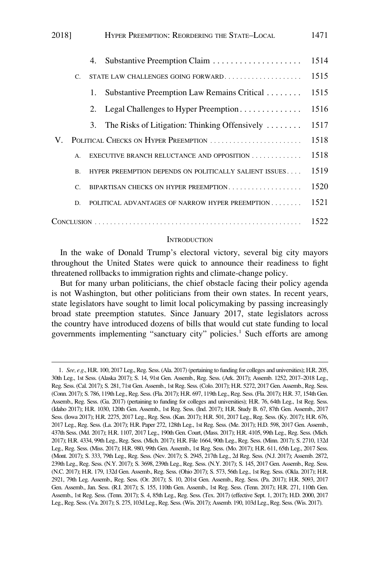<span id="page-2-0"></span>

| 2018]         |    | HYPER PREEMPTION: REORDERING THE STATE-LOCAL                | 1471 |  |
|---------------|----|-------------------------------------------------------------|------|--|
|               | 4. |                                                             | 1514 |  |
| $\mathsf{C}$  |    | STATE LAW CHALLENGES GOING FORWARD                          | 1515 |  |
|               | 1. | Substantive Preemption Law Remains Critical                 | 1515 |  |
|               | 2. | Legal Challenges to Hyper Preemption                        | 1516 |  |
|               | 3. | The Risks of Litigation: Thinking Offensively $\dots \dots$ | 1517 |  |
| V.            |    | POLITICAL CHECKS ON HYPER PREEMPTION                        | 1518 |  |
| А.            |    | EXECUTIVE BRANCH RELUCTANCE AND OPPOSITION                  | 1518 |  |
| B.            |    | HYPER PREEMPTION DEPENDS ON POLITICALLY SALIENT ISSUES      | 1519 |  |
| $\mathcal{C}$ |    | BIPARTISAN CHECKS ON HYPER PREEMPTION                       | 1520 |  |
| D.            |    | POLITICAL ADVANTAGES OF NARROW HYPER PREEMPTION             | 1521 |  |
| 1522          |    |                                                             |      |  |

### **INTRODUCTION**

In the wake of Donald Trump's electoral victory, several big city mayors throughout the United States were quick to announce their readiness to fight threatened rollbacks to immigration rights and climate-change policy.

But for many urban politicians, the chief obstacle facing their policy agenda is not Washington, but other politicians from their own states. In recent years, state legislators have sought to limit local policymaking by passing increasingly broad state preemption statutes. Since January 2017, state legislators across the country have introduced dozens of bills that would cut state funding to local governments implementing "sanctuary city" policies.<sup>1</sup> Such efforts are among

<sup>1.</sup> *See, e.g*., H.R. 100, 2017 Leg., Reg. Sess. (Ala. 2017) (pertaining to funding for colleges and universities); H.R. 205, 30th Leg., 1st Sess. (Alaska 2017); S. 14, 91st Gen. Assemb., Reg. Sess. (Ark. 2017); Assemb. 1252, 2017–2018 Leg., Reg. Sess. (Cal. 2017); S. 281, 71st Gen. Assemb., 1st Reg. Sess. (Colo. 2017); H.R. 5272, 2017 Gen. Assemb., Reg. Sess. (Conn. 2017); S. 786, 119th Leg., Reg. Sess. (Fla. 2017); H.R. 697, 119th Leg., Reg. Sess. (Fla. 2017); H.R. 37, 154th Gen. Assemb., Reg. Sess. (Ga. 2017) (pertaining to funding for colleges and universities); H.R. 76, 64th Leg., 1st Reg. Sess. (Idaho 2017); H.R. 1030, 120th Gen. Assemb., 1st Reg. Sess. (Ind. 2017); H.R. Study B. 67, 87th Gen. Assemb., 2017 Sess. (Iowa 2017); H.R. 2275, 2017 Leg., Reg. Sess. (Kan. 2017); H.R. 501, 2017 Leg., Reg. Sess. (Ky. 2017); H.R. 676, 2017 Leg., Reg. Sess. (La. 2017); H.R. Paper 272, 128th Leg., 1st Reg. Sess. (Me. 2017); H.D. 598, 2017 Gen. Assemb., 437th Sess. (Md. 2017); H.R. 1107, 2017 Leg., 190th Gen. Court, (Mass. 2017); H.R. 4105, 99th Leg., Reg. Sess. (Mich. 2017); H.R. 4334, 99th Leg., Reg. Sess. (Mich. 2017); H.R. File 1664, 90th Leg., Reg. Sess. (Minn. 2017); S. 2710, 132d Leg., Reg. Sess. (Miss. 2017); H.R. 980, 99th Gen. Assemb., 1st Reg. Sess. (Mo. 2017); H.R. 611, 65th Leg., 2017 Sess. (Mont. 2017); S. 333, 79th Leg., Reg. Sess. (Nev. 2017); S. 2945, 217th Leg., 2d Reg. Sess. (N.J. 2017); Assemb. 2872, 239th Leg., Reg. Sess. (N.Y. 2017); S. 3698, 239th Leg., Reg. Sess. (N.Y. 2017); S. 145, 2017 Gen. Assemb., Reg. Sess. (N.C. 2017); H.R. 179, 132d Gen. Assemb., Reg. Sess. (Ohio 2017); S. 573, 56th Leg., 1st Reg. Sess. (Okla. 2017); H.R. 2921, 79th Leg. Assemb., Reg. Sess. (Or. 2017); S. 10, 201st Gen. Assemb., Reg. Sess. (Pa. 2017); H.R. 5093, 2017 Gen. Assemb., Jan. Sess. (R.I. 2017); S. 155, 110th Gen. Assemb., 1st Reg. Sess. (Tenn. 2017); H.R. 271, 110th Gen. Assemb., 1st Reg. Sess. (Tenn. 2017); S. 4, 85th Leg., Reg. Sess. (Tex. 2017) (effective Sept. 1, 2017); H.D. 2000, 2017 Leg., Reg. Sess. (Va. 2017); S. 275, 103d Leg., Reg. Sess. (Wis. 2017); Assemb. 190, 103d Leg., Reg. Sess. (Wis. 2017).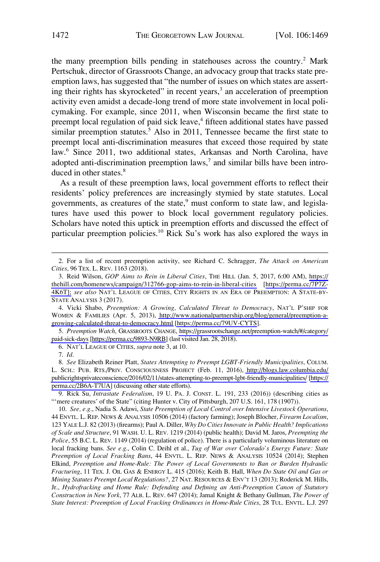the many preemption bills pending in statehouses across the country.<sup>2</sup> Mark Pertschuk, director of Grassroots Change, an advocacy group that tracks state preemption laws, has suggested that "the number of issues on which states are asserting their rights has skyrocketed" in recent years,<sup>3</sup> an acceleration of preemption activity even amidst a decade-long trend of more state involvement in local policymaking. For example, since 2011, when Wisconsin became the first state to preempt local regulation of paid sick leave,<sup>4</sup> fifteen additional states have passed similar preemption statutes.<sup>5</sup> Also in 2011, Tennessee became the first state to preempt local anti-discrimination measures that exceed those required by state law.<sup>6</sup> Since 2011, two additional states, Arkansas and North Carolina, have adopted anti-discrimination preemption  $laws<sub>i</sub><sup>7</sup>$  and similar bills have been introduced in other states.<sup>8</sup>

As a result of these preemption laws, local government efforts to reflect their residents' policy preferences are increasingly stymied by state statutes. Local governments, as creatures of the state, $9$  must conform to state law, and legislatures have used this power to block local government regulatory policies. Scholars have noted this uptick in preemption efforts and discussed the effect of particular preemption policies.<sup>10</sup> Rick Su's work has also explored the ways in

*Preemption Watch*, GRASSROOTS CHANGE, [https://grassrootschange.net/preemption-watch/#/category/](https://grassrootschange.net/preemption-watch/#/category/paid-sick-days)  5. [paid-sick-days](https://grassrootschange.net/preemption-watch/#/category/paid-sick-days) [<https://perma.cc/9893-N9RB>] (last visited Jan. 28, 2018).

6. NAT'L LEAGUE OF CITIES, *supra* note 3, at 10.

*See* Elizabeth Reiner Platt, *States Attempting to Preempt LGBT-Friendly Municipalities*, COLUM. 8. L. SCH.: PUB. RTS./PRIV. CONSCIOUSNESS PROJECT (Feb. 11, 2016), [http://blogs.law.columbia.edu/](http://blogs.law.columbia.edu/publicrightsprivateconscience/2016/02/11/states-attempting-to-preempt-lgbt-friendly-municipalities/)  [publicrightsprivateconscience/2016/02/11/states-attempting-to-preempt-lgbt-friendly-municipalities/](http://blogs.law.columbia.edu/publicrightsprivateconscience/2016/02/11/states-attempting-to-preempt-lgbt-friendly-municipalities/) [\[https://](https://perma.cc/2B6A-T7UA)  [perma.cc/2B6A-T7UA](https://perma.cc/2B6A-T7UA)] (discussing other state efforts).

9. Rick Su, *Intrastate Federalism*, 19 U. PA. J. CONST. L. 191, 233 (2016)) (describing cities as "'mere creatures' of the State" (citing Hunter v. City of Pittsburgh, 207 U.S. 161, 178 (1907)).

10. *See, e.g*., Nadia S. Adawi, *State Preemption of Local Control over Intensive Livestock Operations*, 44 ENVTL. L. REP. NEWS & ANALYSIS 10506 (2014) (factory farming); Joseph Blocher, *Firearm Localism*, 123 YALE L.J. 82 (2013) (firearms); Paul A. Diller, *Why Do Cities Innovate in Public Health? Implications of Scale and Structure*, 91 WASH. U. L. REV. 1219 (2014) (public health); David M. Jaros, *Preempting the Police*, 55 B.C. L. REV. 1149 (2014) (regulation of police). There is a particularly voluminous literature on local fracking bans. *See e.g*., Colin C. Deihl et al., *Tug of War over Colorado's Energy Future: State Preemption of Local Fracking Bans*, 44 ENVTL. L. REP. NEWS & ANALYSIS 10524 (2014); Stephen Elkind, *Preemption and Home-Rule: The Power of Local Governments to Ban or Burden Hydraulic Fracturing*, 11 TEX. J. OIL GAS & ENERGY L. 415 (2016); Keith B. Hall, *When Do State Oil and Gas or Mining Statutes Preempt Local Regulations?*, 27 NAT. RESOURCES & ENV'T 13 (2013); Roderick M. Hills, Jr., *Hydrofracking and Home Rule: Defending and Defining an Anti-Preemption Canon of Statutory Construction in New York*, 77 ALB. L. REV. 647 (2014); Jamal Knight & Bethany Gullman, *The Power of State Interest: Preemption of Local Fracking Ordinances in Home-Rule Cities*, 28 TUL. ENVTL. L.J. 297

<sup>2.</sup> For a list of recent preemption activity, see Richard C. Schragger, *The Attack on American Cities*, 96 TEX. L. REV. 1163 (2018).

Reid Wilson, *GOP Aims to Rein in Liberal Cities*, THE HILL (Jan. 5, 2017, 6:00 AM), [https://](https://thehill.com/homenews/campaign/312766-gop-aims-to-rein-in-liberal-cities) 3. [thehill.com/homenews/campaign/312766-gop-aims-to-rein-in-liberal-cities](https://thehill.com/homenews/campaign/312766-gop-aims-to-rein-in-liberal-cities) [[https://perma.cc/7P7Z-](https://perma.cc/7P7Z-4K6T)[4K6T\];](https://perma.cc/7P7Z-4K6T) *see also* NAT'L LEAGUE OF CITIES, CITY RIGHTS IN AN ERA OF PREEMPTION: A STATE-BY-STATE ANALYSIS 3 (2017).

<sup>4.</sup> Vicki Shabo, *Preemption: A Growing, Calculated Threat to Democracy*, NAT'L P'SHIP FOR WOMEN & FAMILIES (Apr. 5, 2013), [http://www.nationalpartnership.org/blog/general/preemption-a](http://www.nationalpartnership.org/blog/general/preemption-a-growing-calculated-threat-to-democracy.html)[growing-calculated-threat-to-democracy.html](http://www.nationalpartnership.org/blog/general/preemption-a-growing-calculated-threat-to-democracy.html) [\[https://perma.cc/79UV-CYTS\]](https://perma.cc/79UV-CYTS).

<sup>7.</sup> *Id*.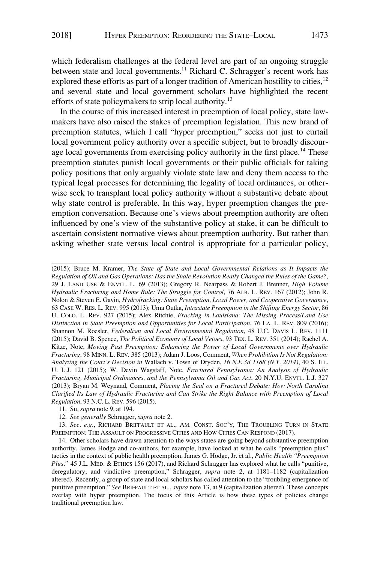which federalism challenges at the federal level are part of an ongoing struggle between state and local governments.<sup>11</sup> Richard C. Schragger's recent work has explored these efforts as part of a longer tradition of American hostility to cities,  $12$ and several state and local government scholars have highlighted the recent efforts of state policymakers to strip local authority.<sup>13</sup>

In the course of this increased interest in preemption of local policy, state lawmakers have also raised the stakes of preemption legislation. This new brand of preemption statutes, which I call "hyper preemption," seeks not just to curtail local government policy authority over a specific subject, but to broadly discourage local governments from exercising policy authority in the first place.<sup>14</sup> These preemption statutes punish local governments or their public officials for taking policy positions that only arguably violate state law and deny them access to the typical legal processes for determining the legality of local ordinances, or otherwise seek to transplant local policy authority without a substantive debate about why state control is preferable. In this way, hyper preemption changes the preemption conversation. Because one's views about preemption authority are often influenced by one's view of the substantive policy at stake, it can be difficult to ascertain consistent normative views about preemption authority. But rather than asking whether state versus local control is appropriate for a particular policy,

(2015); Bruce M. Kramer, *The State of State and Local Governmental Relations as It Impacts the Regulation of Oil and Gas Operations: Has the Shale Revolution Really Changed the Rules of the Game?*, 29 J. LAND USE & ENVTL. L. 69 (2013); Gregory R. Nearpass & Robert J. Brenner, *High Volume Hydraulic Fracturing and Home Rule: The Struggle for Control*, 76 ALB. L. REV. 167 (2012); John R. Nolon & Steven E. Gavin, *Hydrofracking: State Preemption, Local Power, and Cooperative Governance*, 63 CASE W. RES. L. REV. 995 (2013); Uma Outka, *Intrastate Preemption in the Shifting Energy Sector*, 86 U. COLO. L. REV. 927 (2015); Alex Ritchie, *Fracking in Louisiana: The Missing Process/Land Use Distinction in State Preemption and Opportunities for Local Participation*, 76 LA. L. REV. 809 (2016); Shannon M. Roesler, *Federalism and Local Environmental Regulation*, 48 U.C. DAVIS L. REV. 1111 (2015); David B. Spence, *The Political Economy of Local Vetoes*, 93 TEX. L. REV. 351 (2014); Rachel A. Kitze, Note, *Moving Past Preemption: Enhancing the Power of Local Governments over Hydraulic Fracturing*, 98 MINN. L. REV. 385 (2013); Adam J. Loos, Comment, *When Prohibition Is Not Regulation: Analyzing the Court's Decision in* Wallach v. Town of Dryden, *16 N.E.3d 1188 (N.Y. 2014)*, 40 S. ILL. U. L.J. 121 (2015); W. Devin Wagstaff, Note, *Fractured Pennsylvania: An Analysis of Hydraulic Fracturing, Municipal Ordinances, and the Pennsylvania Oil and Gas Act*, 20 N.Y.U. ENVTL. L.J. 327 (2013); Bryan M. Weynand, Comment, *Placing the Seal on a Fractured Debate: How North Carolina Clarified Its Law of Hydraulic Fracturing and Can Strike the Right Balance with Preemption of Local Regulation*, 93 N.C. L. REV. 596 (2015).

13. *See, e.g*., RICHARD BRIFFAULT ET AL., AM. CONST. SOC'Y, THE TROUBLING TURN IN STATE PREEMPTION: THE ASSAULT ON PROGRESSIVE CITIES AND HOW CITIES CAN RESPOND (2017).

14. Other scholars have drawn attention to the ways states are going beyond substantive preemption authority. James Hodge and co-authors, for example, have looked at what he calls "preemption plus" tactics in the context of public health preemption, James G. Hodge, Jr. et al., *Public Health "Preemption Plus,"* 45 J.L. MED. & ETHICS 156 (2017), and Richard Schragger has explored what he calls "punitive, deregulatory, and vindictive preemption," Schragger, *supra* note 2, at 1181–1182 (capitalization altered). Recently, a group of state and local scholars has called attention to the "troubling emergence of punitive preemption." *See* BRIFFAULT ET AL., *supra* note 13, at 9 (capitalization altered). These concepts overlap with hyper preemption. The focus of this Article is how these types of policies change traditional preemption law.

<sup>11.</sup> Su, *supra* note 9, at 194.

<sup>12.</sup> *See generally* Schragger, *supra* note 2.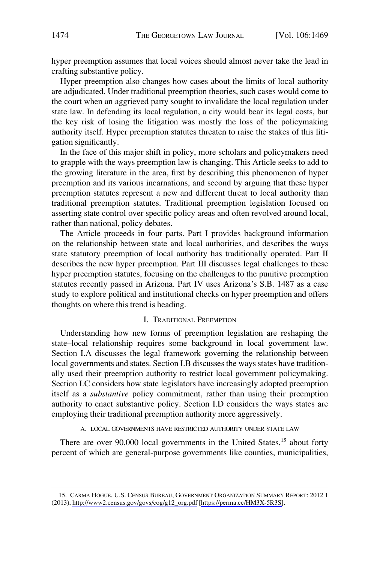<span id="page-5-0"></span>hyper preemption assumes that local voices should almost never take the lead in crafting substantive policy.

Hyper preemption also changes how cases about the limits of local authority are adjudicated. Under traditional preemption theories, such cases would come to the court when an aggrieved party sought to invalidate the local regulation under state law. In defending its local regulation, a city would bear its legal costs, but the key risk of losing the litigation was mostly the loss of the policymaking authority itself. Hyper preemption statutes threaten to raise the stakes of this litigation significantly.

In the face of this major shift in policy, more scholars and policymakers need to grapple with the ways preemption law is changing. This Article seeks to add to the growing literature in the area, first by describing this phenomenon of hyper preemption and its various incarnations, and second by arguing that these hyper preemption statutes represent a new and different threat to local authority than traditional preemption statutes. Traditional preemption legislation focused on asserting state control over specific policy areas and often revolved around local, rather than national, policy debates.

The Article proceeds in four parts. Part I provides background information on the relationship between state and local authorities, and describes the ways state statutory preemption of local authority has traditionally operated. Part II describes the new hyper preemption. Part III discusses legal challenges to these hyper preemption statutes, focusing on the challenges to the punitive preemption statutes recently passed in Arizona. Part IV uses Arizona's S.B. 1487 as a case study to explore political and institutional checks on hyper preemption and offers thoughts on where this trend is heading.

### I. TRADITIONAL PREEMPTION

Understanding how new forms of preemption legislation are reshaping the state–local relationship requires some background in local government law. Section I.A discusses the legal framework governing the relationship between local governments and states. Section I.B discusses the ways states have traditionally used their preemption authority to restrict local government policymaking. Section I.C considers how state legislators have increasingly adopted preemption itself as a *substantive* policy commitment, rather than using their preemption authority to enact substantive policy. Section I.D considers the ways states are employing their traditional preemption authority more aggressively.

### A. LOCAL GOVERNMENTS HAVE RESTRICTED AUTHORITY UNDER STATE LAW

There are over 90,000 local governments in the United States,<sup>15</sup> about forty percent of which are general-purpose governments like counties, municipalities,

<sup>15.</sup> CARMA HOGUE, U.S. CENSUS BUREAU, GOVERNMENT ORGANIZATION SUMMARY REPORT: 2012 1 (2013), [http://www2.census.gov/govs/cog/g12\\_org.pdf](http://www2.census.gov/govs/cog/g12_org.pdf) [\[https://perma.cc/HM3X-5R3S\]](https://perma.cc/HM3X-5R3S).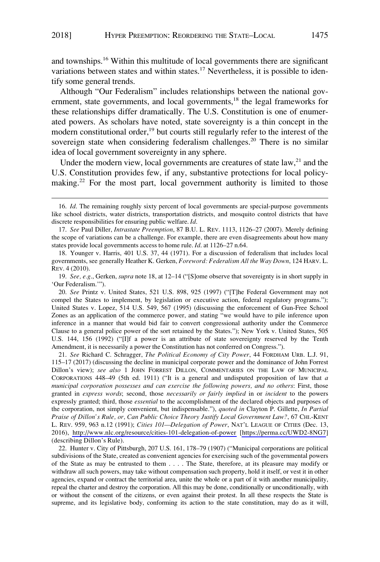and townships.16 Within this multitude of local governments there are significant variations between states and within states.<sup>17</sup> Nevertheless, it is possible to identify some general trends.

Although "Our Federalism" includes relationships between the national government, state governments, and local governments,<sup>18</sup> the legal frameworks for these relationships differ dramatically. The U.S. Constitution is one of enumerated powers. As scholars have noted, state sovereignty is a thin concept in the modern constitutional order,<sup>19</sup> but courts still regularly refer to the interest of the sovereign state when considering federalism challenges.<sup>20</sup> There is no similar idea of local government sovereignty in any sphere.

Under the modern view, local governments are creatures of state  $law$ , $2l$  and the U.S. Constitution provides few, if any, substantive protections for local policymaking.<sup>22</sup> For the most part, local government authority is limited to those

*See* Richard C. Schragger, *The Political Economy of City Power*, 44 FORDHAM URB. L.J. 91, 21. 115–17 (2017) (discussing the decline in municipal corporate power and the dominance of John Forrest Dillon's view); *see also* 1 JOHN FORREST DILLON, COMMENTARIES ON THE LAW OF MUNICIPAL CORPORATIONS 448–49 (5th ed. 1911) ("It is a general and undisputed proposition of law that *a municipal corporation possesses and can exercise the following powers, and no others*: First, those granted in *express words*; second, those *necessarily or fairly implied* in or *incident* to the powers expressly granted; third, those *essential* to the accomplishment of the declared objects and purposes of the corporation, not simply convenient, but indispensable."), *quoted in* Clayton P. Gillette, *In Partial Praise of Dillon's Rule, or, Can Public Choice Theory Justify Local Government Law?*, 67 CHI.-KENT L. REV. 959, 963 n.12 (1991); *Cities 101—Delegation of Power*, NAT'L LEAGUE OF CITIES (Dec. 13, 2016), <http://www.nlc.org/resource/cities-101-delegation-of-power>[\[https://perma.cc/UWD2-8NG7](https://perma.cc/UWD2-8NG7)] (describing Dillon's Rule).

22. Hunter v. City of Pittsburgh, 207 U.S. 161, 178–79 (1907) ("Municipal corporations are political subdivisions of the State, created as convenient agencies for exercising such of the governmental powers of the State as may be entrusted to them . . . . The State, therefore, at its pleasure may modify or withdraw all such powers, may take without compensation such property, hold it itself, or vest it in other agencies, expand or contract the territorial area, unite the whole or a part of it with another municipality, repeal the charter and destroy the corporation. All this may be done, conditionally or unconditionally, with or without the consent of the citizens, or even against their protest. In all these respects the State is supreme, and its legislative body, conforming its action to the state constitution, may do as it will,

<sup>16.</sup> *Id*. The remaining roughly sixty percent of local governments are special-purpose governments like school districts, water districts, transportation districts, and mosquito control districts that have discrete responsibilities for ensuring public welfare. *Id*.

<sup>17.</sup> *See* Paul Diller, *Intrastate Preemption*, 87 B.U. L. REV. 1113, 1126–27 (2007). Merely defining the scope of variations can be a challenge. For example, there are even disagreements about how many states provide local governments access to home rule. *Id*. at 1126–27 n.64.

<sup>18.</sup> Younger v. Harris, 401 U.S. 37, 44 (1971). For a discussion of federalism that includes local governments, see generally Heather K. Gerken, *Foreword: Federalism All the Way Down*, 124 HARV. L. REV. 4 (2010).

<sup>19.</sup> *See, e.g*., Gerken, *supra* note 18, at 12–14 ("[S]ome observe that sovereignty is in short supply in 'Our Federalism.'").

<sup>20.</sup> *See* Printz v. United States, 521 U.S. 898, 925 (1997) ("[T]he Federal Government may not compel the States to implement, by legislation or executive action, federal regulatory programs."); United States v. Lopez, 514 U.S. 549, 567 (1995) (discussing the enforcement of Gun-Free School Zones as an application of the commerce power, and stating "we would have to pile inference upon inference in a manner that would bid fair to convert congressional authority under the Commerce Clause to a general police power of the sort retained by the States."); New York v. United States, 505 U.S. 144, 156 (1992) ("[I]f a power is an attribute of state sovereignty reserved by the Tenth Amendment, it is necessarily a power the Constitution has not conferred on Congress.").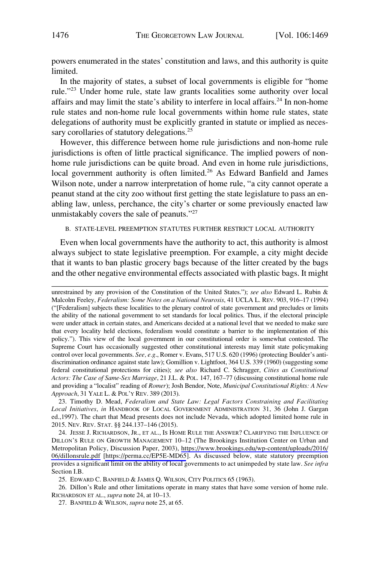<span id="page-7-0"></span>powers enumerated in the states' constitution and laws, and this authority is quite limited.

In the majority of states, a subset of local governments is eligible for "home rule."23 Under home rule, state law grants localities some authority over local affairs and may limit the state's ability to interfere in local affairs.<sup>24</sup> In non-home rule states and non-home rule local governments within home rule states, state delegations of authority must be explicitly granted in statute or implied as necessary corollaries of statutory delegations.<sup>25</sup>

However, this difference between home rule jurisdictions and non-home rule jurisdictions is often of little practical significance. The implied powers of nonhome rule jurisdictions can be quite broad. And even in home rule jurisdictions, local government authority is often limited.<sup>26</sup> As Edward Banfield and James Wilson note, under a narrow interpretation of home rule, "a city cannot operate a peanut stand at the city zoo without first getting the state legislature to pass an enabling law, unless, perchance, the city's charter or some previously enacted law unmistakably covers the sale of peanuts."27

### B. STATE-LEVEL PREEMPTION STATUTES FURTHER RESTRICT LOCAL AUTHORITY

Even when local governments have the authority to act, this authority is almost always subject to state legislative preemption. For example, a city might decide that it wants to ban plastic grocery bags because of the litter created by the bags and the other negative environmental effects associated with plastic bags. It might

23. Timothy D. Mead, *Federalism and State Law: Legal Factors Constraining and Facilitating Local Initiatives*, *in* HANDBOOK OF LOCAL GOVERNMENT ADMINISTRATION 31, 36 (John J. Gargan ed.,1997). The chart that Mead presents does not include Nevada, which adopted limited home rule in 2015. NEV. REV. STAT. §§ 244.137–146 (2015).

24. JESSE J. RICHARDSON, JR., ET AL., IS HOME RULE THE ANSWER? CLARIFYING THE INFLUENCE OF DILLON'S RULE ON GROWTH MANAGEMENT 10–12 (The Brookings Institution Center on Urban and Metropolitan Policy, Discussion Paper, 2003), [https://www.brookings.edu/wp-content/uploads/2016/](https://www.brookings.edu/wp-content/uploads/2016/06/dillonsrule.pdf) [06/dillonsrule.pdf](https://www.brookings.edu/wp-content/uploads/2016/06/dillonsrule.pdf) [\[https://perma.cc/EP5E-MD65](https://perma.cc/EP5E-MD65)]. As discussed below, state statutory preemption provides a significant limit on the ability of local governments to act unimpeded by state law. *See infra*  Section I.B.

25. EDWARD C. BANFIELD & JAMES Q. WILSON, CITY POLITICS 65 (1963).

26. Dillon's Rule and other limitations operate in many states that have some version of home rule. RICHARDSON ET AL., *supra* note 24, at 10–13.

27. BANFIELD & WILSON, *supra* note 25, at 65.

unrestrained by any provision of the Constitution of the United States."); *see also* Edward L. Rubin & Malcolm Feeley, *Federalism: Some Notes on a National Neurosis*, 41 UCLA L. REV. 903, 916–17 (1994) ("[Federalism] subjects these localities to the plenary control of state government and precludes or limits the ability of the national government to set standards for local politics. Thus, if the electoral principle were under attack in certain states, and Americans decided at a national level that we needed to make sure that every locality held elections, federalism would constitute a barrier to the implementation of this policy."). This view of the local government in our constitutional order is somewhat contested. The Supreme Court has occasionally suggested other constitutional interests may limit state policymaking control over local governments. *See, e.g*., Romer v. Evans, 517 U.S. 620 (1996) (protecting Boulder's antidiscrimination ordinance against state law); Gomillion v. Lightfoot, 364 U.S. 339 (1960) (suggesting some federal constitutional protections for cities); *see also* Richard C. Schragger, *Cities as Constitutional Actors: The Case of Same-Sex Marriage*, 21 J.L. & POL. 147, 167–77 (discussing constitutional home rule and providing a "localist" reading of *Romer*); Josh Bendor, Note, *Municipal Constitutional Rights: A New Approach*, 31 YALE L. & POL'Y REV. 389 (2013).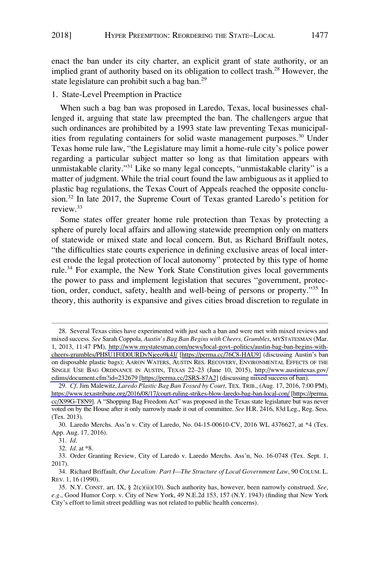<span id="page-8-0"></span>enact the ban under its city charter, an explicit grant of state authority, or an implied grant of authority based on its obligation to collect trash.<sup>28</sup> However, the state legislature can prohibit such a bag ban.<sup>29</sup>

# 1. State-Level Preemption in Practice

When such a bag ban was proposed in Laredo, Texas, local businesses challenged it, arguing that state law preempted the ban. The challengers argue that such ordinances are prohibited by a 1993 state law preventing Texas municipalities from regulating containers for solid waste management purposes.<sup>30</sup> Under Texas home rule law, "the Legislature may limit a home-rule city's police power regarding a particular subject matter so long as that limitation appears with unmistakable clarity."31 Like so many legal concepts, "unmistakable clarity" is a matter of judgment. While the trial court found the law ambiguous as it applied to plastic bag regulations, the Texas Court of Appeals reached the opposite conclusion.32 In late 2017, the Supreme Court of Texas granted Laredo's petition for review.33

Some states offer greater home rule protection than Texas by protecting a sphere of purely local affairs and allowing statewide preemption only on matters of statewide or mixed state and local concern. But, as Richard Briffault notes, "the difficulties state courts experience in defining exclusive areas of local interest erode the legal protection of local autonomy" protected by this type of home rule.<sup>34</sup> For example, the New York State Constitution gives local governments the power to pass and implement legislation that secures "government, protection, order, conduct, safety, health and well-being of persons or property."35 In theory, this authority is expansive and gives cities broad discretion to regulate in

<sup>28.</sup> Several Texas cities have experimented with just such a ban and were met with mixed reviews and mixed success. *See* Sarah Coppola, *Austin's Bag Ban Begins with Cheers, Grumbles*, MYSTATESMAN (Mar. 1, 2013, 11:47 PM), [http://www.mystatesman.com/news/local-govt–politics/austin-bag-ban-begins-with](http://www.mystatesman.com/news/local-govt to politics/austin-bag-ban-begins-with-cheers-grumbles/PH8U1F0D0URDvNjeeo9k4J/)[cheers-grumbles/PH8U1F0D0URDvNjeeo9k4J/](http://www.mystatesman.com/news/local-govt to politics/austin-bag-ban-begins-with-cheers-grumbles/PH8U1F0D0URDvNjeeo9k4J/) [\[https://perma.cc/76C8-HAU9\]](https://perma.cc/76C8-HAU9) (discussing Austin's ban on disposable plastic bags); AARON WATERS, AUSTIN RES. RECOVERY, ENVIRONMENTAL EFFECTS OF THE SINGLE USE BAG ORDINANCE IN AUSTIN, TEXAS 22–23 (June 10, 2015), [http://www.austintexas.gov/](http://www.austintexas.gov/edims/document.cfm?id=232679) [edims/document.cfm?id=232679](http://www.austintexas.gov/edims/document.cfm?id=232679) [<https://perma.cc/2SRS-87A2>] (discussing mixed success of ban).

*Cf*. Jim Malewitz, *Laredo Plastic Bag Ban Tossed by Court*, TEX. TRIB., (Aug. 17, 2016, 7:00 PM), 29. <https://www.texastribune.org/2016/08/17/court-ruling-strikes-blow-laredo-bag-ban-local-con/>[\[https://perma.](https://perma.cc/X99G-T8N9)  [cc/X99G-T8N9\]](https://perma.cc/X99G-T8N9). A "Shopping Bag Freedom Act" was proposed in the Texas state legislature but was never voted on by the House after it only narrowly made it out of committee. *See* H.R. 2416, 83d Leg., Reg. Sess. (Tex. 2013).

<sup>30.</sup> Laredo Merchs. Ass'n v. City of Laredo, No. 04-15-00610-CV, 2016 WL 4376627, at \*4 (Tex. App. Aug. 17, 2016).

<sup>31.</sup> *Id*.

<sup>32.</sup> *Id*. at \*8.

<sup>33.</sup> Order Granting Review, City of Laredo v. Laredo Merchs. Ass'n, No. 16-0748 (Tex. Sept. 1, 2017).

<sup>34.</sup> Richard Briffault, *Our Localism: Part I—The Structure of Local Government Law*, 90 COLUM. L. REV. 1, 16 (1990).

<sup>35.</sup> N.Y. CONST. art. IX, § 2(c)(ii)(10). Such authority has, however, been narrowly construed. *See, e.g*., Good Humor Corp. v. City of New York, 49 N.E.2d 153, 157 (N.Y. 1943) (finding that New York City's effort to limit street peddling was not related to public health concerns).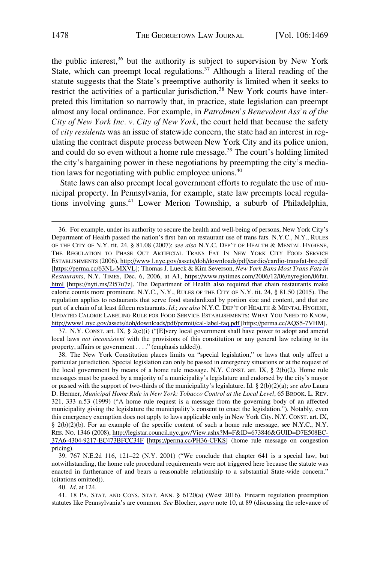the public interest, $36$  but the authority is subject to supervision by New York State, which can preempt local regulations.<sup>37</sup> Although a literal reading of the statute suggests that the State's preemptive authority is limited when it seeks to restrict the activities of a particular jurisdiction,<sup>38</sup> New York courts have interpreted this limitation so narrowly that, in practice, state legislation can preempt almost any local ordinance. For example, in *Patrolmen's Benevolent Ass'n of the City of New York Inc. v. City of New York*, the court held that because the safety of *city residents* was an issue of statewide concern, the state had an interest in regulating the contract dispute process between New York City and its police union, and could do so even without a home rule message.<sup>39</sup> The court's holding limited the city's bargaining power in these negotiations by preempting the city's mediation laws for negotiating with public employee unions.40

State laws can also preempt local government efforts to regulate the use of municipal property. In Pennsylvania, for example, state law preempts local regulations involving guns.41 Lower Merion Township, a suburb of Philadelphia,

37. N.Y. CONST. art. IX,  $\S$  2(c)(i) ("[E]very local government shall have power to adopt and amend local laws *not inconsistent* with the provisions of this constitution or any general law relating to its property, affairs or government . . . ." (emphasis added)).

38. The New York Constitution places limits on "special legislation," or laws that only affect a particular jurisdiction. Special legislation can only be passed in emergency situations or at the request of the local government by means of a home rule message. N.Y. CONST. art. IX,  $\S$  2(b)(2). Home rule messages must be passed by a majority of a municipality's legislature and endorsed by the city's mayor or passed with the support of two-thirds of the municipality's legislature. Id. § 2(b)(2)(a); *see also* Laura D. Hermer, *Municipal Home Rule in New York: Tobacco Control at the Local Level*, 65 BROOK. L. REV. 321, 333 n.53 (1999) ("A home rule request is a message from the governing body of an affected municipality giving the legislature the municipality's consent to enact the legislation."). Notably, even this emergency exemption does not apply to laws applicable only in New York City. N.Y. CONST. art. IX, § 2(b)(2)(b). For an example of the specific content of such a home rule message, see N.Y.C., N.Y. RES. NO. 1346 (2008), [http://legistar.council.nyc.gov/View.ashx?M=F&ID=673846&GUID=D7E508EC-](http://legistar.council.nyc.gov/View.ashx?M=F&ID=673846&GUID=D7E508EC-37A6-4304-9217-EC473BFCC34F)[37A6-4304-9217-EC473BFCC34F](http://legistar.council.nyc.gov/View.ashx?M=F&ID=673846&GUID=D7E508EC-37A6-4304-9217-EC473BFCC34F) [\[https://perma.cc/PH36-CFKS\]](https://perma.cc/PH36-CFKS) (home rule message on congestion pricing).

40. *Id*. at 124.

41. 18 PA. STAT. AND CONS. STAT. ANN. § 6120(a) (West 2016). Firearm regulation preemption statutes like Pennsylvania's are common. *See* Blocher, *supra* note 10, at 89 (discussing the relevance of

For example, under its authority to secure the health and well-being of persons, New York City's 36. Department of Health passed the nation's first ban on restaurant use of trans fats. N.Y.C., N.Y., RULES OF THE CITY OF N.Y. tit. 24, § 81.08 (2007); *see also* N.Y.C. DEP'T OF HEALTH & MENTAL HYGIENE, THE REGULATION TO PHASE OUT ARTIFICIAL TRANS FAT IN NEW YORK CITY FOOD SERVICE ESTABLISHMENTS (2006),<http://www1.nyc.gov/assets/doh/downloads/pdf/cardio/cardio-transfat-bro.pdf> [<https://perma.cc/63NL-MXVL>]; Thomas J. Lueck & Kim Severson, *New York Bans Most Trans Fats in Restaurants*, N.Y. TIMES, Dec. 6, 2006, at A1, [https://www.nytimes.com/2006/12/06/nyregion/06fat.](https://www.nytimes.com/2006/12/06/nyregion/06fat.html) [html](https://www.nytimes.com/2006/12/06/nyregion/06fat.html) [\[https://nyti.ms/2l57u7z\]](https://nyti.ms/2l57u7z). The Department of Health also required that chain restaurants make calorie counts more prominent. N.Y.C., N.Y., RULES OF THE CITY OF N.Y. tit. 24, § 81.50 (2015). The regulation applies to restaurants that serve food standardized by portion size and content, and that are part of a chain of at least fifteen restaurants. *Id*.; *see also* N.Y.C. DEP'T OF HEALTH & MENTAL HYGIENE, UPDATED CALORIE LABELING RULE FOR FOOD SERVICE ESTABLISHMENTS: WHAT YOU NEED TO KNOW, <http://www1.nyc.gov/assets/doh/downloads/pdf/permit/cal-label-faq.pdf>[[https://perma.cc/AQS5-7VHM\]](https://perma.cc/AQS5-7VHM).

<sup>39. 767</sup> N.E.2d 116, 121–22 (N.Y. 2001) ("We conclude that chapter 641 is a special law, but notwithstanding, the home rule procedural requirements were not triggered here because the statute was enacted in furtherance of and bears a reasonable relationship to a substantial State-wide concern." (citations omitted)).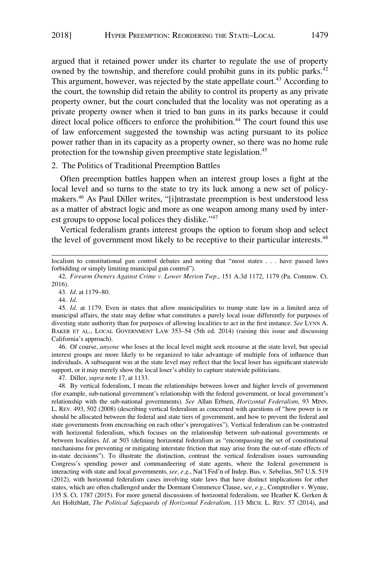<span id="page-10-0"></span>argued that it retained power under its charter to regulate the use of property owned by the township, and therefore could prohibit guns in its public parks.<sup>42</sup> This argument, however, was rejected by the state appellate court.<sup>43</sup> According to the court, the township did retain the ability to control its property as any private property owner, but the court concluded that the locality was not operating as a private property owner when it tried to ban guns in its parks because it could direct local police officers to enforce the prohibition.<sup>44</sup> The court found this use of law enforcement suggested the township was acting pursuant to its police power rather than in its capacity as a property owner, so there was no home rule protection for the township given preemptive state legislation.<sup>45</sup>

# 2. The Politics of Traditional Preemption Battles

Often preemption battles happen when an interest group loses a fight at the local level and so turns to the state to try its luck among a new set of policymakers.46 As Paul Diller writes, "[i]ntrastate preemption is best understood less as a matter of abstract logic and more as one weapon among many used by interest groups to oppose local polices they dislike."<sup>47</sup>

Vertical federalism grants interest groups the option to forum shop and select the level of government most likely to be receptive to their particular interests.48

43. *Id*. at 1179–80.

44. *Id*.

46. Of course, *anyone* who loses at the local level might seek recourse at the state level, but special interest groups are more likely to be organized to take advantage of multiple fora of influence than individuals. A subsequent win at the state level may reflect that the local loser has significant statewide support, or it may merely show the local loser's ability to capture statewide politicians.

47. Diller, *supra* note 17, at 1133.

48. By vertical federalism, I mean the relationships between lower and higher levels of government (for example, sub-national government's relationship with the federal government, or local government's relationship with the sub-national governments). *See* Allan Erbsen, *Horizontal Federalism*, 93 MINN. L. REV. 493, 502 (2008) (describing vertical federalism as concerned with questions of "how power is or should be allocated between the federal and state tiers of government, and how to prevent the federal and state governments from encroaching on each other's prerogatives"). Vertical federalism can be contrasted with horizontal federalism, which focuses on the relationship between sub-national governments or between localities. *Id*. at 503 (defining horizontal federalism as "encompassing the set of constitutional mechanisms for preventing or mitigating interstate friction that may arise from the out-of-state effects of in-state decisions"). To illustrate the distinction, contrast the vertical federalism issues surrounding Congress's spending power and commandeering of state agents, where the federal government is interacting with state and local governments, *see, e.g*., Nat'l Fed'n of Indep. Bus. v. Sebelius, 567 U.S. 519 (2012), with horizontal federalism cases involving state laws that have distinct implications for other states, which are often challenged under the Dormant Commerce Clause, s*ee, e.g*., Comptroller v. Wynne, 135 S. Ct. 1787 (2015). For more general discussions of horizontal federalism, see Heather K. Gerken & Ari Holtzblatt, *The Political Safeguards of Horizontal Federalism*, 113 MICH. L. REV. 57 (2014), and

localism to constitutional gun control debates and noting that "most states . . . have passed laws forbidding or simply limiting municipal gun control").

<sup>42.</sup> *Firearm Owners Against Crime v. Lower Merion Twp*., 151 A.3d 1172, 1179 (Pa. Commw. Ct. 2016).

<sup>45.</sup> *Id*. at 1179. Even in states that allow municipalities to trump state law in a limited area of municipal affairs, the state may define what constitutes a purely local issue differently for purposes of divesting state authority than for purposes of allowing localities to act in the first instance. *See* LYNN A. BAKER ET AL., LOCAL GOVERNMENT LAW 353–54 (5th ed. 2014) (raising this issue and discussing California's approach).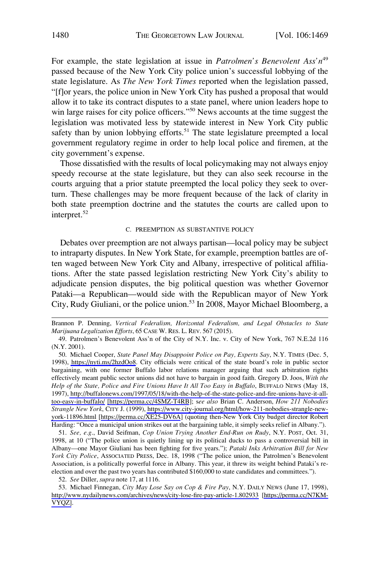<span id="page-11-0"></span>For example, the state legislation at issue in *Patrolmen's Benevolent Ass'n*<sup>49</sup> passed because of the New York City police union's successful lobbying of the state legislature. As *The New York Times* reported when the legislation passed, "[f]or years, the police union in New York City has pushed a proposal that would allow it to take its contract disputes to a state panel, where union leaders hope to win large raises for city police officers."<sup>50</sup> News accounts at the time suggest the legislation was motivated less by statewide interest in New York City public safety than by union lobbying efforts.<sup>51</sup> The state legislature preempted a local government regulatory regime in order to help local police and firemen, at the city government's expense.

Those dissatisfied with the results of local policymaking may not always enjoy speedy recourse at the state legislature, but they can also seek recourse in the courts arguing that a prior statute preempted the local policy they seek to overturn. These challenges may be more frequent because of the lack of clarity in both state preemption doctrine and the statutes the courts are called upon to interpret.<sup>52</sup>

#### C. PREEMPTION AS SUBSTANTIVE POLICY

Debates over preemption are not always partisan—local policy may be subject to intraparty disputes. In New York State, for example, preemption battles are often waged between New York City and Albany, irrespective of political affiliations. After the state passed legislation restricting New York City's ability to adjudicate pension disputes, the big political question was whether Governor Pataki—a Republican—would side with the Republican mayor of New York City, Rudy Giuliani, or the police union.<sup>53</sup> In 2008, Mayor Michael Bloomberg, a

51. *See, e.g*., David Seifman, *Cop Union Trying Another End-Run on Rudy*, N.Y. POST, Oct. 31, 1998, at 10 ("The police union is quietly lining up its political ducks to pass a controversial bill in Albany—one Mayor Giuliani has been fighting for five years."); *Pataki Inks Arbitration Bill for New York City Police*, ASSOCIATED PRESS, Dec. 18, 1998 ("The police union, the Patrolmen's Benevolent Association, is a politically powerful force in Albany. This year, it threw its weight behind Pataki's reelection and over the past two years has contributed \$160,000 to state candidates and committees.").

52. *See* Diller, *supra* note 17, at 1116.

53. Michael Finnegan, *City May Lose Say on Cop & Fire Pay*, N.Y. DAILY NEWS (June 17, 1998), <http://www.nydailynews.com/archives/news/city-lose-fire-pay-article-1.802933>[[https://perma.cc/N7KM-](https://perma.cc/N7KM-VYQZ)[VYQZ\]](https://perma.cc/N7KM-VYQZ).

Brannon P. Denning, *Vertical Federalism, Horizontal Federalism, and Legal Obstacles to State Marijuana Legalization Efforts*, 65 CASE W. RES. L. REV. 567 (2015).

<sup>49.</sup> Patrolmen's Benevolent Ass'n of the City of N.Y. Inc. v. City of New York, 767 N.E.2d 116 (N.Y. 2001).

<sup>50.</sup> Michael Cooper, State Panel May Disappoint Police on Pay, Experts Say, N.Y. TIMES (Dec. 5, 1998), [https://nyti.ms/2hzdOo8.](https://nyti.ms/2hzdOo8) City officials were critical of the state board's role in public sector bargaining, with one former Buffalo labor relations manager arguing that such arbitration rights effectively meant public sector unions did not have to bargain in good faith. Gregory D. Joos, *With the Help of the State, Police and Fire Unions Have It All Too Easy in Buffalo*, BUFFALO NEWS (May 18, 1997), [http://buffalonews.com/1997/05/18/with-the-help-of-the-state-police-and-fire-unions-have-it-all](http://buffalonews.com/1997/05/18/with-the-help-of-the-state-police-and-fire-unions-have-it-all-too-easy-in-buffalo/)[too-easy-in-buffalo/](http://buffalonews.com/1997/05/18/with-the-help-of-the-state-police-and-fire-unions-have-it-all-too-easy-in-buffalo/) [\[https://perma.cc/4SMZ-T4RB](https://perma.cc/4SMZ-T4RB)]; s*ee also* Brian C. Anderson, *How 211 Nobodies Strangle New York*, CITY J. (1999), [https://www.city-journal.org/html/how-211-nobodies-strangle-new](https://www.city-journal.org/html/how-211-nobodies-strangle-new-york-11896.html)[york-11896.html](https://www.city-journal.org/html/how-211-nobodies-strangle-new-york-11896.html) [<https://perma.cc/XE25-DV6A>] (quoting then-New York City budget director Robert Harding: "Once a municipal union strikes out at the bargaining table, it simply seeks relief in Albany.").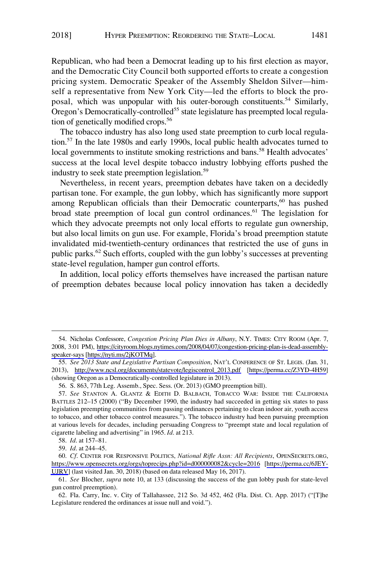Republican, who had been a Democrat leading up to his first election as mayor, and the Democratic City Council both supported efforts to create a congestion pricing system. Democratic Speaker of the Assembly Sheldon Silver—himself a representative from New York City—led the efforts to block the proposal, which was unpopular with his outer-borough constituents.<sup>54</sup> Similarly, Oregon's Democratically-controlled<sup>55</sup> state legislature has preempted local regulation of genetically modified crops.<sup>56</sup>

The tobacco industry has also long used state preemption to curb local regulation.57 In the late 1980s and early 1990s, local public health advocates turned to local governments to institute smoking restrictions and bans.<sup>58</sup> Health advocates' success at the local level despite tobacco industry lobbying efforts pushed the industry to seek state preemption legislation.<sup>59</sup>

Nevertheless, in recent years, preemption debates have taken on a decidedly partisan tone. For example, the gun lobby, which has significantly more support among Republican officials than their Democratic counterparts,<sup>60</sup> has pushed broad state preemption of local gun control ordinances.<sup>61</sup> The legislation for which they advocate preempts not only local efforts to regulate gun ownership, but also local limits on gun use. For example, Florida's broad preemption statute invalidated mid-twentieth-century ordinances that restricted the use of guns in public parks.62 Such efforts, coupled with the gun lobby's successes at preventing state-level regulation, hamper gun control efforts.

In addition, local policy efforts themselves have increased the partisan nature of preemption debates because local policy innovation has taken a decidedly

<sup>54.</sup> Nicholas Confessore, *Congestion Pricing Plan Dies in Albany*, N.Y. TIMES: CITY ROOM (Apr. 7, 2008, 3:01 PM), [https://cityroom.blogs.nytimes.com/2008/04/07/congestion-pricing-plan-is-dead-assembly](https://cityroom.blogs.nytimes.com/2008/04/07/congestion-pricing-plan-is-dead-assembly-speaker-says)[speaker-says](https://cityroom.blogs.nytimes.com/2008/04/07/congestion-pricing-plan-is-dead-assembly-speaker-says) [\[https://nyti.ms/2jKOTMq](https://nyti.ms/2jKOTMq)].

*See 2013 State and Legislative Partisan Composition*, NAT'L CONFERENCE OF ST. LEGIS. (Jan. 31, 55. 2013), [http://www.ncsl.org/documents/statevote/legiscontrol\\_2013.pdf](http://www.ncsl.org/documents/statevote/legiscontrol_2013.pdf) [\[https://perma.cc/Z3YD-4H59\]](https://perma.cc/Z3YD-4H59) (showing Oregon as a Democratically-controlled legislature in 2013).

<sup>56.</sup> S. 863, 77th Leg. Assemb., Spec. Sess. (Or. 2013) (GMO preemption bill).

<sup>57.</sup> *See* STANTON A. GLANTZ & EDITH D. BALBACH, TOBACCO WAR: INSIDE THE CALIFORNIA BATTLES 212–15 (2000) ("By December 1990, the industry had succeeded in getting six states to pass legislation preempting communities from passing ordinances pertaining to clean indoor air, youth access to tobacco, and other tobacco control measures."). The tobacco industry had been pursuing preemption at various levels for decades, including persuading Congress to "preempt state and local regulation of cigarette labeling and advertising" in 1965. *Id*. at 213.

<sup>58.</sup> *Id*. at 157–81.

<sup>59.</sup> *Id*. at 244–45.

*Cf*. CENTER FOR RESPONSIVE POLITICS, *National Rifle Assn: All Recipients*, OPENSECRETS.ORG, 60. <https://www.opensecrets.org/orgs/toprecips.php?id=d000000082&cycle=2016> [\[https://perma.cc/6JEY-](https://perma.cc/6JEY-UJRV)[UJRV](https://perma.cc/6JEY-UJRV)] (last visited Jan. 30, 2018) (based on data released May 16, 2017).

<sup>61.</sup> *See* Blocher, *supra* note 10, at 133 (discussing the success of the gun lobby push for state-level gun control preemption).

<sup>62.</sup> Fla. Carry, Inc. v. City of Tallahassee, 212 So. 3d 452, 462 (Fla. Dist. Ct. App. 2017) ("[T]he Legislature rendered the ordinances at issue null and void.").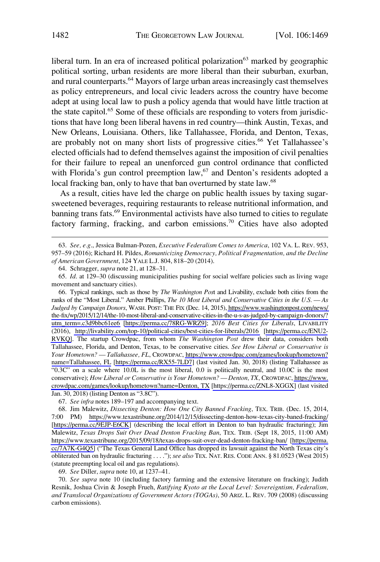liberal turn. In an era of increased political polarization $63$  marked by geographic political sorting, urban residents are more liberal than their suburban, exurban, and rural counterparts.<sup>64</sup> Mayors of large urban areas increasingly cast themselves as policy entrepreneurs, and local civic leaders across the country have become adept at using local law to push a policy agenda that would have little traction at the state capitol.<sup>65</sup> Some of these officials are responding to voters from jurisdictions that have long been liberal havens in red country—think Austin, Texas, and New Orleans, Louisiana. Others, like Tallahassee, Florida, and Denton, Texas, are probably not on many short lists of progressive cities.<sup>66</sup> Yet Tallahassee's elected officials had to defend themselves against the imposition of civil penalties for their failure to repeal an unenforced gun control ordinance that conflicted with Florida's gun control preemption  $law<sub>1</sub>$ <sup>67</sup> and Denton's residents adopted a local fracking ban, only to have that ban overturned by state law.<sup>68</sup>

As a result, cities have led the charge on public health issues by taxing sugarsweetened beverages, requiring restaurants to release nutritional information, and banning trans fats.<sup>69</sup> Environmental activists have also turned to cities to regulate factory farming, fracking, and carbon emissions.<sup>70</sup> Cities have also adopted

Typical rankings, such as those by *The Washington Pos*t and Livability, exclude both cities from the 66. ranks of the "Most Liberal." Amber Phillips, *The 10 Most Liberal and Conservative Cities in the U.S. — As Judged by Campaign Donors*, WASH. POST: THE FIX (Dec. 14, 2015), [https://www.washingtonpost.com/news/](https://www.washingtonpost.com/news/the-fix/wp/2015/12/14/the-10-most-liberal-and-conservative-cities-in-the-u-s-as-judged-by-campaign-donors/?utm_term=.c3d9bbc61ee6)  [the-fix/wp/2015/12/14/the-10-most-liberal-and-conservative-cities-in-the-u-s-as-judged-by-campaign-donors/?](https://www.washingtonpost.com/news/the-fix/wp/2015/12/14/the-10-most-liberal-and-conservative-cities-in-the-u-s-as-judged-by-campaign-donors/?utm_term=.c3d9bbc61ee6)  [utm\\_term=.c3d9bbc61ee6](https://www.washingtonpost.com/news/the-fix/wp/2015/12/14/the-10-most-liberal-and-conservative-cities-in-the-u-s-as-judged-by-campaign-donors/?utm_term=.c3d9bbc61ee6) [\[https://perma.cc/78RG-WRZ9\]](https://perma.cc/78RG-WRZ9); *2016 Best Cities for Liberals*, LIVABILITY (2016), <http://livability.com/top-10/political-cities/best-cities-for-liberals/2016>[\[https://perma.cc/ENU2-](https://perma.cc/ENU2-RVKQ) [RVKQ\]](https://perma.cc/ENU2-RVKQ). The startup Crowdpac, from whom *The Washington Post* drew their data, considers both Tallahassee, Florida, and Denton, Texas, to be conservative cities. *See How Liberal or Conservative is Your Hometown? — Tallahassee, FL*, CROWDPAC, [https://www.crowdpac.com/games/lookup/hometown?](https://www.crowdpac.com/games/lookup/hometown?name=Tallahassee, FL) [name=Tallahassee, FL](https://www.crowdpac.com/games/lookup/hometown?name=Tallahassee, FL) [\[https://perma.cc/RX55-7LD7](https://perma.cc/RX55-7LD7)] (last visited Jan. 30, 2018) (listing Tallahassee as "0.3C" on a scale where 10.0L is the most liberal, 0.0 is politically neutral, and 10.0C is the most conservative); *How Liberal or Conservative is Your Hometown? — Denton, TX*, CROWDPAC, [https://www.](https://www.crowdpac.com/games/lookup/hometown?name=Denton, TX)  [crowdpac.com/games/lookup/hometown?name=Denton, TX](https://www.crowdpac.com/games/lookup/hometown?name=Denton, TX) [\[https://perma.cc/ZNL8-XGGX\]](https://perma.cc/ZNL8-XGGX) (last visited Jan. 30, 2018) (listing Denton as "3.8C").

69. *See* Diller, *supra* note 10, at 1237–41.

70. *See supra* note 10 (including factory farming and the extensive literature on fracking); Judith Resnik, Joshua Civin & Joseph Frueh, *Ratifying Kyoto at the Local Level: Sovereigntism, Federalism, and Translocal Organizations of Government Actors (TOGAs)*, 50 ARIZ. L. REV. 709 (2008) (discussing carbon emissions).

<sup>63.</sup> *See, e.g*., Jessica Bulman-Pozen, *Executive Federalism Comes to America*, 102 VA. L. REV. 953, 957–59 (2016); Richard H. Pildes, *Romanticizing Democracy, Political Fragmentation, and the Decline of American Government*, 124 YALE L.J. 804, 818–20 (2014).

<sup>64.</sup> Schragger, *supra* note 21, at 128–31.

<sup>65.</sup> *Id*. at 129–30 (discussing municipalities pushing for social welfare policies such as living wage movement and sanctuary cities).

<sup>67.</sup> *See infra* notes 189–197 and accompanying text.

<sup>68.</sup> Jim Malewitz, Dissecting Denton: How One City Banned Fracking, TEX. TRIB. (Dec. 15, 2014, 7:00 PM) <https://www.texastribune.org/2014/12/15/dissecting-denton-how-texas-city-baned-fracking/> [<https://perma.cc/9EJP-E6CK>] (describing the local effort in Denton to ban hydraulic fracturing); Jim Malewitz, *Texas Drops Suit Over Dead Denton Fracking Ban*, TEX. TRIB. (Sept 18, 2015, 11:00 AM) <https://www.texastribune.org/2015/09/18/texas-drops-suit-over-dead-denton-fracking-ban/>[[https://perma.](https://perma.cc/7A7K-G4Q5)  [cc/7A7K-G4Q5\]](https://perma.cc/7A7K-G4Q5) ("The Texas General Land Office has dropped its lawsuit against the North Texas city's obliterated ban on hydraulic fracturing . . . ."); *see also* TEX. NAT. RES. CODE ANN. § 81.0523 (West 2015) (statute preempting local oil and gas regulations).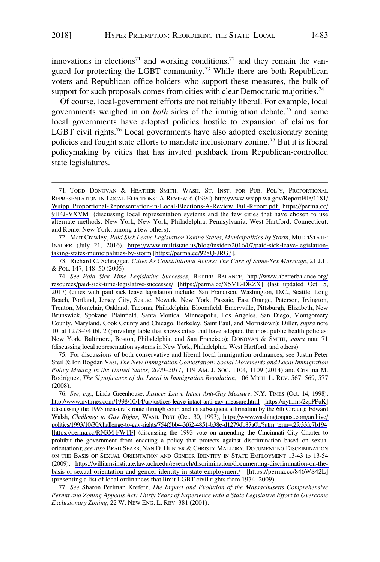innovations in elections<sup>71</sup> and working conditions,<sup>72</sup> and they remain the vanguard for protecting the LGBT community.<sup>73</sup> While there are both Republican voters and Republican office-holders who support these measures, the bulk of support for such proposals comes from cities with clear Democratic majorities.<sup>74</sup>

Of course, local-government efforts are not reliably liberal. For example, local governments weighed in on *both* sides of the immigration debate,75 and some local governments have adopted policies hostile to expansion of claims for LGBT civil rights.<sup>76</sup> Local governments have also adopted exclusionary zoning policies and fought state efforts to mandate inclusionary zoning.<sup>77</sup> But it is liberal policymaking by cities that has invited pushback from Republican-controlled state legislatures.

Matt Crawley, *Paid Sick Leave Legislation Taking States, Municipalities by Storm*, MULTISTATE: 72. INSIDER (July 21, 2016), [https://www.multistate.us/blog/insider/2016/07/paid-sick-leave-legislation](https://www.multistate.us/blog/insider/2016/07/paid-sick-leave-legislation-taking-states-municipalities-by-storm)[taking-states-municipalities-by-storm](https://www.multistate.us/blog/insider/2016/07/paid-sick-leave-legislation-taking-states-municipalities-by-storm) [\[https://perma.cc/928Q-JRG3](https://perma.cc/928Q-JRG3)].

73. Richard C. Schragger, *Cities As Constitutional Actors: The Case of Same-Sex Marriage*, 21 J.L. & POL. 147, 148–50 (2005).

*See Paid Sick Time Legislative Successes*, BETTER BALANCE, [http://www.abetterbalance.org/](http://www.abetterbalance.org/resources/paid-sick-time-legislative-successes/) 74. [resources/paid-sick-time-legislative-successes/](http://www.abetterbalance.org/resources/paid-sick-time-legislative-successes/) [\[https://perma.cc/X5ME-DRZX\]](https://perma.cc/X5ME-DRZX) (last updated Oct. 5, 2017) (cities with paid sick leave legislation include: San Francisco, Washington, D.C., Seattle, Long Beach, Portland, Jersey City, Seatac, Newark, New York, Passaic, East Orange, Paterson, Irvington, Trenton, Montclair, Oakland, Tacoma, Philadelphia, Bloomfield, Emeryville, Pittsburgh, Elizabeth, New Brunswick, Spokane, Plainfield, Santa Monica, Minneapolis, Los Angeles, San Diego, Montgomery County, Maryland, Cook County and Chicago, Berkeley, Saint Paul, and Morristown); Diller, *supra* note 10, at 1273–74 tbl. 2 (providing table that shows cities that have adopted the most public health policies: New York, Baltimore, Boston, Philadelphia, and San Francisco); DONOVAN & SMITH, *supra* note 71 (discussing local representation systems in New York, Philadelphia, West Hartford, and others).

75. For discussions of both conservative and liberal local immigration ordinances, see Justin Peter Steil & Ion Bogdan Vasi, *The New Immigration Contestation: Social Movements and Local Immigration Policy Making in the United States, 2000–2011*, 119 AM. J. SOC. 1104, 1109 (2014) and Cristina M. Rodrı´guez, *The Significance of the Local in Immigration Regulation*, 106 MICH. L. REV. 567, 569, 577 (2008).

*See, e.g*., Linda Greenhouse, *Justices Leave Intact Anti-Gay Measure*, N.Y. TIMES (Oct. 14, 1998), 76. <http://www.nytimes.com/1998/10/14/us/justices-leave-intact-anti-gay-measure.html>[\[https://nyti.ms/2zpPPuK](https://nyti.ms/2zpPPuK)] (discussing the 1993 measure's route through court and its subsequent affirmation by the 6th Circuit); Edward Walsh, *Challenge to Gay Rights*, WASH. POST (Oct. 30, 1993), [https://www.washingtonpost.com/archive/](https://www.washingtonpost.com/archive/politics/1993/10/30/challenge-to-gay-rights/754f5bb4-3f62-4851-b38e-d1279db87a0b/?utm_term=.2fc33fc7b194)  [politics/1993/10/30/challenge-to-gay-rights/754f5bb4-3f62-4851-b38e-d1279db87a0b/?utm\\_term=.2fc33fc7b194](https://www.washingtonpost.com/archive/politics/1993/10/30/challenge-to-gay-rights/754f5bb4-3f62-4851-b38e-d1279db87a0b/?utm_term=.2fc33fc7b194)  [\[https://perma.cc/RN3M-FWTF](https://perma.cc/RN3M-FWTF)] (discussing the 1993 vote on amending the Cincinnati City Charter to prohibit the government from enacting a policy that protects against discrimination based on sexual orientation); *see also* BRAD SEARS, NAN D. HUNTER & CHRISTY MALLORY, DOCUMENTING DISCRIMINATION ON THE BASIS OF SEXUAL ORIENTATION AND GENDER IDENTITY IN STATE EMPLOYMENT 13-43 to 13-54 (2009), [https://williamsinstitute.law.ucla.edu/research/discrimination/documenting-discrimination-on-the](https://williamsinstitute.law.ucla.edu/research/discrimination/documenting-discrimination-on-the-basis-of-sexual-orientation-and-gender-identity-in-state-employment/)[basis-of-sexual-orientation-and-gender-identity-in-state-employment/](https://williamsinstitute.law.ucla.edu/research/discrimination/documenting-discrimination-on-the-basis-of-sexual-orientation-and-gender-identity-in-state-employment/) [<https://perma.cc/846WS42L>] (presenting a list of local ordinances that limit LGBT civil rights from 1974–2009).

77. *See* Sharon Perlman Krefetz, *The Impact and Evolution of the Massachusetts Comprehensive Permit and Zoning Appeals Act: Thirty Years of Experience with a State Legislative Effort to Overcome Exclusionary Zoning*, 22 W. NEW ENG. L. REV. 381 (2001).

<sup>71.</sup> TODD DONOVAN & HEATHER SMITH, WASH. ST. INST. FOR PUB. POL'Y, PROPORTIONAL REPRESENTATION IN LOCAL ELECTIONS: A REVIEW 6 (1994) [http://www.wsipp.wa.gov/ReportFile/1181/](http://www.wsipp.wa.gov/ReportFile/1181/Wsipp_Proportional-Representation-in-Local-Elections-A-Review_Full-Report.pdf) [Wsipp\\_Proportional-Representation-in-Local-Elections-A-Review\\_Full-Report.pdf](http://www.wsipp.wa.gov/ReportFile/1181/Wsipp_Proportional-Representation-in-Local-Elections-A-Review_Full-Report.pdf) [\[https://perma.cc/](https://perma.cc/9H4J-VXVM)  [9H4J-VXVM\]](https://perma.cc/9H4J-VXVM) (discussing local representation systems and the few cities that have chosen to use alternate methods: New York, New York, Philadelphia, Pennsylvania, West Hartford, Connecticut, and Rome, New York, among a few others).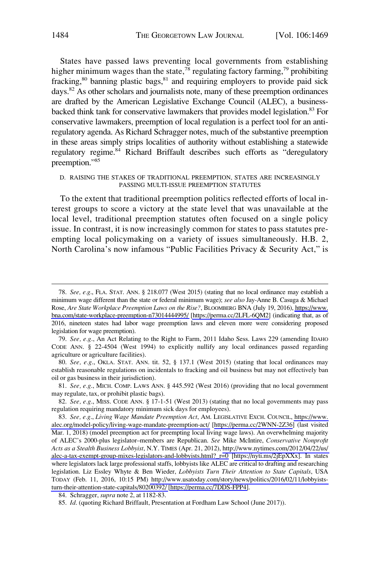<span id="page-15-0"></span>States have passed laws preventing local governments from establishing higher minimum wages than the state,<sup>78</sup> regulating factory farming,<sup>79</sup> prohibiting fracking,<sup>80</sup> banning plastic bags,<sup>81</sup> and requiring employers to provide paid sick days.<sup>82</sup> As other scholars and journalists note, many of these preemption ordinances are drafted by the American Legislative Exchange Council (ALEC), a businessbacked think tank for conservative lawmakers that provides model legislation.<sup>83</sup> For conservative lawmakers, preemption of local regulation is a perfect tool for an antiregulatory agenda. As Richard Schragger notes, much of the substantive preemption in these areas simply strips localities of authority without establishing a statewide regulatory regime.<sup>84</sup> Richard Briffault describes such efforts as "deregulatory preemption."85

#### D. RAISING THE STAKES OF TRADITIONAL PREEMPTION, STATES ARE INCREASINGLY PASSING MULTI-ISSUE PREEMPTION STATUTES

To the extent that traditional preemption politics reflected efforts of local interest groups to score a victory at the state level that was unavailable at the local level, traditional preemption statutes often focused on a single policy issue. In contrast, it is now increasingly common for states to pass statutes preempting local policymaking on a variety of issues simultaneously. H.B. 2, North Carolina's now infamous "Public Facilities Privacy & Security Act," is

*See, e.g*., FLA. STAT. ANN. § 218.077 (West 2015) (stating that no local ordinance may establish a 78. minimum wage different than the state or federal minimum wage); *see also* Jay-Anne B. Casuga & Michael Rose, *Are State Workplace Preemption Laws on the Rise?*, BLOOMBERG BNA (July 19, 2016), [https://www.](https://www.bna.com/state-workplace-preemption-n73014444995/) [bna.com/state-workplace-preemption-n73014444995/](https://www.bna.com/state-workplace-preemption-n73014444995/) [\[https://perma.cc/2LFL-6QM2\]](https://perma.cc/2LFL-6QM2) (indicating that, as of 2016, nineteen states had labor wage preemption laws and eleven more were considering proposed legislation for wage preemption).

<sup>79.</sup> *See, e.g*., An Act Relating to the Right to Farm, 2011 Idaho Sess. Laws 229 (amending IDAHO CODE ANN. § 22-4504 (West 1994) to explicitly nullify any local ordinances passed regarding agriculture or agriculture facilities).

<sup>80.</sup> *See, e.g*., OKLA. STAT. ANN. tit. 52, § 137.1 (West 2015) (stating that local ordinances may establish reasonable regulations on incidentals to fracking and oil business but may not effectively ban oil or gas business in their jurisdiction).

<sup>81.</sup> *See, e.g*., MICH. COMP. LAWS ANN. § 445.592 (West 2016) (providing that no local government may regulate, tax, or prohibit plastic bags).

<sup>82.</sup> *See, e.g*., MISS. CODE ANN. § 17-1-51 (West 2013) (stating that no local governments may pass regulation requiring mandatory minimum sick days for employees).

*See, e.g*., *Living Wage Mandate Preemption Act*, AM. LEGISLATIVE EXCH. COUNCIL, [https://www.](https://www.alec.org/model-policy/living-wage-mandate-preemption-act/)  83. [alec.org/model-policy/living-wage-mandate-preemption-act/](https://www.alec.org/model-policy/living-wage-mandate-preemption-act/) [\[https://perma.cc/2WNN-2Z36](https://perma.cc/2WNN-2Z36)] (last visited Mar. 1, 2018) (model preemption act for preempting local living wage laws). An overwhelming majority of ALEC's 2000-plus legislator–members are Republican. *See* Mike McIntire, *Conservative Nonprofit Acts as a Stealth Business Lobbyist*, N.Y. TIMES (Apr. 21, 2012), [http://www.nytimes.com/2012/04/22/us/](http://www.nytimes.com/2012/04/22/us/alec-a-tax-exempt-group-mixes-legislators-and-lobbyists.html?_r=0)  [alec-a-tax-exempt-group-mixes-legislators-and-lobbyists.html?\\_r=0](http://www.nytimes.com/2012/04/22/us/alec-a-tax-exempt-group-mixes-legislators-and-lobbyists.html?_r=0) [<https://nyti.ms/2jEpXXx>]. In states where legislators lack large professional staffs, lobbyists like ALEC are critical to drafting and researching legislation. Liz Essley Whyte & Ben Wieder, *Lobbyists Turn Their Attention to State Capitals*, USA TODAY (Feb. 11, 2016, 10:15 PM) [http://www.usatoday.com/story/news/politics/2016/02/11/lobbyists](http://www.usatoday.com/story/news/politics/2016/02/11/lobbyists-turn-their-attention-state-capitals/80200392/)[turn-their-attention-state-capitals/80200392/](http://www.usatoday.com/story/news/politics/2016/02/11/lobbyists-turn-their-attention-state-capitals/80200392/) [\[https://perma.cc/7DDS-FPP4\]](https://perma.cc/7DDS-FPP4).

<sup>84.</sup> Schragger, *supra* note 2, at 1182-83.

<sup>85.</sup> *Id*. (quoting Richard Briffault, Presentation at Fordham Law School (June 2017)).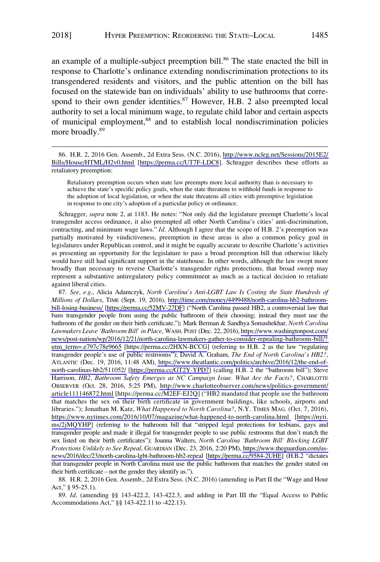an example of a multiple-subject preemption bill.<sup>86</sup> The state enacted the bill in response to Charlotte's ordinance extending nondiscrimination protections to its transgendered residents and visitors, and the public attention on the bill has focused on the statewide ban on individuals' ability to use bathrooms that correspond to their own gender identities. $87$  However, H.B. 2 also preempted local authority to set a local minimum wage, to regulate child labor and certain aspects of municipal employment,<sup>88</sup> and to establish local nondiscrimination policies more broadly.<sup>89</sup>

Retaliatory preemption occurs when state law preempts more local authority than is necessary to achieve the state's specific policy goals, when the state threatens to withhold funds in response to the adoption of local legislation, or when the state threatens all cities with preemptive legislation in response to one city's adoption of a particular policy or ordinance.

Schragger, *supra* note 2, at 1183. He notes: "Not only did the legislature preempt Charlotte's local transgender access ordinance, it also preempted all other North Carolina's cities' anti-discrimination, contracting, and minimum wage laws." *Id*. Although I agree that the scope of H.B. 2's preemption was partially motivated by vindictiveness, preemption in these areas is also a common policy goal in legislatures under Republican control, and it might be equally accurate to describe Charlotte's activities as presenting an opportunity for the legislature to pass a broad preemption bill that otherwise likely would have still had significant support in the statehouse. In other words, although the law swept more broadly than necessary to reverse Charlotte's transgender rights protections, that broad sweep may represent a substantive antiregulatory policy commitment as much as a tactical decision to retaliate against liberal cities.

*See, e.g*., Alicia Adamczyk, *North Carolina's Anti-LGBT Law Is Costing the State Hundreds of*  87. *Millions of Dollars*, TIME (Sept. 19, 2016), [http://time.com/money/4499488/north-carolina-hb2-bathroom](http://time.com/money/4499488/north-carolina-hb2-bathroom-bill-losing-business/)[bill-losing-business/](http://time.com/money/4499488/north-carolina-hb2-bathroom-bill-losing-business/) [\[https://perma.cc/52MV-27DF](https://perma.cc/52MV-27DF)] ("North Carolina passed HB2, a controversial law that bans transgender people from using the public bathroom of their choosing; instead they must use the bathroom of the gender on their birth certificate."); Mark Berman & Sandhya Somashekhar, *North Carolina Lawmakers Leave 'Bathroom Bill' in Place*, WASH. POST (Dec. 22, 2016), [https://www.washingtonpost.com/](https://www.washingtonpost.com/news/post-nation/wp/2016/12/21/north-carolina-lawmakers-gather-to-consider-repealing-bathroom-bill/?utm_term=.e797c78e9665) [news/post-nation/wp/2016/12/21/north-carolina-lawmakers-gather-to-consider-repealing-bathroom-bill/?](https://www.washingtonpost.com/news/post-nation/wp/2016/12/21/north-carolina-lawmakers-gather-to-consider-repealing-bathroom-bill/?utm_term=.e797c78e9665)  [utm\\_term=.e797c78e9665](https://www.washingtonpost.com/news/post-nation/wp/2016/12/21/north-carolina-lawmakers-gather-to-consider-repealing-bathroom-bill/?utm_term=.e797c78e9665) [<https://perma.cc/2HXN-BCCG>] (referring to H.B. 2 as the law "regulating transgender people's use of public restrooms"); David A. Graham, *The End of North Carolina's HB2?*, ATLANTIC (Dec. 19, 2016, 11:48 AM), [https://www.theatlantic.com/politics/archive/2016/12/the-end-of](https://www.theatlantic.com/politics/archive/2016/12/the-end-of-north-carolinas-hb2/511052/)[north-carolinas-hb2/511052/](https://www.theatlantic.com/politics/archive/2016/12/the-end-of-north-carolinas-hb2/511052/) [[https://perma.cc/GT2Y-YPD7\]](https://perma.cc/GT2Y-YPD7) (calling H.B. 2 the "bathroom bill"); Steve Harrison, *HB2*, *Bathroom Safety Emerges as NC Campaign Issue. What Are the Facts?*, CHARLOTTE OBSERVER (Oct. 28, 2016, 5:25 PM), [http://www.charlotteobserver.com/news/politics-government/](http://www.charlotteobserver.com/news/politics-government/article111146872.html)  [article111146872.html](http://www.charlotteobserver.com/news/politics-government/article111146872.html) [\[https://perma.cc/M2EF-EJ2Q\]](https://perma.cc/M2EF-EJ2Q) ("HB2 mandated that people use the bathroom that matches the sex on their birth certificate in government buildings, like schools, airports and libraries."); Jonathan M. Katz, *What Happened to North Carolina?*, N.Y. TIMES MAG. (Oct. 7, 2016), <https://www.nytimes.com/2016/10/07/magazine/what-happened-to-north-carolina.html>[[https://nyti.](https://nyti.ms/2jMQYHP) [ms/2jMQYHP\]](https://nyti.ms/2jMQYHP) (referring to the bathroom bill that "stripped legal protections for lesbians, gays and transgender people and made it illegal for transgender people to use public restrooms that don't match the sex listed on their birth certificates"); Joanna Walters, *North Carolina 'Bathroom Bill' Blocking LGBT Protections Unlikely to See Repeal*, GUARDIAN (Dec. 23, 2016, 2:20 PM), [https://www.theguardian.com/us](https://www.theguardian.com/us-news/2016/dec/23/north-carolina-lgbt-bathroom-hb2-repeal)[news/2016/dec/23/north-carolina-lgbt-bathroom-hb2-repeal](https://www.theguardian.com/us-news/2016/dec/23/north-carolina-lgbt-bathroom-hb2-repeal) [\[https://perma.cc/9584-2UHE](https://perma.cc/9584-2UHE)] (H.B.2 "dictates that transgender people in North Carolina must use the public bathroom that matches the gender stated on their birth certificate – not the gender they identify as.").

88. H.R. 2, 2016 Gen. Assemb., 2d Extra Sess. (N.C. 2016) (amending in Part II the "Wage and Hour Act," § 95-25.1).

89. *Id*. (amending §§ 143-422.2, 143-422.3, and adding in Part III the "Equal Access to Public Accommodations Act," §§ 143-422.11 to -422.13).

H.R. 2, 2016 Gen. Assemb., 2d Extra Sess. (N.C. 2016), [http://www.ncleg.net/Sessions/2015E2/](http://www.ncleg.net/Sessions/2015E2/Bills/House/HTML/H2v0.html)  86. [Bills/House/HTML/H2v0.html](http://www.ncleg.net/Sessions/2015E2/Bills/House/HTML/H2v0.html) [<https://perma.cc/UT7F-LDC8>]. Schragger describes these efforts as retaliatory preemption: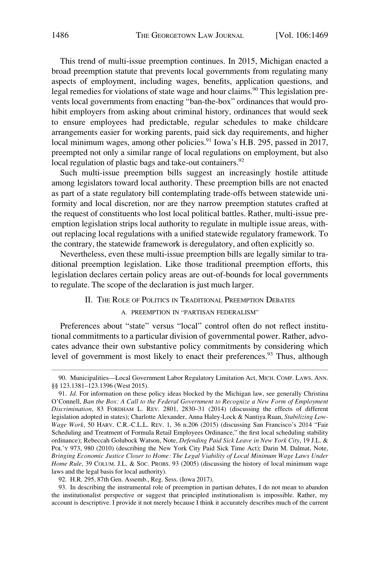<span id="page-17-0"></span>This trend of multi-issue preemption continues. In 2015, Michigan enacted a broad preemption statute that prevents local governments from regulating many aspects of employment, including wages, benefits, application questions, and legal remedies for violations of state wage and hour claims.<sup>90</sup> This legislation prevents local governments from enacting "ban-the-box" ordinances that would prohibit employers from asking about criminal history, ordinances that would seek to ensure employees had predictable, regular schedules to make childcare arrangements easier for working parents, paid sick day requirements, and higher local minimum wages, among other policies.<sup>91</sup> Iowa's H.B. 295, passed in 2017, preempted not only a similar range of local regulations on employment, but also local regulation of plastic bags and take-out containers.<sup>92</sup>

Such multi-issue preemption bills suggest an increasingly hostile attitude among legislators toward local authority. These preemption bills are not enacted as part of a state regulatory bill contemplating trade-offs between statewide uniformity and local discretion, nor are they narrow preemption statutes crafted at the request of constituents who lost local political battles. Rather, multi-issue preemption legislation strips local authority to regulate in multiple issue areas, without replacing local regulations with a unified statewide regulatory framework. To the contrary, the statewide framework is deregulatory, and often explicitly so.

Nevertheless, even these multi-issue preemption bills are legally similar to traditional preemption legislation. Like those traditional preemption efforts, this legislation declares certain policy areas are out-of-bounds for local governments to regulate. The scope of the declaration is just much larger.

#### II. THE ROLE OF POLITICS IN TRADITIONAL PREEMPTION DEBATES

### A. PREEMPTION IN "PARTISAN FEDERALISM"

Preferences about "state" versus "local" control often do not reflect institutional commitments to a particular division of governmental power. Rather, advocates advance their own substantive policy commitments by considering which level of government is most likely to enact their preferences.<sup>93</sup> Thus, although

<sup>90.</sup> Municipalities—Local Government Labor Regulatory Limitation Act, MICH. COMP. LAWS. ANN. §§ 123.1381–123.1396 (West 2015).

<sup>91.</sup> *Id*. For information on these policy ideas blocked by the Michigan law, see generally Christina O'Connell, *Ban the Box: A Call to the Federal Government to Recognize a New Form of Employment Discrimination*, 83 FORDHAM L. REV. 2801, 2830–31 (2014) (discussing the effects of different legislation adopted in states); Charlotte Alexander, Anna Haley-Lock & Nantiya Ruan, *Stabilizing Low-Wage Work*, 50 HARV. C.R.-C.L.L. REV. 1, 36 n.206 (2015) (discussing San Francisco's 2014 "Fair Scheduling and Treatment of Formula Retail Employees Ordinance," the first local scheduling stability ordinance); Rebeccah Golubock Watson, Note, *Defending Paid Sick Leave in New York City*, 19 J.L. & POL'Y 973, 980 (2010) (describing the New York City Paid Sick Time Act); Darin M. Dalmat, Note, *Bringing Economic Justice Closer to Home: The Legal Viability of Local Minimum Wage Laws Under Home Rule*, 39 COLUM. J.L. & Soc. PROBS. 93 (2005) (discussing the history of local minimum wage laws and the legal basis for local authority).

<sup>92.</sup> H.R. 295, 87th Gen. Assemb., Reg. Sess. (Iowa 2017).

<sup>93.</sup> In describing the instrumental role of preemption in partisan debates, I do not mean to abandon the institutionalist perspective or suggest that principled institutionalism is impossible. Rather, my account is descriptive. I provide it not merely because I think it accurately describes much of the current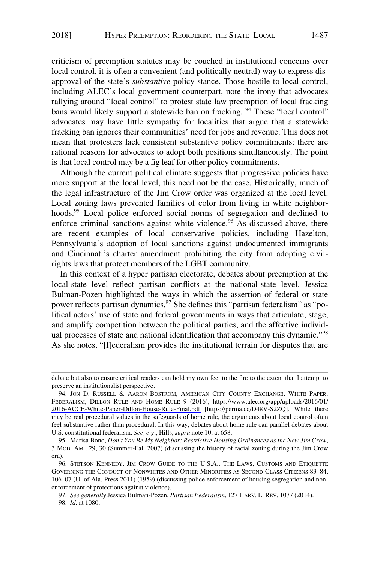criticism of preemption statutes may be couched in institutional concerns over local control, it is often a convenient (and politically neutral) way to express disapproval of the state's *substantive* policy stance. Those hostile to local control, including ALEC's local government counterpart, note the irony that advocates rallying around "local control" to protest state law preemption of local fracking bans would likely support a statewide ban on fracking. <sup>94</sup> These "local control" advocates may have little sympathy for localities that argue that a statewide fracking ban ignores their communities' need for jobs and revenue. This does not mean that protesters lack consistent substantive policy commitments; there are rational reasons for advocates to adopt both positions simultaneously. The point is that local control may be a fig leaf for other policy commitments.

Although the current political climate suggests that progressive policies have more support at the local level, this need not be the case. Historically, much of the legal infrastructure of the Jim Crow order was organized at the local level. Local zoning laws prevented families of color from living in white neighborhoods.<sup>95</sup> Local police enforced social norms of segregation and declined to enforce criminal sanctions against white violence.<sup>96</sup> As discussed above, there are recent examples of local conservative policies, including Hazelton, Pennsylvania's adoption of local sanctions against undocumented immigrants and Cincinnati's charter amendment prohibiting the city from adopting civilrights laws that protect members of the LGBT community.

In this context of a hyper partisan electorate, debates about preemption at the local-state level reflect partisan conflicts at the national-state level. Jessica Bulman-Pozen highlighted the ways in which the assertion of federal or state power reflects partisan dynamics.<sup>97</sup> She defines this "partisan federalism" as "political actors' use of state and federal governments in ways that articulate, stage, and amplify competition between the political parties, and the affective individual processes of state and national identification that accompany this dynamic."98 As she notes, "[f]ederalism provides the institutional terrain for disputes that are

debate but also to ensure critical readers can hold my own feet to the fire to the extent that I attempt to preserve an institutionalist perspective.

<sup>94.</sup> JON D. RUSSELL & AARON BOSTROM, AMERICAN CITY COUNTY EXCHANGE, WHITE PAPER: FEDERALISM, DILLON RULE AND HOME RULE 9 (2016), [https://www.alec.org/app/uploads/2016/01/](https://www.alec.org/app/uploads/2016/01/2016-ACCE-White-Paper-Dillon-House-Rule-Final.pdf)  [2016-ACCE-White-Paper-Dillon-House-Rule-Final.pdf](https://www.alec.org/app/uploads/2016/01/2016-ACCE-White-Paper-Dillon-House-Rule-Final.pdf) [<https://perma.cc/D48V-S2ZQ>]. While there may be real procedural values in the safeguards of home rule, the arguments about local control often feel substantive rather than procedural. In this way, debates about home rule can parallel debates about U.S. constitutional federalism. *See, e.g*., Hills, *supra* note 10, at 658.

<sup>95.</sup> Marisa Bono, *Don't You Be My Neighbor: Restrictive Housing Ordinances as the New Jim Crow*, 3 MOD. AM., 29, 30 (Summer-Fall 2007) (discussing the history of racial zoning during the Jim Crow era).

<sup>96.</sup> STETSON KENNEDY, JIM CROW GUIDE TO THE U.S.A.: THE LAWS, CUSTOMS AND ETIQUETTE GOVERNING THE CONDUCT OF NONWHITES AND OTHER MINORITIES AS SECOND-CLASS CITIZENS 83–84, 106–07 (U. of Ala. Press 2011) (1959) (discussing police enforcement of housing segregation and nonenforcement of protections against violence).

<sup>97.</sup> *See generally* Jessica Bulman-Pozen, *Partisan Federalism*, 127 HARV. L. REV. 1077 (2014). 98. *Id*. at 1080.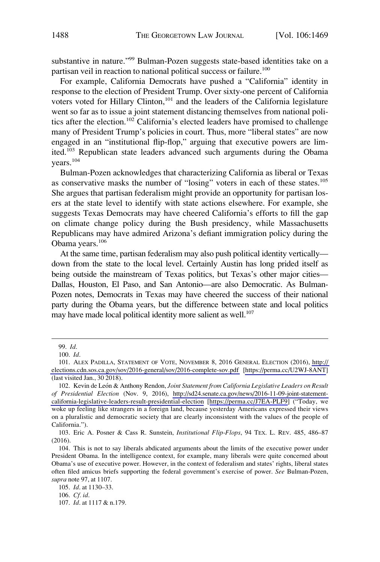substantive in nature."99 Bulman-Pozen suggests state-based identities take on a partisan veil in reaction to national political success or failure.<sup>100</sup>

For example, California Democrats have pushed a "California" identity in response to the election of President Trump. Over sixty-one percent of California voters voted for Hillary Clinton,<sup>101</sup> and the leaders of the California legislature went so far as to issue a joint statement distancing themselves from national politics after the election.<sup>102</sup> California's elected leaders have promised to challenge many of President Trump's policies in court. Thus, more "liberal states" are now engaged in an "institutional flip-flop," arguing that executive powers are limited.<sup>103</sup> Republican state leaders advanced such arguments during the Obama years.<sup>104</sup>

Bulman-Pozen acknowledges that characterizing California as liberal or Texas as conservative masks the number of "losing" voters in each of these states.<sup>105</sup> She argues that partisan federalism might provide an opportunity for partisan losers at the state level to identify with state actions elsewhere. For example, she suggests Texas Democrats may have cheered California's efforts to fill the gap on climate change policy during the Bush presidency, while Massachusetts Republicans may have admired Arizona's defiant immigration policy during the Obama years.<sup>106</sup>

At the same time, partisan federalism may also push political identity vertically down from the state to the local level. Certainly Austin has long prided itself as being outside the mainstream of Texas politics, but Texas's other major cities— Dallas, Houston, El Paso, and San Antonio—are also Democratic. As Bulman-Pozen notes, Democrats in Texas may have cheered the success of their national party during the Obama years, but the difference between state and local politics may have made local political identity more salient as well.<sup>107</sup>

105. *Id*. at 1130–33.

107. *Id*. at 1117 & n.179.

<sup>99.</sup> *Id*.

<sup>100.</sup> *Id*.

<sup>101.</sup> ALEX PADILLA, STATEMENT OF VOTE, NOVEMBER 8, 2016 GENERAL ELECTION (2016), http:// [elections.cdn.sos.ca.gov/sov/2016-general/sov/2016-complete-sov.pdf](http://elections.cdn.sos.ca.gov/sov/2016-general/sov/2016-complete-sov.pdf) [\[https://perma.cc/U2WJ-8ANT](https://perma.cc/U2WJ-8ANT)] (last visited Jan., 30 2018).

<sup>102.</sup> Kevin de León & Anthony Rendon, *Joint Statement from California Legislative Leaders on Result of Presidential Election* (Nov. 9, 2016), [http://sd24.senate.ca.gov/news/2016-11-09-joint-statement](http://sd24.senate.ca.gov/news/2016-11-09-joint-statement-california-legislative-leaders-result-presidential-election)[california-legislative-leaders-result-presidential-election](http://sd24.senate.ca.gov/news/2016-11-09-joint-statement-california-legislative-leaders-result-presidential-election) [[https://perma.cc/J7EA-PLF9\]](https://perma.cc/J7EA-PLF9) ("Today, we woke up feeling like strangers in a foreign land, because yesterday Americans expressed their views on a pluralistic and democratic society that are clearly inconsistent with the values of the people of California.").

<sup>103.</sup> Eric A. Posner & Cass R. Sunstein, *Institutional Flip-Flops*, 94 TEX. L. REV. 485, 486–87 (2016).

<sup>104.</sup> This is not to say liberals abdicated arguments about the limits of the executive power under President Obama. In the intelligence context, for example, many liberals were quite concerned about Obama's use of executive power. However, in the context of federalism and states' rights, liberal states often filed amicus briefs supporting the federal government's exercise of power. *See* Bulman-Pozen, *supra* note 97, at 1107.

<sup>106.</sup> *Cf. id*.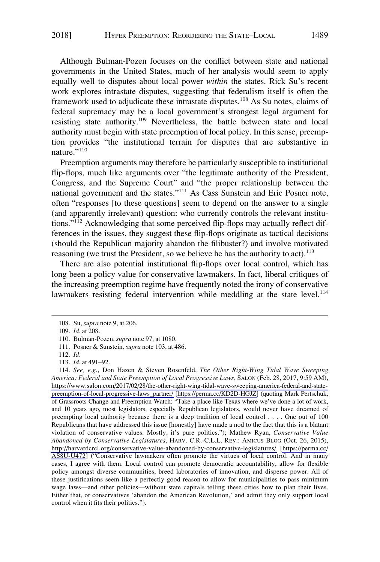Although Bulman-Pozen focuses on the conflict between state and national governments in the United States, much of her analysis would seem to apply equally well to disputes about local power *within* the states. Rick Su's recent work explores intrastate disputes, suggesting that federalism itself is often the framework used to adjudicate these intrastate disputes.<sup>108</sup> As Su notes, claims of federal supremacy may be a local government's strongest legal argument for resisting state authority.<sup>109</sup> Nevertheless, the battle between state and local authority must begin with state preemption of local policy. In this sense, preemption provides "the institutional terrain for disputes that are substantive in nature."<sup>110</sup>

Preemption arguments may therefore be particularly susceptible to institutional flip-flops, much like arguments over "the legitimate authority of the President, Congress, and the Supreme Court" and "the proper relationship between the national government and the states."111 As Cass Sunstein and Eric Posner note, often "responses [to these questions] seem to depend on the answer to a single (and apparently irrelevant) question: who currently controls the relevant institutions."112 Acknowledging that some perceived flip-flops may actually reflect differences in the issues, they suggest these flip-flops originate as tactical decisions (should the Republican majority abandon the filibuster?) and involve motivated reasoning (we trust the President, so we believe he has the authority to act).<sup>113</sup>

There are also potential institutional flip-flops over local control, which has long been a policy value for conservative lawmakers. In fact, liberal critiques of the increasing preemption regime have frequently noted the irony of conservative lawmakers resisting federal intervention while meddling at the state level.<sup>114</sup>

<sup>108.</sup> Su, *supra* note 9, at 206.

<sup>109.</sup> *Id*. at 208.

<sup>110.</sup> Bulman-Pozen, *supra* note 97, at 1080.

<sup>111.</sup> Posner & Sunstein*, supra* note 103, at 486.

<sup>112.</sup> *Id*.

<sup>113.</sup> *Id*. at 491–92.

*See, e.g*., Don Hazen & Steven Rosenfeld, *The Other Right-Wing Tidal Wave Sweeping*  114. *America: Federal and State Preemption of Local Progressive Laws*, SALON (Feb. 28, 2017, 9:59 AM), [https://www.salon.com/2017/02/28/the-other-right-wing-tidal-wave-sweeping-america-federal-and-state](https://www.salon.com/2017/02/28/the-other-right-wing-tidal-wave-sweeping-america-federal-and-state-preemption-of-local-progressive-laws_partner/)[preemption-of-local-progressive-laws\\_partner/](https://www.salon.com/2017/02/28/the-other-right-wing-tidal-wave-sweeping-america-federal-and-state-preemption-of-local-progressive-laws_partner/) [\[https://perma.cc/KD2D-HGJZ\]](https://perma.cc/KD2D-HGJZ) (quoting Mark Pertschuk, of Grassroots Change and Preemption Watch: "Take a place like Texas where we've done a lot of work, and 10 years ago, most legislators, especially Republican legislators, would never have dreamed of preempting local authority because there is a deep tradition of local control . . . . One out of 100 Republicans that have addressed this issue [honestly] have made a nod to the fact that this is a blatant violation of conservative values. Mostly, it's pure politics."); Mathew Ryan, *Conservative Value Abandoned by Conservative Legislatures*, HARV. C.R.-C.L.L. REV.: AMICUS BLOG (Oct. 26, 2015), <http://harvardcrcl.org/conservative-value-abandoned-by-conservative-legislatures/>[\[https://perma.cc/](https://perma.cc/AS8U-U472) [AS8U-U472](https://perma.cc/AS8U-U472)] ("Conservative lawmakers often promote the virtues of local control. And in many cases, I agree with them. Local control can promote democratic accountability, allow for flexible policy amongst diverse communities, breed laboratories of innovation, and disperse power. All of these justifications seem like a perfectly good reason to allow for municipalities to pass minimum wage laws—and other policies—without state capitals telling these cities how to plan their lives. Either that, or conservatives 'abandon the American Revolution,' and admit they only support local control when it fits their politics.").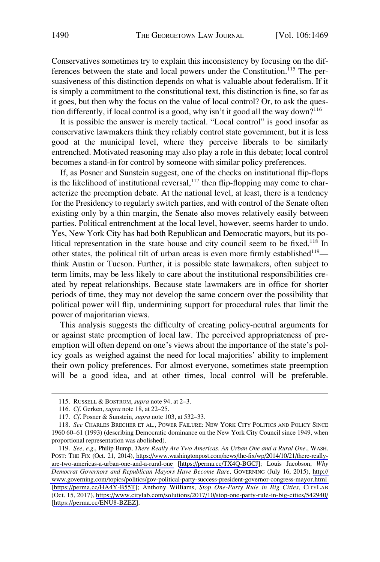Conservatives sometimes try to explain this inconsistency by focusing on the differences between the state and local powers under the Constitution.<sup>115</sup> The persuasiveness of this distinction depends on what is valuable about federalism. If it is simply a commitment to the constitutional text, this distinction is fine, so far as it goes, but then why the focus on the value of local control? Or, to ask the question differently, if local control is a good, why isn't it good all the way down?116

It is possible the answer is merely tactical. "Local control" is good insofar as conservative lawmakers think they reliably control state government, but it is less good at the municipal level, where they perceive liberals to be similarly entrenched. Motivated reasoning may also play a role in this debate; local control becomes a stand-in for control by someone with similar policy preferences.

If, as Posner and Sunstein suggest, one of the checks on institutional flip-flops is the likelihood of institutional reversal, $117$  then flip-flopping may come to characterize the preemption debate. At the national level, at least, there is a tendency for the Presidency to regularly switch parties, and with control of the Senate often existing only by a thin margin, the Senate also moves relatively easily between parties. Political entrenchment at the local level, however, seems harder to undo. Yes, New York City has had both Republican and Democratic mayors, but its political representation in the state house and city council seem to be fixed.<sup>118</sup> In other states, the political tilt of urban areas is even more firmly established $119$  think Austin or Tucson. Further, it is possible state lawmakers, often subject to term limits, may be less likely to care about the institutional responsibilities created by repeat relationships. Because state lawmakers are in office for shorter periods of time, they may not develop the same concern over the possibility that political power will flip, undermining support for procedural rules that limit the power of majoritarian views.

This analysis suggests the difficulty of creating policy-neutral arguments for or against state preemption of local law. The perceived appropriateness of preemption will often depend on one's views about the importance of the state's policy goals as weighed against the need for local majorities' ability to implement their own policy preferences. For almost everyone, sometimes state preemption will be a good idea, and at other times, local control will be preferable.

<sup>115.</sup> RUSSELL & BOSTROM, *supra* note 94, at 2–3.

<sup>116.</sup> *Cf*. Gerken, *supra* note 18, at 22–25.

<sup>117.</sup> *Cf*. Posner & Sunstein*, supra* note 103, at 532–33.

<sup>118.</sup> *See* CHARLES BRECHER ET AL., POWER FAILURE: NEW YORK CITY POLITICS AND POLICY SINCE 1960 60–61 (1993) (describing Democratic dominance on the New York City Council since 1949, when proportional representation was abolished).

*See, e.g*., Philip Bump, *There Really Are Two Americas. An Urban One and a Rural One*., WASH. 119. POST: THE FIX (Oct. 21, 2014), [https://www.washingtonpost.com/news/the-fix/wp/2014/10/21/there-really](https://www.washingtonpost.com/news/the-fix/wp/2014/10/21/there-really-are-two-americas-a-urban-one-and-a-rural-one)[are-two-americas-a-urban-one-and-a-rural-one](https://www.washingtonpost.com/news/the-fix/wp/2014/10/21/there-really-are-two-americas-a-urban-one-and-a-rural-one) [\[https://perma.cc/TX4Q-BGCJ](https://perma.cc/TX4Q-BGCJ)]; Louis Jacobson, *Why Democrat Governors and Republican Mayors Have Become Rare*, GOVERNING (July 16, 2015), [http://](http://www.governing.com/topics/politics/gov-political-party-success-president-governor-congress-mayor.html)  [www.governing.com/topics/politics/gov-political-party-success-president-governor-congress-mayor.html](http://www.governing.com/topics/politics/gov-political-party-success-president-governor-congress-mayor.html)  [\[https://perma.cc/HA4Y-B55T](https://perma.cc/HA4Y-B55T)]; Anthony Williams, *Stop One-Party Rule in Big Cities*, CITYLAB (Oct. 15, 2017),<https://www.citylab.com/solutions/2017/10/stop-one-party-rule-in-big-cities/542940/> [\[https://perma.cc/ENU8-BZEZ\]](https://perma.cc/ENU8-BZEZ).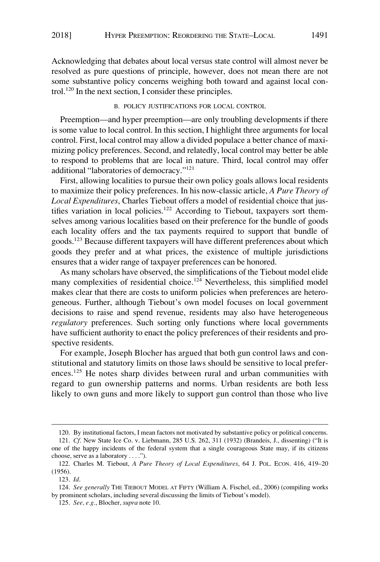<span id="page-22-0"></span>Acknowledging that debates about local versus state control will almost never be resolved as pure questions of principle, however, does not mean there are not some substantive policy concerns weighing both toward and against local control.120 In the next section, I consider these principles.

# B. POLICY JUSTIFICATIONS FOR LOCAL CONTROL

Preemption—and hyper preemption—are only troubling developments if there is some value to local control. In this section, I highlight three arguments for local control. First, local control may allow a divided populace a better chance of maximizing policy preferences. Second, and relatedly, local control may better be able to respond to problems that are local in nature. Third, local control may offer additional "laboratories of democracy."121

First, allowing localities to pursue their own policy goals allows local residents to maximize their policy preferences. In his now-classic article, *A Pure Theory of Local Expenditures*, Charles Tiebout offers a model of residential choice that justifies variation in local policies.<sup>122</sup> According to Tiebout, taxpayers sort themselves among various localities based on their preference for the bundle of goods each locality offers and the tax payments required to support that bundle of goods.123 Because different taxpayers will have different preferences about which goods they prefer and at what prices, the existence of multiple jurisdictions ensures that a wider range of taxpayer preferences can be honored.

As many scholars have observed, the simplifications of the Tiebout model elide many complexities of residential choice.<sup>124</sup> Nevertheless, this simplified model makes clear that there are costs to uniform policies when preferences are heterogeneous. Further, although Tiebout's own model focuses on local government decisions to raise and spend revenue, residents may also have heterogeneous *regulatory* preferences. Such sorting only functions where local governments have sufficient authority to enact the policy preferences of their residents and prospective residents.

For example, Joseph Blocher has argued that both gun control laws and constitutional and statutory limits on those laws should be sensitive to local preferences.<sup>125</sup> He notes sharp divides between rural and urban communities with regard to gun ownership patterns and norms. Urban residents are both less likely to own guns and more likely to support gun control than those who live

<sup>120.</sup> By institutional factors, I mean factors not motivated by substantive policy or political concerns.

<sup>121.</sup> *Cf*. New State Ice Co. v. Liebmann, 285 U.S. 262, 311 (1932) (Brandeis, J., dissenting) ("It is one of the happy incidents of the federal system that a single courageous State may, if its citizens choose, serve as a laboratory . . . .").

<sup>122.</sup> Charles M. Tiebout, *A Pure Theory of Local Expenditures*, 64 J. POL. ECON. 416, 419–20 (1956).

<sup>123.</sup> *Id*.

<sup>124.</sup> *See generally* THE TIEBOUT MODEL AT FIFTY (William A. Fischel, ed., 2006) (compiling works by prominent scholars, including several discussing the limits of Tiebout's model).

<sup>125.</sup> *See, e.g*., Blocher, *supra* note 10.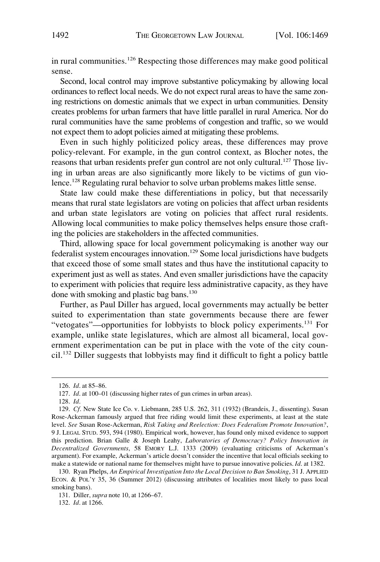in rural communities.<sup>126</sup> Respecting those differences may make good political sense.

Second, local control may improve substantive policymaking by allowing local ordinances to reflect local needs. We do not expect rural areas to have the same zoning restrictions on domestic animals that we expect in urban communities. Density creates problems for urban farmers that have little parallel in rural America. Nor do rural communities have the same problems of congestion and traffic, so we would not expect them to adopt policies aimed at mitigating these problems.

Even in such highly politicized policy areas, these differences may prove policy-relevant. For example, in the gun control context, as Blocher notes, the reasons that urban residents prefer gun control are not only cultural.<sup>127</sup> Those living in urban areas are also significantly more likely to be victims of gun violence.<sup>128</sup> Regulating rural behavior to solve urban problems makes little sense.

State law could make these differentiations in policy, but that necessarily means that rural state legislators are voting on policies that affect urban residents and urban state legislators are voting on policies that affect rural residents. Allowing local communities to make policy themselves helps ensure those crafting the policies are stakeholders in the affected communities.

Third, allowing space for local government policymaking is another way our federalist system encourages innovation.<sup>129</sup> Some local jurisdictions have budgets that exceed those of some small states and thus have the institutional capacity to experiment just as well as states. And even smaller jurisdictions have the capacity to experiment with policies that require less administrative capacity, as they have done with smoking and plastic bag bans.<sup>130</sup>

Further, as Paul Diller has argued, local governments may actually be better suited to experimentation than state governments because there are fewer "vetogates"—opportunities for lobbyists to block policy experiments.131 For example, unlike state legislatures, which are almost all bicameral, local government experimentation can be put in place with the vote of the city council.132 Diller suggests that lobbyists may find it difficult to fight a policy battle

<sup>126.</sup> *Id*. at 85–86.

<sup>127.</sup> *Id*. at 100–01 (discussing higher rates of gun crimes in urban areas).

<sup>128.</sup> *Id*.

<sup>129.</sup> *Cf*. New State Ice Co. v. Liebmann, 285 U.S. 262, 311 (1932) (Brandeis, J., dissenting). Susan Rose-Ackerman famously argued that free riding would limit these experiments, at least at the state level. *See* Susan Rose-Ackerman, *Risk Taking and Reelection: Does Federalism Promote Innovation?*, 9 J. LEGAL STUD. 593, 594 (1980). Empirical work, however, has found only mixed evidence to support this prediction. Brian Galle & Joseph Leahy, *Laboratories of Democracy? Policy Innovation in Decentralized Governments*, 58 EMORY L.J. 1333 (2009) (evaluating criticisms of Ackerman's argument). For example, Ackerman's article doesn't consider the incentive that local officials seeking to make a statewide or national name for themselves might have to pursue innovative policies. *Id*. at 1382.

<sup>130.</sup> Ryan Phelps, *An Empirical Investigation Into the Local Decision to Ban Smoking*, 31 J. APPLIED ECON. & POL'Y 35, 36 (Summer 2012) (discussing attributes of localities most likely to pass local smoking bans).

<sup>131.</sup> Diller, *supra* note 10, at 1266–67.

<sup>132.</sup> *Id*. at 1266.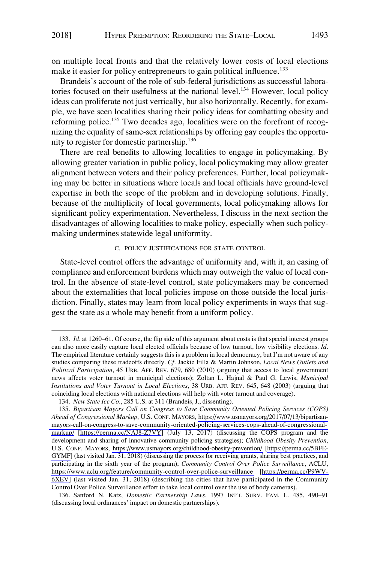<span id="page-24-0"></span>on multiple local fronts and that the relatively lower costs of local elections make it easier for policy entrepreneurs to gain political influence.<sup>133</sup>

Brandeis's account of the role of sub-federal jurisdictions as successful laboratories focused on their usefulness at the national level.<sup>134</sup> However, local policy ideas can proliferate not just vertically, but also horizontally. Recently, for example, we have seen localities sharing their policy ideas for combatting obesity and reforming police.<sup>135</sup> Two decades ago, localities were on the forefront of recognizing the equality of same-sex relationships by offering gay couples the opportunity to register for domestic partnership.136

There are real benefits to allowing localities to engage in policymaking. By allowing greater variation in public policy, local policymaking may allow greater alignment between voters and their policy preferences. Further, local policymaking may be better in situations where locals and local officials have ground-level expertise in both the scope of the problem and in developing solutions. Finally, because of the multiplicity of local governments, local policymaking allows for significant policy experimentation. Nevertheless, I discuss in the next section the disadvantages of allowing localities to make policy, especially when such policymaking undermines statewide legal uniformity.

# C. POLICY JUSTIFICATIONS FOR STATE CONTROL

State-level control offers the advantage of uniformity and, with it, an easing of compliance and enforcement burdens which may outweigh the value of local control. In the absence of state-level control, state policymakers may be concerned about the externalities that local policies impose on those outside the local jurisdiction. Finally, states may learn from local policy experiments in ways that suggest the state as a whole may benefit from a uniform policy.

<sup>133.</sup> *Id*. at 1260–61. Of course, the flip side of this argument about costs is that special interest groups can also more easily capture local elected officials because of low turnout, low visibility elections. *Id*. The empirical literature certainly suggests this is a problem in local democracy, but I'm not aware of any studies comparing these tradeoffs directly. *Cf*. Jackie Filla & Martin Johnson, *Local News Outlets and Political Participation*, 45 URB. AFF. REV. 679, 680 (2010) (arguing that access to local government news affects voter turnout in municipal elections); Zoltan L. Hajnal & Paul G. Lewis, *Municipal Institutions and Voter Turnout in Local Elections*, 38 URB. AFF. REV. 645, 648 (2003) (arguing that coinciding local elections with national elections will help with voter turnout and coverage).

<sup>134.</sup> *New State Ice Co*., 285 U.S. at 311 (Brandeis, J., dissenting).

<sup>135.</sup> Bipartisan Mayors Call on Congress to Save Community Oriented Policing Services (COPS) *Ahead of Congressional Markup*, U.S. CONF. MAYORS, [https://www.usmayors.org/2017/07/13/bipartisan](https://www.usmayors.org/2017/07/13/bipartisan-mayors-call-on-congress-to-save-community-oriented-policing-services-cops-ahead-of-congressional-markup/)[mayors-call-on-congress-to-save-community-oriented-policing-services-cops-ahead-of-congressional](https://www.usmayors.org/2017/07/13/bipartisan-mayors-call-on-congress-to-save-community-oriented-policing-services-cops-ahead-of-congressional-markup/)[markup/](https://www.usmayors.org/2017/07/13/bipartisan-mayors-call-on-congress-to-save-community-oriented-policing-services-cops-ahead-of-congressional-markup/) [<https://perma.cc/NAJ8-Z7VY>] (July 13, 2017) (discussing the COPS program and the development and sharing of innovative community policing strategies); *Childhood Obesity Prevention*, U.S. CONF. MAYORS, <https://www.usmayors.org/childhood-obesity-prevention/>[\[https://perma.cc/5BFE-](https://perma.cc/5BFE-GYMF)[GYMF](https://perma.cc/5BFE-GYMF)] (last visited Jan. 31, 2018) (discussing the process for receiving grants, sharing best practices, and participating in the sixth year of the program); *Community Control Over Police Surveillance*, ACLU, <https://www.aclu.org/feature/community-control-over-police-surveillance>[[https://perma.cc/P9WV-](https://perma.cc/P9WV-6XEV)[6XEV\]](https://perma.cc/P9WV-6XEV) (last visited Jan. 31, 2018) (describing the cities that have participated in the Community Control Over Police Surveillance effort to take local control over the use of body cameras).

<sup>136.</sup> Sanford N. Katz, *Domestic Partnership Laws*, 1997 INT'L SURV. FAM. L. 485, 490–91 (discussing local ordinances' impact on domestic partnerships).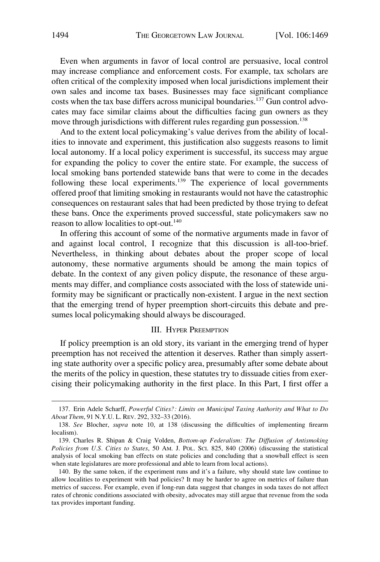<span id="page-25-0"></span>Even when arguments in favor of local control are persuasive, local control may increase compliance and enforcement costs. For example, tax scholars are often critical of the complexity imposed when local jurisdictions implement their own sales and income tax bases. Businesses may face significant compliance costs when the tax base differs across municipal boundaries.<sup>137</sup> Gun control advocates may face similar claims about the difficulties facing gun owners as they move through jurisdictions with different rules regarding gun possession.<sup>138</sup>

And to the extent local policymaking's value derives from the ability of localities to innovate and experiment, this justification also suggests reasons to limit local autonomy. If a local policy experiment is successful, its success may argue for expanding the policy to cover the entire state. For example, the success of local smoking bans portended statewide bans that were to come in the decades following these local experiments.139 The experience of local governments offered proof that limiting smoking in restaurants would not have the catastrophic consequences on restaurant sales that had been predicted by those trying to defeat these bans. Once the experiments proved successful, state policymakers saw no reason to allow localities to opt-out.<sup>140</sup>

In offering this account of some of the normative arguments made in favor of and against local control, I recognize that this discussion is all-too-brief. Nevertheless, in thinking about debates about the proper scope of local autonomy, these normative arguments should be among the main topics of debate. In the context of any given policy dispute, the resonance of these arguments may differ, and compliance costs associated with the loss of statewide uniformity may be significant or practically non-existent. I argue in the next section that the emerging trend of hyper preemption short-circuits this debate and presumes local policymaking should always be discouraged.

# III. HYPER PREEMPTION

If policy preemption is an old story, its variant in the emerging trend of hyper preemption has not received the attention it deserves. Rather than simply asserting state authority over a specific policy area, presumably after some debate about the merits of the policy in question, these statutes try to dissuade cities from exercising their policymaking authority in the first place. In this Part, I first offer a

<sup>137.</sup> Erin Adele Scharff, *Powerful Cities?: Limits on Municipal Taxing Authority and What to Do About Them*, 91 N.Y.U. L. REV. 292, 332–33 (2016).

<sup>138.</sup> *See* Blocher, *supra* note 10, at 138 (discussing the difficulties of implementing firearm localism).

<sup>139.</sup> Charles R. Shipan & Craig Volden, *Bottom-up Federalism: The Diffusion of Antismoking Policies from U.S. Cities to States*, 50 AM. J. POL. SCI. 825, 840 (2006) (discussing the statistical analysis of local smoking ban effects on state policies and concluding that a snowball effect is seen when state legislatures are more professional and able to learn from local actions).

<sup>140.</sup> By the same token, if the experiment runs and it's a failure, why should state law continue to allow localities to experiment with bad policies? It may be harder to agree on metrics of failure than metrics of success. For example, even if long-run data suggest that changes in soda taxes do not affect rates of chronic conditions associated with obesity, advocates may still argue that revenue from the soda tax provides important funding.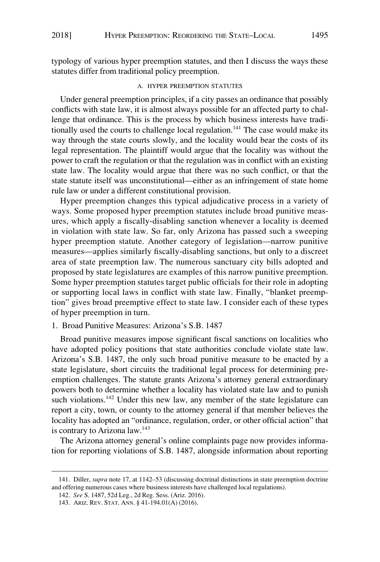<span id="page-26-0"></span>typology of various hyper preemption statutes, and then I discuss the ways these statutes differ from traditional policy preemption.

### A. HYPER PREEMPTION STATUTES

Under general preemption principles, if a city passes an ordinance that possibly conflicts with state law, it is almost always possible for an affected party to challenge that ordinance. This is the process by which business interests have traditionally used the courts to challenge local regulation.<sup>141</sup> The case would make its way through the state courts slowly, and the locality would bear the costs of its legal representation. The plaintiff would argue that the locality was without the power to craft the regulation or that the regulation was in conflict with an existing state law. The locality would argue that there was no such conflict, or that the state statute itself was unconstitutional—either as an infringement of state home rule law or under a different constitutional provision.

Hyper preemption changes this typical adjudicative process in a variety of ways. Some proposed hyper preemption statutes include broad punitive measures, which apply a fiscally-disabling sanction whenever a locality is deemed in violation with state law. So far, only Arizona has passed such a sweeping hyper preemption statute. Another category of legislation—narrow punitive measures—applies similarly fiscally-disabling sanctions, but only to a discreet area of state preemption law. The numerous sanctuary city bills adopted and proposed by state legislatures are examples of this narrow punitive preemption. Some hyper preemption statutes target public officials for their role in adopting or supporting local laws in conflict with state law. Finally, "blanket preemption" gives broad preemptive effect to state law. I consider each of these types of hyper preemption in turn.

# 1. Broad Punitive Measures: Arizona's S.B. 1487

Broad punitive measures impose significant fiscal sanctions on localities who have adopted policy positions that state authorities conclude violate state law. Arizona's S.B. 1487, the only such broad punitive measure to be enacted by a state legislature, short circuits the traditional legal process for determining preemption challenges. The statute grants Arizona's attorney general extraordinary powers both to determine whether a locality has violated state law and to punish such violations.<sup>142</sup> Under this new law, any member of the state legislature can report a city, town, or county to the attorney general if that member believes the locality has adopted an "ordinance, regulation, order, or other official action" that is contrary to Arizona law.<sup>143</sup>

The Arizona attorney general's online complaints page now provides information for reporting violations of S.B. 1487, alongside information about reporting

<sup>141.</sup> Diller, *supra* note 17, at 1142–53 (discussing doctrinal distinctions in state preemption doctrine and offering numerous cases where business interests have challenged local regulations).

<sup>142.</sup> *See* S. 1487, 52d Leg., 2d Reg. Sess. (Ariz. 2016).

<sup>143.</sup> ARIZ. REV. STAT. ANN. § 41-194.01(A) (2016).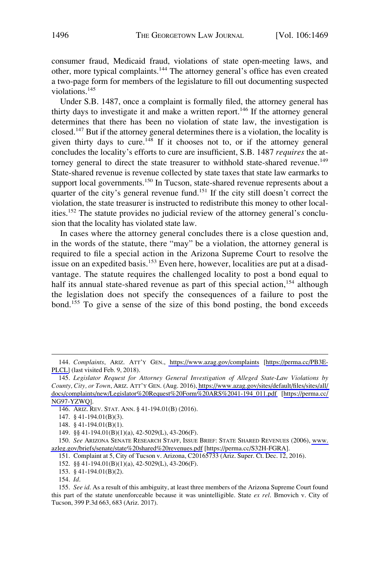consumer fraud, Medicaid fraud, violations of state open-meeting laws, and other, more typical complaints.<sup>144</sup> The attorney general's office has even created a two-page form for members of the legislature to fill out documenting suspected violations.<sup>145</sup>

Under S.B. 1487, once a complaint is formally filed, the attorney general has thirty days to investigate it and make a written report.<sup>146</sup> If the attorney general determines that there has been no violation of state law, the investigation is closed.<sup>147</sup> But if the attorney general determines there is a violation, the locality is given thirty days to cure.<sup>148</sup> If it chooses not to, or if the attorney general concludes the locality's efforts to cure are insufficient, S.B. 1487 *requires* the attorney general to direct the state treasurer to withhold state-shared revenue.<sup>149</sup> State-shared revenue is revenue collected by state taxes that state law earmarks to support local governments.<sup>150</sup> In Tucson, state-shared revenue represents about a quarter of the city's general revenue fund.<sup>151</sup> If the city still doesn't correct the violation, the state treasurer is instructed to redistribute this money to other localities.152 The statute provides no judicial review of the attorney general's conclusion that the locality has violated state law.

In cases where the attorney general concludes there is a close question and, in the words of the statute, there "may" be a violation, the attorney general is required to file a special action in the Arizona Supreme Court to resolve the issue on an expedited basis.<sup>153</sup> Even here, however, localities are put at a disadvantage. The statute requires the challenged locality to post a bond equal to half its annual state-shared revenue as part of this special action,<sup>154</sup> although the legislation does not specify the consequences of a failure to post the bond.155 To give a sense of the size of this bond posting, the bond exceeds

146. ARIZ. REV. STAT. ANN. § 41-194.01(B) (2016).

150. See ARIZONA SENATE RESEARCH STAFF, ISSUE BRIEF: STATE SHARED REVENUES (2006), www. [azleg.gov/briefs/senate/state%20shared%20revenues.pdf](http://www.azleg.gov/briefs/senate/state%20shared%20revenues.pdf) [<https://perma.cc/S32H-FGRA>].

151. Complaint at 5, City of Tucson v. Arizona, C20165733 (Ariz. Super. Ct. Dec. 12, 2016).

152. §§ 41-194.01(B)(1)(a), 42-5029(L), 43-206(F).

153. § 41-194.01(B)(2).

154. *Id*.

<sup>144.</sup> Complaints, ARIZ. ATT'Y GEN., <https://www.azag.gov/complaints>[\[https://perma.cc/PB3E-](https://perma.cc/PB3E-PLCL)[PLCL\]](https://perma.cc/PB3E-PLCL) (last visited Feb. 9, 2018).

*Legislator Request for Attorney General Investigation of Alleged State-Law Violations by*  145. *County, City, or Town*, ARIZ. ATT'Y GEN. (Aug. 2016), [https://www.azag.gov/sites/default/files/sites/all/](https://www.azag.gov/sites/default/files/sites/all/docs/complaints/new/Legislator%20Request%20Form%20ARS%2041-194_011.pdf)  [docs/complaints/new/Legislator%20Request%20Form%20ARS%2041-194\\_011.pdf](https://www.azag.gov/sites/default/files/sites/all/docs/complaints/new/Legislator%20Request%20Form%20ARS%2041-194_011.pdf) [[https://perma.cc/](https://perma.cc/NG97-YZWQ)  [NG97-YZWQ](https://perma.cc/NG97-YZWQ)].

<sup>147. § 41-194.01(</sup>B)(3).

<sup>148. § 41-194.01(</sup>B)(1).

<sup>149. §§ 41-194.01(</sup>B)(1)(a), 42-5029(L), 43-206(F).

<sup>155.</sup> *See id*. As a result of this ambiguity, at least three members of the Arizona Supreme Court found this part of the statute unenforceable because it was unintelligible. State *ex rel*. Brnovich v. City of Tucson, 399 P.3d 663, 683 (Ariz. 2017).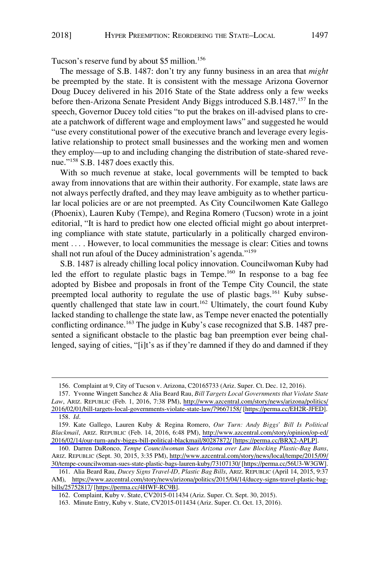Tucson's reserve fund by about \$5 million.156

The message of S.B. 1487: don't try any funny business in an area that *might*  be preempted by the state. It is consistent with the message Arizona Governor Doug Ducey delivered in his 2016 State of the State address only a few weeks before then-Arizona Senate President Andy Biggs introduced S.B.1487.<sup>157</sup> In the speech, Governor Ducey told cities "to put the brakes on ill-advised plans to create a patchwork of different wage and employment laws" and suggested he would "use every constitutional power of the executive branch and leverage every legislative relationship to protect small businesses and the working men and women they employ—up to and including changing the distribution of state-shared revenue."<sup>158</sup> S.B. 1487 does exactly this.

With so much revenue at stake, local governments will be tempted to back away from innovations that are within their authority. For example, state laws are not always perfectly drafted, and they may leave ambiguity as to whether particular local policies are or are not preempted. As City Councilwomen Kate Gallego (Phoenix), Lauren Kuby (Tempe), and Regina Romero (Tucson) wrote in a joint editorial, "It is hard to predict how one elected official might go about interpreting compliance with state statute, particularly in a politically charged environment .... However, to local communities the message is clear: Cities and towns shall not run afoul of the Ducey administration's agenda."<sup>159</sup>

S.B. 1487 is already chilling local policy innovation. Councilwoman Kuby had led the effort to regulate plastic bags in Tempe.<sup>160</sup> In response to a bag fee adopted by Bisbee and proposals in front of the Tempe City Council, the state preempted local authority to regulate the use of plastic bags.<sup>161</sup> Kuby subsequently challenged that state law in court.<sup>162</sup> Ultimately, the court found Kuby lacked standing to challenge the state law, as Tempe never enacted the potentially conflicting ordinance.<sup>163</sup> The judge in Kuby's case recognized that S.B. 1487 presented a significant obstacle to the plastic bag ban preemption ever being challenged, saying of cities, "[i]t's as if they're damned if they do and damned if they

<sup>156.</sup> Complaint at 9, City of Tucson v. Arizona, C20165733 (Ariz. Super. Ct. Dec. 12, 2016).

<sup>157.</sup> Yvonne Wingett Sanchez & Alia Beard Rau, *Bill Targets Local Governments that Violate State Law*, ARIZ. REPUBLIC (Feb. 1, 2016, 7:38 PM), [http://www.azcentral.com/story/news/arizona/politics/](http://www.azcentral.com/story/news/arizona/politics/2016/02/01/bill-targets-local-governments-violate-state-law/79667158/)  [2016/02/01/bill-targets-local-governments-violate-state-law/79667158/](http://www.azcentral.com/story/news/arizona/politics/2016/02/01/bill-targets-local-governments-violate-state-law/79667158/) [\[https://perma.cc/EH2R-JFED](https://perma.cc/EH2R-JFED)]. 158. *Id*.

<sup>159.</sup> Kate Gallego, Lauren Kuby & Regina Romero, Our Turn: Andy Biggs' Bill Is Political *Blackmail*, ARIZ. REPUBLIC (Feb. 14, 2016, 6:48 PM), [http://www.azcentral.com/story/opinion/op-ed/](http://www.azcentral.com/story/opinion/op-ed/2016/02/14/our-turn-andy-biggs-bill-political-blackmail/80287872/)  [2016/02/14/our-turn-andy-biggs-bill-political-blackmail/80287872/](http://www.azcentral.com/story/opinion/op-ed/2016/02/14/our-turn-andy-biggs-bill-political-blackmail/80287872/) [[https://perma.cc/BRX2-APLP\]](https://perma.cc/BRX2-APLP).

<sup>160.</sup> Darren DaRonco, Tempe Councilwoman Sues Arizona over Law Blocking Plastic-Bag Bans, ARIZ. REPUBLIC (Sept. 30, 2015, 3:35 PM), [http://www.azcentral.com/story/news/local/tempe/2015/09/](http://www.azcentral.com/story/news/local/tempe/2015/09/30/tempe-councilwoman-sues-state-plastic-bags-lauren-kuby/73107130/)  [30/tempe-councilwoman-sues-state-plastic-bags-lauren-kuby/73107130/](http://www.azcentral.com/story/news/local/tempe/2015/09/30/tempe-councilwoman-sues-state-plastic-bags-lauren-kuby/73107130/) [\[https://perma.cc/56U3-W3GW\]](https://perma.cc/56U3-W3GW).

Alia Beard Rau, *Ducey Signs Travel-ID, Plastic Bag Bills*, ARIZ. REPUBLIC (April 14, 2015, 9:37 161. AM), [https://www.azcentral.com/story/news/arizona/politics/2015/04/14/ducey-signs-travel-plastic-bag](https://www.azcentral.com/story/news/arizona/politics/2015/04/14/ducey-signs-travel-plastic-bag-bills/25752817/)[bills/25752817/](https://www.azcentral.com/story/news/arizona/politics/2015/04/14/ducey-signs-travel-plastic-bag-bills/25752817/) [[https://perma.cc/4HWF-RC9B\]](https://perma.cc/4HWF-RC9B).

<sup>162.</sup> Complaint, Kuby v. State, CV2015-011434 (Ariz. Super. Ct. Sept. 30, 2015).

<sup>163.</sup> Minute Entry, Kuby v. State, CV2015-011434 (Ariz. Super. Ct. Oct. 13, 2016).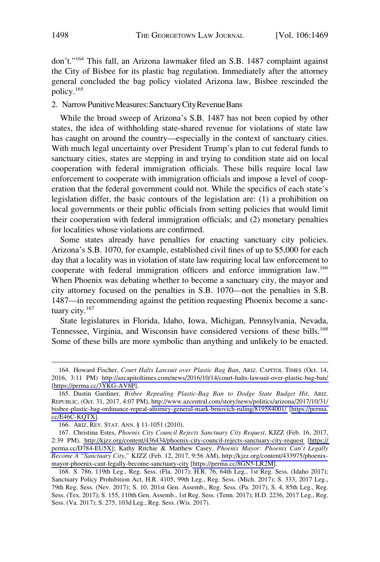<span id="page-29-0"></span>don't."164 This fall, an Arizona lawmaker filed an S.B. 1487 complaint against the City of Bisbee for its plastic bag regulation. Immediately after the attorney general concluded the bag policy violated Arizona law, Bisbee rescinded the policy.165

### 2. Narrow Punitive Measures: Sanctuary City Revenue Bans

While the broad sweep of Arizona's S.B. 1487 has not been copied by other states, the idea of withholding state-shared revenue for violations of state law has caught on around the country—especially in the context of sanctuary cities. With much legal uncertainty over President Trump's plan to cut federal funds to sanctuary cities, states are stepping in and trying to condition state aid on local cooperation with federal immigration officials. These bills require local law enforcement to cooperate with immigration officials and impose a level of cooperation that the federal government could not. While the specifics of each state's legislation differ, the basic contours of the legislation are: (1) a prohibition on local governments or their public officials from setting policies that would limit their cooperation with federal immigration officials; and (2) monetary penalties for localities whose violations are confirmed.

Some states already have penalties for enacting sanctuary city policies. Arizona's S.B. 1070, for example, established civil fines of up to \$5,000 for each day that a locality was in violation of state law requiring local law enforcement to cooperate with federal immigration officers and enforce immigration law.166 When Phoenix was debating whether to become a sanctuary city, the mayor and city attorney focused on the penalties in S.B. 1070—not the penalties in S.B. 1487—in recommending against the petition requesting Phoenix become a sanctuary city.<sup>167</sup>

State legislatures in Florida, Idaho, Iowa, Michigan, Pennsylvania, Nevada, Tennessee, Virginia, and Wisconsin have considered versions of these bills.<sup>168</sup> Some of these bills are more symbolic than anything and unlikely to be enacted.

<sup>164.</sup> Howard Fischer, *Court Halts Lawsuit over Plastic Bag Ban*, ARIZ. CAPITOL TIMES (Oct. 14, 2016, 3:11 PM) <http://azcapitoltimes.com/news/2016/10/14/court-halts-lawsuit-over-plastic-bag-ban/> [[https://perma.cc/3YKG-AV8P\]](https://perma.cc/3YKG-AV8P).

<sup>165.</sup> Dustin Gardiner, Bisbee Repealing Plastic-Bag Ban to Dodge State Budget Hit, ARIZ. REPUBLIC, (Oct. 31, 2017, 4:07 PM), [http://www.azcentral.com/story/news/politics/arizona/2017/10/31/](http://www.azcentral.com/story/news/politics/arizona/2017/10/31/bisbee-plastic-bag-ordinance-repeal-attorney-general-mark-brnovich-ruling/819584001/)  [bisbee-plastic-bag-ordinance-repeal-attorney-general-mark-brnovich-ruling/819584001/](http://www.azcentral.com/story/news/politics/arizona/2017/10/31/bisbee-plastic-bag-ordinance-repeal-attorney-general-mark-brnovich-ruling/819584001/) [\[https://perma.](https://perma.cc/E46C-KQTX) [cc/E46C-KQTX\]](https://perma.cc/E46C-KQTX).

<sup>166.</sup> ARIZ. REV. STAT. ANN. § 11-1051 (2010).

<sup>167.</sup> Christina Estes, *Phoenix City Council Rejects Sanctuary City Request*, KJZZ (Feb. 16, 2017, 2:39 PM), <http://kjzz.org/content/436434/phoenix-city-council-rejects-sanctuary-city-request>[\[https://](https://perma.cc/D784-EU5X)  [perma.cc/D784-EU5X\]](https://perma.cc/D784-EU5X); Kathy Ritchie & Matthew Casey, *Phoenix Mayor: Phoenix Can't Legally Become A "Sanctuary City*,*"* KJZZ (Feb. 12, 2017, 9:56 AM), [http://kjzz.org/content/433975/phoenix](http://kjzz.org/content/433975/phoenix-mayor-phoenix-cant-legally-become-sanctuary-city)[mayor-phoenix-cant-legally-become-sanctuary-city](http://kjzz.org/content/433975/phoenix-mayor-phoenix-cant-legally-become-sanctuary-city) [\[https://perma.cc/8GN5-LR2M\]](https://perma.cc/8GN5-LR2M).

<sup>168.</sup> S. 786, 119th Leg., Reg. Sess. (Fla. 2017); H.R. 76, 64th Leg., 1st Reg. Sess. (Idaho 2017); Sanctuary Policy Prohibition Act, H.R. 4105, 99th Leg., Reg. Sess. (Mich. 2017); S. 333, 2017 Leg., 79th Reg. Sess. (Nev. 2017); S. 10, 201st Gen. Assemb., Reg. Sess. (Pa. 2017), S. 4, 85th Leg., Reg. Sess. (Tex. 2017); S. 155, 110th Gen. Assemb., 1st Reg. Sess. (Tenn. 2017); H.D. 2236, 2017 Leg., Reg. Sess. (Va. 2017); S. 275, 103d Leg., Reg. Sess. (Wis. 2017).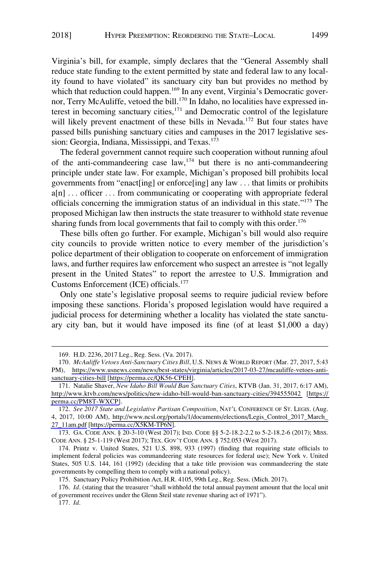Virginia's bill, for example, simply declares that the "General Assembly shall reduce state funding to the extent permitted by state and federal law to any locality found to have violated" its sanctuary city ban but provides no method by which that reduction could happen.<sup>169</sup> In any event, Virginia's Democratic governor, Terry McAuliffe, vetoed the bill.<sup>170</sup> In Idaho, no localities have expressed interest in becoming sanctuary cities, $171$  and Democratic control of the legislature will likely prevent enactment of these bills in Nevada.<sup>172</sup> But four states have passed bills punishing sanctuary cities and campuses in the 2017 legislative session: Georgia, Indiana, Mississippi, and Texas.<sup>173</sup>

The federal government cannot require such cooperation without running afoul of the anti-commandeering case law,  $174$  but there is no anti-commandeering principle under state law. For example, Michigan's proposed bill prohibits local governments from "enact[ing] or enforce[ing] any law . . . that limits or prohibits a[n] . . . officer . . . from communicating or cooperating with appropriate federal officials concerning the immigration status of an individual in this state."175 The proposed Michigan law then instructs the state treasurer to withhold state revenue sharing funds from local governments that fail to comply with this order.<sup>176</sup>

These bills often go further. For example, Michigan's bill would also require city councils to provide written notice to every member of the jurisdiction's police department of their obligation to cooperate on enforcement of immigration laws, and further requires law enforcement who suspect an arrestee is "not legally present in the United States" to report the arrestee to U.S. Immigration and Customs Enforcement (ICE) officials.177

Only one state's legislative proposal seems to require judicial review before imposing these sanctions. Florida's proposed legislation would have required a judicial process for determining whether a locality has violated the state sanctuary city ban, but it would have imposed its fine (of at least \$1,000 a day)

<sup>169.</sup> H.D. 2236, 2017 Leg., Reg. Sess. (Va. 2017).

*McAuliffe Vetoes Anti-Sanctuary Cities Bill*, U.S. NEWS & WORLD REPORT (Mar. 27, 2017, 5:43 170. PM), [https://www.usnews.com/news/best-states/virginia/articles/2017-03-27/mcauliffe-vetoes-anti](https://www.usnews.com/news/best-states/virginia/articles/2017-03-27/mcauliffe-vetoes-anti-sanctuary-cities-bill)[sanctuary-cities-bill](https://www.usnews.com/news/best-states/virginia/articles/2017-03-27/mcauliffe-vetoes-anti-sanctuary-cities-bill) [\[https://perma.cc/QK56-CPEH\]](https://perma.cc/QK56-CPEH).

<sup>171.</sup> Natalie Shaver, *New Idaho Bill Would Ban Sanctuary Cities*, KTVB (Jan. 31, 2017, 6:17 AM), <http://www.ktvb.com/news/politics/new-idaho-bill-would-ban-sanctuary-cities/394555042>[\[https://](https://perma.cc/PM8T-WXCP)  [perma.cc/PM8T-WXCP\]](https://perma.cc/PM8T-WXCP).

*See 2017 State and Legislative Partisan Composition*, NAT'L CONFERENCE OF ST. LEGIS. (Aug. 172. 4, 2017, 10:00 AM), [http://www.ncsl.org/portals/1/documents/elections/Legis\\_Control\\_2017\\_March\\_](http://www.ncsl.org/portals/1/documents/elections/Legis_Control_2017_March_27_11am.pdf)  [27\\_11am.pdf](http://www.ncsl.org/portals/1/documents/elections/Legis_Control_2017_March_27_11am.pdf) [\[https://perma.cc/X5KM-TP6N\]](https://perma.cc/X5KM-TP6N).

<sup>173.</sup> GA. CODE ANN. § 20-3-10 (West 2017); IND. CODE §§ 5-2-18.2-2.2 to 5-2-18.2-6 (2017); MISS. CODE ANN. § 25-1-119 (West 2017); TEX. GOV'T CODE ANN. § 752.053 (West 2017).

<sup>174.</sup> Printz v. United States, 521 U.S. 898, 933 (1997) (finding that requiring state officials to implement federal policies was commandeering state resources for federal use); New York v. United States, 505 U.S. 144, 161 (1992) (deciding that a take title provision was commandeering the state governments by compelling them to comply with a national policy).

<sup>175.</sup> Sanctuary Policy Prohibition Act, H.R. 4105, 99th Leg., Reg. Sess. (Mich. 2017).

<sup>176.</sup> *Id*. (stating that the treasurer "shall withhold the total annual payment amount that the local unit of government receives under the Glenn Steil state revenue sharing act of 1971").

<sup>177.</sup> *Id*.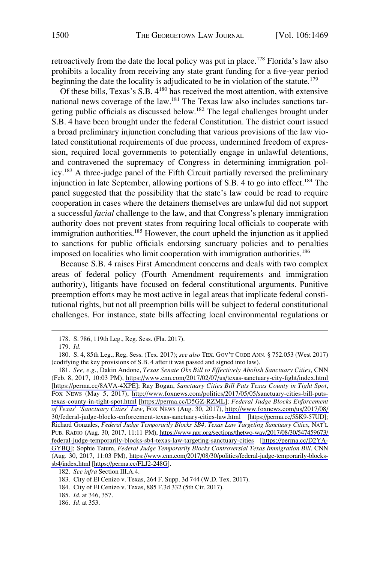retroactively from the date the local policy was put in place.<sup>178</sup> Florida's law also prohibits a locality from receiving any state grant funding for a five-year period beginning the date the locality is adjudicated to be in violation of the statute.<sup>179</sup>

Of these bills, Texas's S.B. 4180 has received the most attention, with extensive national news coverage of the law.<sup>181</sup> The Texas law also includes sanctions targeting public officials as discussed below.182 The legal challenges brought under S.B. 4 have been brought under the federal Constitution. The district court issued a broad preliminary injunction concluding that various provisions of the law violated constitutional requirements of due process, undermined freedom of expression, required local governments to potentially engage in unlawful detentions, and contravened the supremacy of Congress in determining immigration policy.183 A three-judge panel of the Fifth Circuit partially reversed the preliminary injunction in late September, allowing portions of S.B. 4 to go into effect.<sup>184</sup> The panel suggested that the possibility that the state's law could be read to require cooperation in cases where the detainers themselves are unlawful did not support a successful *facial* challenge to the law, and that Congress's plenary immigration authority does not prevent states from requiring local officials to cooperate with immigration authorities.<sup>185</sup> However, the court upheld the injunction as it applied to sanctions for public officials endorsing sanctuary policies and to penalties imposed on localities who limit cooperation with immigration authorities.<sup>186</sup>

Because S.B. 4 raises First Amendment concerns and deals with two complex areas of federal policy (Fourth Amendment requirements and immigration authority), litigants have focused on federal constitutional arguments. Punitive preemption efforts may be most active in legal areas that implicate federal constitutional rights, but not all preemption bills will be subject to federal constitutional challenges. For instance, state bills affecting local environmental regulations or

<sup>178.</sup> S. 786, 119th Leg., Reg. Sess. (Fla. 2017).

<sup>179.</sup> *Id*.

<sup>180.</sup> S. 4, 85th Leg., Reg. Sess. (Tex. 2017); *see also* TEX. GOV'T CODE ANN. § 752.053 (West 2017) (codifying the key provisions of S.B. 4 after it was passed and signed into law).

*See, e.g*., Dakin Andone, *Texas Senate Oks Bill to Effectively Abolish Sanctuary Cities*, CNN 181. (Feb. 8, 2017, 10:03 PM),<https://www.cnn.com/2017/02/07/us/texas-sanctuary-city-fight/index.html> [\[https://perma.cc/8AVA-4XPE\]](https://perma.cc/8AVA-4XPE); Ray Bogan, *Sanctuary Cities Bill Puts Texas County in Tight Spot*, FOX NEWS (May 5, 2017), [http://www.foxnews.com/politics/2017/05/05/sanctuary-cities-bill-puts](http://www.foxnews.com/politics/2017/05/05/sanctuary-cities-bill-puts-texas-county-in-tight-spot.html)[texas-county-in-tight-spot.html](http://www.foxnews.com/politics/2017/05/05/sanctuary-cities-bill-puts-texas-county-in-tight-spot.html) [\[https://perma.cc/D5GZ-RZML\]](https://perma.cc/D5GZ-RZML); *Federal Judge Blocks Enforcement of Texas' 'Sanctuary Cities' Law*, FOX NEWS (Aug. 30, 2017), [http://www.foxnews.com/us/2017/08/](http://www.foxnews.com/us/2017/08/30/federal-judge-blocks-enforcement-texas-sanctuary-cities-law.html) [30/federal-judge-blocks-enforcement-texas-sanctuary-cities-law.html](http://www.foxnews.com/us/2017/08/30/federal-judge-blocks-enforcement-texas-sanctuary-cities-law.html) [[https://perma.cc/5SK9-57UD\]](https://perma.cc/5SK9-57UD); Richard Gonzales, *Federal Judge Temporarily Blocks SB4, Texas Law Targeting Sanctuary Cities*, NAT'L PUB. RADIO (Aug. 30, 2017, 11:11 PM), [https://www.npr.org/sections/thetwo-way/2017/08/30/547459673/](https://www.npr.org/sections/thetwo-way/2017/08/30/547459673/federal-judge-temporarily-blocks-sb4-texas-law-targeting-sanctuary-cities)  [federal-judge-temporarily-blocks-sb4-texas-law-targeting-sanctuary-cities](https://www.npr.org/sections/thetwo-way/2017/08/30/547459673/federal-judge-temporarily-blocks-sb4-texas-law-targeting-sanctuary-cities) [\[https://perma.cc/D2YA-](https://perma.cc/D2YA-GYBQ)[GYBQ](https://perma.cc/D2YA-GYBQ)]; Sophie Tatum, *Federal Judge Temporarily Blocks Controversial Texas Immigration Bill*, CNN (Aug. 30, 2017, 11:03 PM), [https://www.cnn.com/2017/08/30/politics/federal-judge-temporarily-blocks](https://www.cnn.com/2017/08/30/politics/federal-judge-temporarily-blocks-sb4/index.html)[sb4/index.html](https://www.cnn.com/2017/08/30/politics/federal-judge-temporarily-blocks-sb4/index.html) [\[https://perma.cc/FLJ2-248G\]](https://perma.cc/FLJ2-248G).

<sup>182.</sup> *See infra* Section III.A.4.

<sup>183.</sup> City of El Cenizo v. Texas, 264 F. Supp. 3d 744 (W.D. Tex. 2017).

<sup>184.</sup> City of El Cenizo v. Texas, 885 F.3d 332 (5th Cir. 2017).

<sup>185.</sup> *Id*. at 346, 357.

<sup>186.</sup> *Id*. at 353.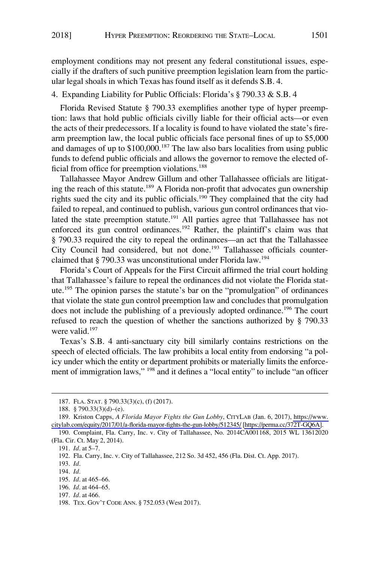<span id="page-32-0"></span>employment conditions may not present any federal constitutional issues, especially if the drafters of such punitive preemption legislation learn from the particular legal shoals in which Texas has found itself as it defends S.B. 4.

4. Expanding Liability for Public Officials: Florida's § 790.33 & S.B. 4

Florida Revised Statute § 790.33 exemplifies another type of hyper preemption: laws that hold public officials civilly liable for their official acts—or even the acts of their predecessors. If a locality is found to have violated the state's firearm preemption law, the local public officials face personal fines of up to \$5,000 and damages of up to  $$100,000$ .<sup>187</sup> The law also bars localities from using public funds to defend public officials and allows the governor to remove the elected official from office for preemption violations.<sup>188</sup>

Tallahassee Mayor Andrew Gillum and other Tallahassee officials are litigating the reach of this statute.<sup>189</sup> A Florida non-profit that advocates gun ownership rights sued the city and its public officials.190 They complained that the city had failed to repeal, and continued to publish, various gun control ordinances that violated the state preemption statute.191 All parties agree that Tallahassee has not enforced its gun control ordinances.<sup>192</sup> Rather, the plaintiff's claim was that § 790.33 required the city to repeal the ordinances—an act that the Tallahassee City Council had considered, but not done.<sup>193</sup> Tallahassee officials counterclaimed that § 790.33 was unconstitutional under Florida law.194

Florida's Court of Appeals for the First Circuit affirmed the trial court holding that Tallahassee's failure to repeal the ordinances did not violate the Florida statute.195 The opinion parses the statute's bar on the "promulgation" of ordinances that violate the state gun control preemption law and concludes that promulgation does not include the publishing of a previously adopted ordinance.<sup>196</sup> The court refused to reach the question of whether the sanctions authorized by § 790.33 were valid.<sup>197</sup>

Texas's S.B. 4 anti-sanctuary city bill similarly contains restrictions on the speech of elected officials. The law prohibits a local entity from endorsing "a policy under which the entity or department prohibits or materially limits the enforcement of immigration laws," 198 and it defines a "local entity" to include "an officer

197. *Id*. at 466.

<sup>187.</sup> FLA. STAT. § 790.33(3)(c), (f) (2017).

<sup>188. § 790.33(3)(</sup>d)–(e).

<sup>189.</sup> Kriston Capps, *A Florida Mayor Fights the Gun Lobby*, CITYLAB (Jan. 6, 2017), https://www. [citylab.com/equity/2017/01/a-florida-mayor-fights-the-gun-lobby/512345/](https://www.citylab.com/equity/2017/01/a-florida-mayor-fights-the-gun-lobby/512345/) [\[https://perma.cc/372T-GQ6A\]](https://perma.cc/372T-GQ6A).

<sup>190.</sup> Complaint, Fla. Carry, Inc. v. City of Tallahassee, No. 2014CA001168, 2015 WL 13612020 (Fla. Cir. Ct. May 2, 2014).

<sup>191.</sup> *Id*. at 5–7.

<sup>192.</sup> Fla. Carry, Inc. v. City of Tallahassee, 212 So. 3d 452, 456 (Fla. Dist. Ct. App. 2017).

<sup>193.</sup> *Id*.

<sup>194.</sup> *Id*.

<sup>195.</sup> *Id*. at 465–66.

<sup>196.</sup> *Id*. at 464–65.

<sup>198.</sup> TEX. GOV'T CODE ANN. § 752.053 (West 2017).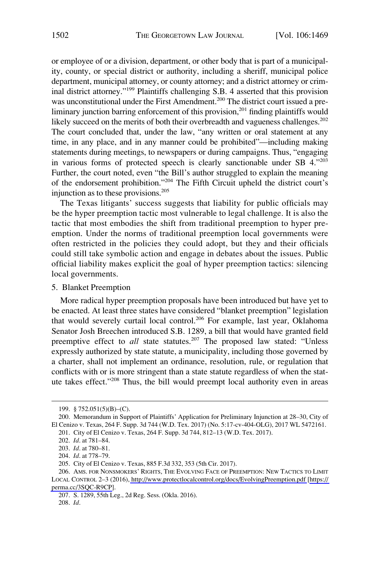<span id="page-33-0"></span>or employee of or a division, department, or other body that is part of a municipality, county, or special district or authority, including a sheriff, municipal police department, municipal attorney, or county attorney; and a district attorney or criminal district attorney."199 Plaintiffs challenging S.B. 4 asserted that this provision was unconstitutional under the First Amendment.<sup>200</sup> The district court issued a preliminary junction barring enforcement of this provision,<sup>201</sup> finding plaintiffs would likely succeed on the merits of both their overbreadth and vagueness challenges.<sup>202</sup> The court concluded that, under the law, "any written or oral statement at any time, in any place, and in any manner could be prohibited"—including making statements during meetings, to newspapers or during campaigns. Thus, "engaging in various forms of protected speech is clearly sanctionable under SB 4."203 Further, the court noted, even "the Bill's author struggled to explain the meaning of the endorsement prohibition."204 The Fifth Circuit upheld the district court's injunction as to these provisions. $205$ 

The Texas litigants' success suggests that liability for public officials may be the hyper preemption tactic most vulnerable to legal challenge. It is also the tactic that most embodies the shift from traditional preemption to hyper preemption. Under the norms of traditional preemption local governments were often restricted in the policies they could adopt, but they and their officials could still take symbolic action and engage in debates about the issues. Public official liability makes explicit the goal of hyper preemption tactics: silencing local governments.

# 5. Blanket Preemption

More radical hyper preemption proposals have been introduced but have yet to be enacted. At least three states have considered "blanket preemption" legislation that would severely curtail local control.<sup>206</sup> For example, last year, Oklahoma Senator Josh Breechen introduced S.B. 1289, a bill that would have granted field preemptive effect to *all* state statutes.<sup>207</sup> The proposed law stated: "Unless expressly authorized by state statute, a municipality, including those governed by a charter, shall not implement an ordinance, resolution, rule, or regulation that conflicts with or is more stringent than a state statute regardless of when the statute takes effect."208 Thus, the bill would preempt local authority even in areas

<sup>199. § 752.051(5)(</sup>B)–(C).

<sup>200.</sup> Memorandum in Support of Plaintiffs' Application for Preliminary Injunction at 28–30, City of El Cenizo v. Texas, 264 F. Supp. 3d 744 (W.D. Tex. 2017) (No. 5:17-cv-404-OLG), 2017 WL 5472161.

<sup>201.</sup> City of El Cenizo v. Texas, 264 F. Supp. 3d 744, 812–13 (W.D. Tex. 2017).

<sup>202.</sup> *Id*. at 781–84.

<sup>203.</sup> *Id*. at 780–81.

<sup>204.</sup> *Id*. at 778–79.

<sup>205.</sup> City of El Cenizo v. Texas, 885 F.3d 332, 353 (5th Cir. 2017).

<sup>206.</sup> AMS. FOR NONSMOKERS' RIGHTS, THE EVOLVING FACE OF PREEMPTION: NEW TACTICS TO LIMIT LOCAL CONTROL 2–3 (2016),<http://www.protectlocalcontrol.org/docs/EvolvingPreemption.pdf>[\[https://](https://perma.cc/3SQC-R9CP)  [perma.cc/3SQC-R9CP\]](https://perma.cc/3SQC-R9CP).

<sup>207.</sup> S. 1289, 55th Leg., 2d Reg. Sess. (Okla. 2016).

<sup>208.</sup> *Id*.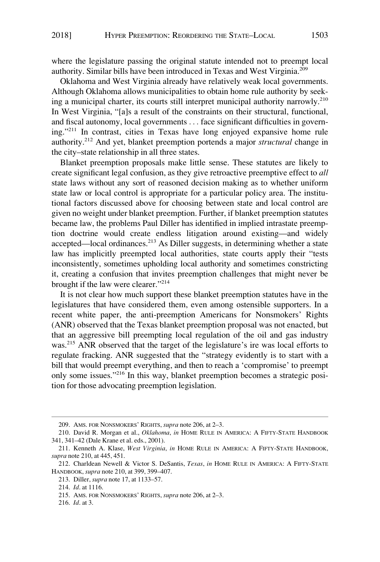where the legislature passing the original statute intended not to preempt local authority. Similar bills have been introduced in Texas and West Virginia.209

Oklahoma and West Virginia already have relatively weak local governments. Although Oklahoma allows municipalities to obtain home rule authority by seeking a municipal charter, its courts still interpret municipal authority narrowly.<sup>210</sup> In West Virginia, "[a]s a result of the constraints on their structural, functional, and fiscal autonomy, local governments . . . face significant difficulties in governing."211 In contrast, cities in Texas have long enjoyed expansive home rule authority.212 And yet, blanket preemption portends a major *structural* change in the city–state relationship in all three states.

Blanket preemption proposals make little sense. These statutes are likely to create significant legal confusion, as they give retroactive preemptive effect to *all*  state laws without any sort of reasoned decision making as to whether uniform state law or local control is appropriate for a particular policy area. The institutional factors discussed above for choosing between state and local control are given no weight under blanket preemption. Further, if blanket preemption statutes became law, the problems Paul Diller has identified in implied intrastate preemption doctrine would create endless litigation around existing—and widely accepted—local ordinances.<sup>213</sup> As Diller suggests, in determining whether a state law has implicitly preempted local authorities, state courts apply their "tests inconsistently, sometimes upholding local authority and sometimes constricting it, creating a confusion that invites preemption challenges that might never be brought if the law were clearer."<sup>214</sup>

It is not clear how much support these blanket preemption statutes have in the legislatures that have considered them, even among ostensible supporters. In a recent white paper, the anti-preemption Americans for Nonsmokers' Rights (ANR) observed that the Texas blanket preemption proposal was not enacted, but that an aggressive bill preempting local regulation of the oil and gas industry was.<sup>215</sup> ANR observed that the target of the legislature's ire was local efforts to regulate fracking. ANR suggested that the "strategy evidently is to start with a bill that would preempt everything, and then to reach a 'compromise' to preempt only some issues."216 In this way, blanket preemption becomes a strategic position for those advocating preemption legislation.

<sup>209.</sup> AMS. FOR NONSMOKERS' RIGHTS, *supra* note 206, at 2–3.

<sup>210.</sup> David R. Morgan et al., *Oklahoma*, *in* HOME RULE IN AMERICA: A FIFTY-STATE HANDBOOK 341, 341–42 (Dale Krane et al. eds., 2001).

<sup>211.</sup> Kenneth A. Klase, *West Virginia*, *in* HOME RULE IN AMERICA: A FIFTY-STATE HANDBOOK, *supra* note 210, at 445, 451.

<sup>212.</sup> Charldean Newell & Victor S. DeSantis, *Texas*, *in* HOME RULE IN AMERICA: A FIFTY-STATE HANDBOOK, *supra* note 210, at 399, 399–407.

<sup>213.</sup> Diller, *supra* note 17, at 1133–57.

<sup>214.</sup> *Id*. at 1116.

<sup>215.</sup> AMS. FOR NONSMOKERS' RIGHTS, *supra* note 206, at 2–3.

<sup>216.</sup> *Id*. at 3.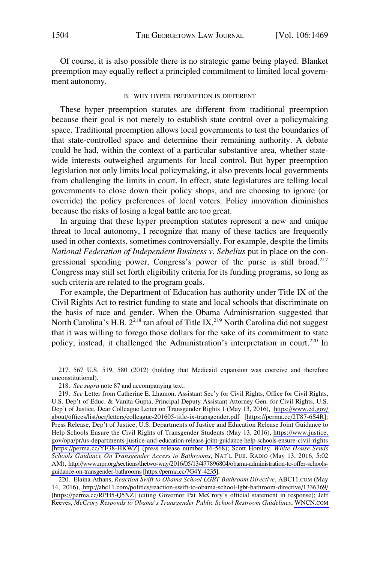<span id="page-35-0"></span>Of course, it is also possible there is no strategic game being played. Blanket preemption may equally reflect a principled commitment to limited local government autonomy.

#### B. WHY HYPER PREEMPTION IS DIFFERENT

These hyper preemption statutes are different from traditional preemption because their goal is not merely to establish state control over a policymaking space. Traditional preemption allows local governments to test the boundaries of that state-controlled space and determine their remaining authority. A debate could be had, within the context of a particular substantive area, whether statewide interests outweighed arguments for local control. But hyper preemption legislation not only limits local policymaking, it also prevents local governments from challenging the limits in court. In effect, state legislatures are telling local governments to close down their policy shops, and are choosing to ignore (or override) the policy preferences of local voters. Policy innovation diminishes because the risks of losing a legal battle are too great.

In arguing that these hyper preemption statutes represent a new and unique threat to local autonomy, I recognize that many of these tactics are frequently used in other contexts, sometimes controversially. For example, despite the limits *National Federation of Independent Business v. Sebelius* put in place on the congressional spending power, Congress's power of the purse is still broad.<sup>217</sup> Congress may still set forth eligibility criteria for its funding programs, so long as such criteria are related to the program goals.

For example, the Department of Education has authority under Title IX of the Civil Rights Act to restrict funding to state and local schools that discriminate on the basis of race and gender. When the Obama Administration suggested that North Carolina's H.B.  $2^{218}$  ran afoul of Title IX,<sup>219</sup> North Carolina did not suggest that it was willing to forego those dollars for the sake of its commitment to state policy; instead, it challenged the Administration's interpretation in court.<sup>220</sup> In

<sup>217. 567</sup> U.S. 519, 580 (2012) (holding that Medicaid expansion was coercive and therefore unconstitutional).

<sup>218.</sup> *See supra* note 87 and accompanying text.

<sup>219.</sup> See Letter from Catherine E. Lhamon, Assistant Sec'y for Civil Rights, Office for Civil Rights, U.S. Dep't of Educ. & Vanita Gupta, Principal Deputy Assistant Attorney Gen. for Civil Rights, U.S. Dep't of Justice, Dear Colleague Letter on Transgender Rights 1 (May 13, 2016), [https://www.ed.gov/](https://www.ed.gov/about/offices/list/ocr/letters/colleague-201605-title-ix-transgender.pdf) [about/offices/list/ocr/letters/colleague-201605-title-ix-transgender.pdf](https://www.ed.gov/about/offices/list/ocr/letters/colleague-201605-title-ix-transgender.pdf) [\[https://perma.cc/2T87-6S4R\]](https://perma.cc/2T87-6S4R); Press Release, Dep't of Justice, U.S. Departments of Justice and Education Release Joint Guidance to Help Schools Ensure the Civil Rights of Transgender Students (May 13, 2016), [https://www.justice.](https://www.justice.gov/opa/pr/us-departments-justice-and-education-release-joint-guidance-help-schools-ensure-civil-rights) [gov/opa/pr/us-departments-justice-and-education-release-joint-guidance-help-schools-ensure-civil-rights](https://www.justice.gov/opa/pr/us-departments-justice-and-education-release-joint-guidance-help-schools-ensure-civil-rights)  [\[https://perma.cc/YF38-HKWZ\]](https://perma.cc/YF38-HKWZ) (press release number 16-568); Scott Horsley, *White House Sends Schools Guidance On Transgender Access to Bathrooms*, NAT'L PUB. RADIO (May 13, 2016, 5:02 AM), [http://www.npr.org/sections/thetwo-way/2016/05/13/477896804/obama-administration-to-offer-schools](http://www.npr.org/sections/thetwo-way/2016/05/13/477896804/obama-administration-to-offer-schools-guidance-on-transgender-bathrooms)[guidance-on-transgender-bathrooms](http://www.npr.org/sections/thetwo-way/2016/05/13/477896804/obama-administration-to-offer-schools-guidance-on-transgender-bathrooms) [\[https://perma.cc/7G4Y-4235\]](https://perma.cc/7G4Y-4235).

Elaina Athans, *Reaction Swift to Obama School LGBT Bathroom Directive*, ABC11.COM (May 220. 14, 2016), <http://abc11.com/politics/reaction-swift-to-obama-school-lgbt-bathroom-directive/1336369/> [[https://perma.cc/RPH5-Q5NZ\]](https://perma.cc/RPH5-Q5NZ) (citing Governor Pat McCrory's official statement in response); Jeff Reeves, *McCrory Responds to Obama's Transgender Public School Restroom Guidelines*, [WNCN.COM](http://www.WNCN.com)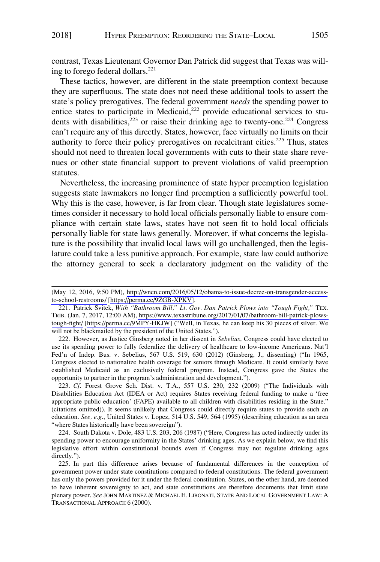contrast, Texas Lieutenant Governor Dan Patrick did suggest that Texas was willing to forego federal dollars.<sup>221</sup>

These tactics, however, are different in the state preemption context because they are superfluous. The state does not need these additional tools to assert the state's policy prerogatives. The federal government *needs* the spending power to entice states to participate in Medicaid,<sup>222</sup> provide educational services to students with disabilities, $2^{223}$  or raise their drinking age to twenty-one.<sup>224</sup> Congress can't require any of this directly. States, however, face virtually no limits on their authority to force their policy prerogatives on recalcitrant cities.<sup>225</sup> Thus, states should not need to threaten local governments with cuts to their state share revenues or other state financial support to prevent violations of valid preemption statutes.

Nevertheless, the increasing prominence of state hyper preemption legislation suggests state lawmakers no longer find preemption a sufficiently powerful tool. Why this is the case, however, is far from clear. Though state legislatures sometimes consider it necessary to hold local officials personally liable to ensure compliance with certain state laws, states have not seen fit to hold local officials personally liable for state laws generally. Moreover, if what concerns the legislature is the possibility that invalid local laws will go unchallenged, then the legislature could take a less punitive approach. For example, state law could authorize the attorney general to seek a declaratory judgment on the validity of the

222. However, as Justice Ginsberg noted in her dissent in *Sebelius*, Congress could have elected to use its spending power to fully federalize the delivery of healthcare to low-income Americans. Nat'l Fed'n of Indep. Bus. v. Sebelius, 567 U.S. 519, 630 (2012) (Ginsberg, J., dissenting) ("In 1965, Congress elected to nationalize health coverage for seniors through Medicare. It could similarly have established Medicaid as an exclusively federal program. Instead, Congress gave the States the opportunity to partner in the program's administration and development.").

223. *Cf*. Forest Grove Sch. Dist. v. T.A., 557 U.S. 230, 232 (2009) ("The Individuals with Disabilities Education Act (IDEA or Act) requires States receiving federal funding to make a 'free appropriate public education' (FAPE) available to all children with disabilities residing in the State." (citations omitted)). It seems unlikely that Congress could directly require states to provide such an education. *See, e.g*., United States v. Lopez, 514 U.S. 549, 564 (1995) (describing education as an area "where States historically have been sovereign").

224. South Dakota v. Dole, 483 U.S. 203, 206 (1987) ("Here, Congress has acted indirectly under its spending power to encourage uniformity in the States' drinking ages. As we explain below, we find this legislative effort within constitutional bounds even if Congress may not regulate drinking ages directly.").

225. In part this difference arises because of fundamental differences in the conception of government power under state constitutions compared to federal constitutions. The federal government has only the powers provided for it under the federal constitution. States, on the other hand, are deemed to have inherent sovereignty to act, and state constitutions are therefore documents that limit state plenary power. *See* JOHN MARTINEZ & MICHAEL E. LIBONATI, STATE AND LOCAL GOVERNMENT LAW: A TRANSACTIONAL APPROACH 6 (2000).

<sup>(</sup>May 12, 2016, 9:50 PM), [http://wncn.com/2016/05/12/obama-to-issue-decree-on-transgender-access](http://wncn.com/2016/05/12/obama-to-issue-decree-on-transgender-access-to-school-restrooms/)[to-school-restrooms/](http://wncn.com/2016/05/12/obama-to-issue-decree-on-transgender-access-to-school-restrooms/) [\[https://perma.cc/9ZGB-XPKV\]](https://perma.cc/9ZGB-XPKV).

<sup>221.</sup> Patrick Svitek, With "Bathroom Bill," Lt. Gov. Dan Patrick Plows into "Tough Fight," TEX. TRIB. (Jan. 7, 2017, 12:00 AM), [https://www.texastribune.org/2017/01/07/bathroom-bill-patrick-plows](https://www.texastribune.org/2017/01/07/bathroom-bill-patrick-plows-tough-fight/)[tough-fight/](https://www.texastribune.org/2017/01/07/bathroom-bill-patrick-plows-tough-fight/) [\[https://perma.cc/9MPY-HKJW\]](https://perma.cc/9MPY-HKJW) ("Well, in Texas, he can keep his 30 pieces of silver. We will not be blackmailed by the president of the United States.").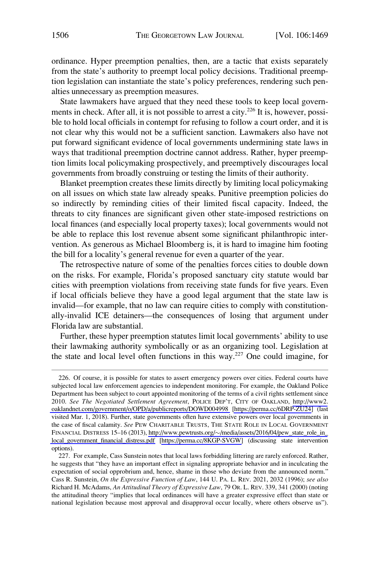ordinance. Hyper preemption penalties, then, are a tactic that exists separately from the state's authority to preempt local policy decisions. Traditional preemption legislation can instantiate the state's policy preferences, rendering such penalties unnecessary as preemption measures.

State lawmakers have argued that they need these tools to keep local governments in check. After all, it is not possible to arrest a city.<sup>226</sup> It is, however, possible to hold local officials in contempt for refusing to follow a court order, and it is not clear why this would not be a sufficient sanction. Lawmakers also have not put forward significant evidence of local governments undermining state laws in ways that traditional preemption doctrine cannot address. Rather, hyper preemption limits local policymaking prospectively, and preemptively discourages local governments from broadly construing or testing the limits of their authority.

Blanket preemption creates these limits directly by limiting local policymaking on all issues on which state law already speaks. Punitive preemption policies do so indirectly by reminding cities of their limited fiscal capacity. Indeed, the threats to city finances are significant given other state-imposed restrictions on local finances (and especially local property taxes); local governments would not be able to replace this lost revenue absent some significant philanthropic intervention. As generous as Michael Bloomberg is, it is hard to imagine him footing the bill for a locality's general revenue for even a quarter of the year.

The retrospective nature of some of the penalties forces cities to double down on the risks. For example, Florida's proposed sanctuary city statute would bar cities with preemption violations from receiving state funds for five years. Even if local officials believe they have a good legal argument that the state law is invalid—for example, that no law can require cities to comply with constitutionally-invalid ICE detainers—the consequences of losing that argument under Florida law are substantial.

Further, these hyper preemption statutes limit local governments' ability to use their lawmaking authority symbolically or as an organizing tool. Legislation at the state and local level often functions in this way.227 One could imagine, for

<sup>226.</sup> Of course, it is possible for states to assert emergency powers over cities. Federal courts have subjected local law enforcement agencies to independent monitoring. For example, the Oakland Police Department has been subject to court appointed monitoring of the terms of a civil rights settlement since 2010. *See The Negotiated Settlement Agreement*, POLICE DEP'T, CITY OF OAKLAND, [http://www2.](http://www2.oaklandnet.com/government/o/OPD/a/publicreports/DOWD004998) [oaklandnet.com/government/o/OPD/a/publicreports/DOWD004998](http://www2.oaklandnet.com/government/o/OPD/a/publicreports/DOWD004998) [\[https://perma.cc/6DRP-ZU24](https://perma.cc/6DRP-ZU24)] (last visited Mar. 1, 2018). Further, state governments often have extensive powers over local governments in the case of fiscal calamity. *See* PEW CHARITABLE TRUSTS, THE STATE ROLE IN LOCAL GOVERNMENT FINANCIAL DISTRESS 15–16 (2013), http://www.pewtrusts.org/~[/media/assets/2016/04/pew\\_state\\_role\\_in\\_](http://www.pewtrusts.org/~/media/assets/2016/04/pew_state_role_in_local_government_financial_distress.pdf) [local\\_government\\_financial\\_distress.pdf](http://www.pewtrusts.org/~/media/assets/2016/04/pew_state_role_in_local_government_financial_distress.pdf) [\[https://perma.cc/8KGP-SVGW\]](https://perma.cc/8KGP-SVGW) (discussing state intervention options).

<sup>227.</sup> For example, Cass Sunstein notes that local laws forbidding littering are rarely enforced. Rather, he suggests that "they have an important effect in signaling appropriate behavior and in inculcating the expectation of social opprobrium and, hence, shame in those who deviate from the announced norm." Cass R. Sunstein, *On the Expressive Function of Law*, 144 U. PA. L. REV. 2021, 2032 (1996); *see also*  Richard H. McAdams, *An Attitudinal Theory of Expressive Law*, 79 OR. L. REV. 339, 341 (2000) (noting the attitudinal theory "implies that local ordinances will have a greater expressive effect than state or national legislation because most approval and disapproval occur locally, where others observe us").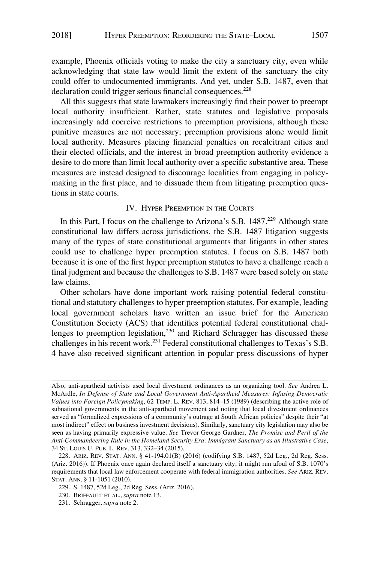<span id="page-38-0"></span>example, Phoenix officials voting to make the city a sanctuary city, even while acknowledging that state law would limit the extent of the sanctuary the city could offer to undocumented immigrants. And yet, under S.B. 1487, even that declaration could trigger serious financial consequences.<sup>228</sup>

All this suggests that state lawmakers increasingly find their power to preempt local authority insufficient. Rather, state statutes and legislative proposals increasingly add coercive restrictions to preemption provisions, although these punitive measures are not necessary; preemption provisions alone would limit local authority. Measures placing financial penalties on recalcitrant cities and their elected officials, and the interest in broad preemption authority evidence a desire to do more than limit local authority over a specific substantive area. These measures are instead designed to discourage localities from engaging in policymaking in the first place, and to dissuade them from litigating preemption questions in state courts.

# IV. HYPER PREEMPTION IN THE COURTS

In this Part, I focus on the challenge to Arizona's S.B.  $1487<sup>229</sup>$  Although state constitutional law differs across jurisdictions, the S.B. 1487 litigation suggests many of the types of state constitutional arguments that litigants in other states could use to challenge hyper preemption statutes. I focus on S.B. 1487 both because it is one of the first hyper preemption statutes to have a challenge reach a final judgment and because the challenges to S.B. 1487 were based solely on state law claims.

Other scholars have done important work raising potential federal constitutional and statutory challenges to hyper preemption statutes. For example, leading local government scholars have written an issue brief for the American Constitution Society (ACS) that identifies potential federal constitutional challenges to preemption legislation,<sup>230</sup> and Richard Schragger has discussed these challenges in his recent work.231 Federal constitutional challenges to Texas's S.B. 4 have also received significant attention in popular press discussions of hyper

Also, anti-apartheid activists used local divestment ordinances as an organizing tool. *See* Andrea L. McArdle, *In Defense of State and Local Government Anti-Apartheid Measures: Infusing Democratic Values into Foreign Policymaking*, 62 TEMP. L. REV. 813, 814–15 (1989) (describing the active role of subnational governments in the anti-apartheid movement and noting that local divestment ordinances served as "formalized expressions of a community's outrage at South African policies" despite their "at most indirect" effect on business investment decisions). Similarly, sanctuary city legislation may also be seen as having primarily expressive value. *See* Trevor George Gardner, *The Promise and Peril of the Anti-Commandeering Rule in the Homeland Security Era: Immigrant Sanctuary as an Illustrative Case*, 34 ST. LOUIS U. PUB. L. REV. 313, 332–34 (2015).

<sup>228.</sup> ARIZ. REV. STAT. ANN. § 41-194.01(B) (2016) (codifying S.B. 1487, 52d Leg., 2d Reg. Sess. (Ariz. 2016)). If Phoenix once again declared itself a sanctuary city, it might run afoul of S.B. 1070's requirements that local law enforcement cooperate with federal immigration authorities. *See* ARIZ. REV. STAT. ANN. § 11-1051 (2010).

<sup>229.</sup> S. 1487, 52d Leg., 2d Reg. Sess. (Ariz. 2016).

<sup>230.</sup> BRIFFAULT ET AL., *supra* note 13.

<sup>231.</sup> Schragger, *supra* note 2.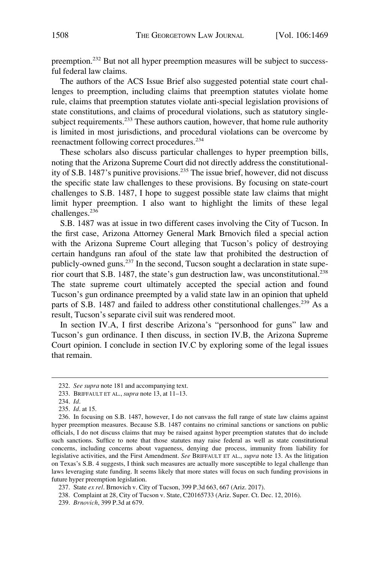preemption.232 But not all hyper preemption measures will be subject to successful federal law claims.

The authors of the ACS Issue Brief also suggested potential state court challenges to preemption, including claims that preemption statutes violate home rule, claims that preemption statutes violate anti-special legislation provisions of state constitutions, and claims of procedural violations, such as statutory singlesubject requirements.<sup>233</sup> These authors caution, however, that home rule authority is limited in most jurisdictions, and procedural violations can be overcome by reenactment following correct procedures.<sup>234</sup>

These scholars also discuss particular challenges to hyper preemption bills, noting that the Arizona Supreme Court did not directly address the constitutionality of S.B. 1487's punitive provisions.235 The issue brief, however, did not discuss the specific state law challenges to these provisions. By focusing on state-court challenges to S.B. 1487, I hope to suggest possible state law claims that might limit hyper preemption. I also want to highlight the limits of these legal challenges.<sup>236</sup>

S.B. 1487 was at issue in two different cases involving the City of Tucson. In the first case, Arizona Attorney General Mark Brnovich filed a special action with the Arizona Supreme Court alleging that Tucson's policy of destroying certain handguns ran afoul of the state law that prohibited the destruction of publicly-owned guns.<sup>237</sup> In the second, Tucson sought a declaration in state superior court that S.B. 1487, the state's gun destruction law, was unconstitutional.<sup>238</sup> The state supreme court ultimately accepted the special action and found Tucson's gun ordinance preempted by a valid state law in an opinion that upheld parts of S.B. 1487 and failed to address other constitutional challenges.<sup>239</sup> As a result, Tucson's separate civil suit was rendered moot.

In section IV.A, I first describe Arizona's "personhood for guns" law and Tucson's gun ordinance. I then discuss, in section IV.B, the Arizona Supreme Court opinion. I conclude in section IV.C by exploring some of the legal issues that remain.

<sup>232.</sup> *See supra* note 181 and accompanying text.

<sup>233.</sup> BRIFFAULT ET AL., *supra* note 13, at 11–13.

<sup>234.</sup> *Id*.

<sup>235.</sup> *Id*. at 15.

<sup>236.</sup> In focusing on S.B. 1487, however, I do not canvass the full range of state law claims against hyper preemption measures. Because S.B. 1487 contains no criminal sanctions or sanctions on public officials, I do not discuss claims that may be raised against hyper preemption statutes that do include such sanctions. Suffice to note that those statutes may raise federal as well as state constitutional concerns, including concerns about vagueness, denying due process, immunity from liability for legislative activities, and the First Amendment. *See* BRIFFAULT ET AL., *supra* note 13. As the litigation on Texas's S.B. 4 suggests, I think such measures are actually more susceptible to legal challenge than laws leveraging state funding. It seems likely that more states will focus on such funding provisions in future hyper preemption legislation.

<sup>237.</sup> State *ex rel*. Brnovich v. City of Tucson, 399 P.3d 663, 667 (Ariz. 2017).

<sup>238.</sup> Complaint at 28, City of Tucson v. State, C20165733 (Ariz. Super. Ct. Dec. 12, 2016).

<sup>239.</sup> *Brnovich*, 399 P.3d at 679.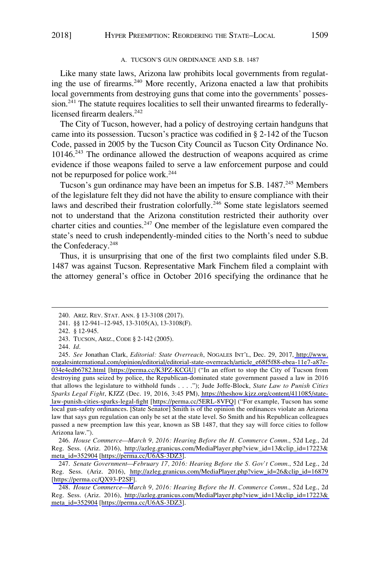### A. TUCSON'S GUN ORDINANCE AND S.B. 1487

<span id="page-40-0"></span>Like many state laws, Arizona law prohibits local governments from regulating the use of firearms.<sup>240</sup> More recently, Arizona enacted a law that prohibits local governments from destroying guns that come into the governments' possession.<sup>241</sup> The statute requires localities to sell their unwanted firearms to federallylicensed firearm dealers.<sup>242</sup>

The City of Tucson, however, had a policy of destroying certain handguns that came into its possession. Tucson's practice was codified in § 2-142 of the Tucson Code, passed in 2005 by the Tucson City Council as Tucson City Ordinance No. 10146.243 The ordinance allowed the destruction of weapons acquired as crime evidence if those weapons failed to serve a law enforcement purpose and could not be repurposed for police work.<sup>244</sup>

Tucson's gun ordinance may have been an impetus for S.B. 1487.<sup>245</sup> Members of the legislature felt they did not have the ability to ensure compliance with their laws and described their frustration colorfully.<sup>246</sup> Some state legislators seemed not to understand that the Arizona constitution restricted their authority over charter cities and counties.<sup>247</sup> One member of the legislature even compared the state's need to crush independently-minded cities to the North's need to subdue the Confederacy.248

Thus, it is unsurprising that one of the first two complaints filed under S.B. 1487 was against Tucson. Representative Mark Finchem filed a complaint with the attorney general's office in October 2016 specifying the ordinance that he

*House Commerce—March 9, 2016: Hearing Before the H. Commerce Comm*., 52d Leg., 2d 246. Reg. Sess. (Ariz. 2016), [http://azleg.granicus.com/MediaPlayer.php?view\\_id=13&clip\\_id=17223&](http://azleg.granicus.com/MediaPlayer.php?view_id=13&clip_id=17223&meta_id=352904) [meta\\_id=352904](http://azleg.granicus.com/MediaPlayer.php?view_id=13&clip_id=17223&meta_id=352904) [\[https://perma.cc/U6AS-3DZ3\]](https://perma.cc/U6AS-3DZ3).

*Senate Government—February 17, 2016: Hearing Before the S. Gov't Comm*., 52d Leg., 2d 247. Reg. Sess. (Ariz. 2016), [http://azleg.granicus.com/MediaPlayer.php?view\\_id=26&clip\\_id=16879](http://azleg.granicus.com/MediaPlayer.php?view_id=26&clip_id=16879)  [\[https://perma.cc/QX93-P2SF\]](https://perma.cc/QX93-P2SF).

*House Commerce—March 9, 2016: Hearing Before the H. Commerce Comm*., 52d Leg., 2d 248. Reg. Sess. (Ariz. 2016), [http://azleg.granicus.com/MediaPlayer.php?view\\_id=13&clip\\_id=17223&](http://azleg.granicus.com/MediaPlayer.php?view_id=13&clip_id=17223&meta_id=352904)  [meta\\_id=352904](http://azleg.granicus.com/MediaPlayer.php?view_id=13&clip_id=17223&meta_id=352904) [[https://perma.cc/U6AS-3DZ3\]](https://perma.cc/U6AS-3DZ3).

<sup>240.</sup> ARIZ. REV. STAT. ANN. § 13-3108 (2017).

<sup>241. §§ 12-941–12-945, 13-3105(</sup>A), 13-3108(F).

<sup>242. § 12-945.</sup> 

<sup>243.</sup> TUCSON, ARIZ., CODE § 2-142 (2005).

<sup>244.</sup> *Id*.

*See* Jonathan Clark, *Editorial: State Overreach*, NOGALES INT'L, Dec. 29, 2017, [http://www.](http://www.nogalesinternational.com/opinion/editorial/editorial-state-overreach/article_e68f5f88-ebea-11e7-a87e-034e4edb6782.html)  245. [nogalesinternational.com/opinion/editorial/editorial-state-overreach/article\\_e68f5f88-ebea-11e7-a87e-](http://www.nogalesinternational.com/opinion/editorial/editorial-state-overreach/article_e68f5f88-ebea-11e7-a87e-034e4edb6782.html)[034e4edb6782.html](http://www.nogalesinternational.com/opinion/editorial/editorial-state-overreach/article_e68f5f88-ebea-11e7-a87e-034e4edb6782.html) [[https://perma.cc/K3PZ-KCGU\]](https://perma.cc/K3PZ-KCGU) ("In an effort to stop the City of Tucson from destroying guns seized by police, the Republican-dominated state government passed a law in 2016 that allows the legislature to withhold funds . . . ."); Jude Joffe-Block, *State Law to Punish Cities Sparks Legal Fight*, KJZZ (Dec. 19, 2016, 3:45 PM), [https://theshow.kjzz.org/content/411085/state](https://theshow.kjzz.org/content/411085/state-law-punish-cities-sparks-legal-fight)[law-punish-cities-sparks-legal-fight](https://theshow.kjzz.org/content/411085/state-law-punish-cities-sparks-legal-fight) [<https://perma.cc/5ERL-8VFQ>] ("For example, Tucson has some local gun-safety ordinances. [State Senator] Smith is of the opinion the ordinances violate an Arizona law that says gun regulation can only be set at the state level. So Smith and his Republican colleagues passed a new preemption law this year, known as SB 1487, that they say will force cities to follow Arizona law.").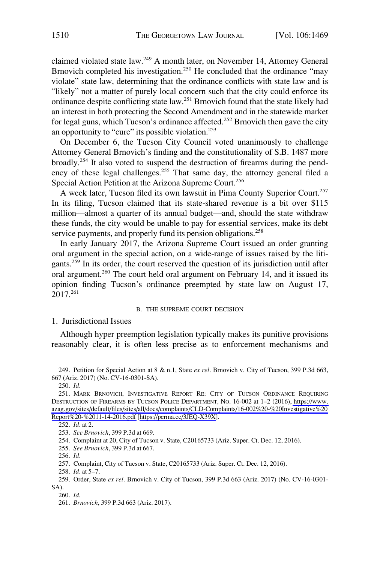<span id="page-41-0"></span>claimed violated state law.249 A month later, on November 14, Attorney General Brnovich completed his investigation.<sup>250</sup> He concluded that the ordinance "may violate" state law, determining that the ordinance conflicts with state law and is "likely" not a matter of purely local concern such that the city could enforce its ordinance despite conflicting state law.251 Brnovich found that the state likely had an interest in both protecting the Second Amendment and in the statewide market for legal guns, which Tucson's ordinance affected.<sup>252</sup> Brnovich then gave the city an opportunity to "cure" its possible violation.<sup>253</sup>

On December 6, the Tucson City Council voted unanimously to challenge Attorney General Brnovich's finding and the constitutionality of S.B. 1487 more broadly.254 It also voted to suspend the destruction of firearms during the pendency of these legal challenges.<sup>255</sup> That same day, the attorney general filed a Special Action Petition at the Arizona Supreme Court.<sup>256</sup>

A week later, Tucson filed its own lawsuit in Pima County Superior Court.<sup>257</sup> In its filing, Tucson claimed that its state-shared revenue is a bit over \$115 million—almost a quarter of its annual budget—and, should the state withdraw these funds, the city would be unable to pay for essential services, make its debt service payments, and properly fund its pension obligations.<sup>258</sup>

In early January 2017, the Arizona Supreme Court issued an order granting oral argument in the special action, on a wide-range of issues raised by the litigants.259 In its order, the court reserved the question of its jurisdiction until after oral argument.<sup>260</sup> The court held oral argument on February 14, and it issued its opinion finding Tucson's ordinance preempted by state law on August 17, 2017.261

#### B. THE SUPREME COURT DECISION

1. Jurisdictional Issues

Although hyper preemption legislation typically makes its punitive provisions reasonably clear, it is often less precise as to enforcement mechanisms and

255. *See Brnovich*, 399 P.3d at 667.

<sup>249.</sup> Petition for Special Action at 8 & n.1, State *ex rel*. Brnovich v. City of Tucson, 399 P.3d 663, 667 (Ariz. 2017) (No. CV-16-0301-SA).

<sup>250.</sup> *Id*.

<sup>251.</sup> MARK BRNOVICH, INVESTIGATIVE REPORT RE: CITY OF TUCSON ORDINANCE REQUIRING DESTRUCTION OF FIREARMS BY TUCSON POLICE DEPARTMENT, NO. 16-002 at 1–2 (2016), [https://www.](https://www.azag.gov/sites/default/files/sites/all/docs/complaints/CLD-Complaints/16-002%20-%20Investigative%20Report%20-%2011-14-2016.pdf)  [azag.gov/sites/default/files/sites/all/docs/complaints/CLD-Complaints/16-002%20-%20Investigative%20](https://www.azag.gov/sites/default/files/sites/all/docs/complaints/CLD-Complaints/16-002%20-%20Investigative%20Report%20-%2011-14-2016.pdf)  [Report%20-%2011-14-2016.pdf](https://www.azag.gov/sites/default/files/sites/all/docs/complaints/CLD-Complaints/16-002%20-%20Investigative%20Report%20-%2011-14-2016.pdf) [[https://perma.cc/3JEQ-X39X\]](https://perma.cc/3JEQ-X39X).

<sup>252.</sup> *Id*. at 2.

<sup>253.</sup> *See Brnovich*, 399 P.3d at 669.

<sup>254.</sup> Complaint at 20, City of Tucson v. State, C20165733 (Ariz. Super. Ct. Dec. 12, 2016).

<sup>256.</sup> *Id*.

<sup>257.</sup> Complaint, City of Tucson v. State, C20165733 (Ariz. Super. Ct. Dec. 12, 2016).

<sup>258.</sup> *Id*. at 5–7.

<sup>259.</sup> Order, State *ex rel*. Brnovich v. City of Tucson, 399 P.3d 663 (Ariz. 2017) (No. CV-16-0301- SA).

<sup>260.</sup> *Id*.

<sup>261.</sup> *Brnovich*, 399 P.3d 663 (Ariz. 2017).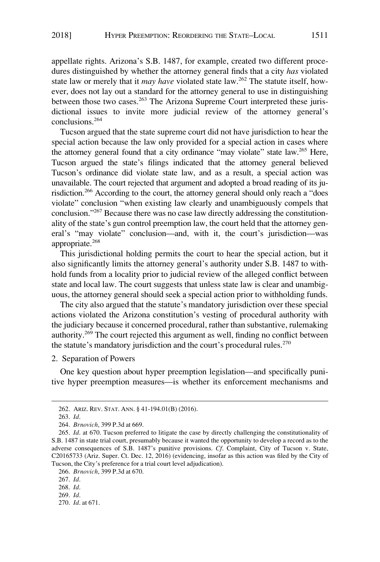<span id="page-42-0"></span>appellate rights. Arizona's S.B. 1487, for example, created two different procedures distinguished by whether the attorney general finds that a city *has* violated state law or merely that it *may have* violated state law.262 The statute itself, however, does not lay out a standard for the attorney general to use in distinguishing between those two cases.<sup>263</sup> The Arizona Supreme Court interpreted these jurisdictional issues to invite more judicial review of the attorney general's conclusions.<sup>264</sup>

Tucson argued that the state supreme court did not have jurisdiction to hear the special action because the law only provided for a special action in cases where the attorney general found that a city ordinance "may violate" state law.<sup>265</sup> Here, Tucson argued the state's filings indicated that the attorney general believed Tucson's ordinance did violate state law, and as a result, a special action was unavailable. The court rejected that argument and adopted a broad reading of its jurisdiction.266 According to the court, the attorney general should only reach a "does violate" conclusion "when existing law clearly and unambiguously compels that conclusion."267 Because there was no case law directly addressing the constitutionality of the state's gun control preemption law, the court held that the attorney general's "may violate" conclusion—and, with it, the court's jurisdiction—was appropriate.<sup>268</sup>

This jurisdictional holding permits the court to hear the special action, but it also significantly limits the attorney general's authority under S.B. 1487 to withhold funds from a locality prior to judicial review of the alleged conflict between state and local law. The court suggests that unless state law is clear and unambiguous, the attorney general should seek a special action prior to withholding funds.

The city also argued that the statute's mandatory jurisdiction over these special actions violated the Arizona constitution's vesting of procedural authority with the judiciary because it concerned procedural, rather than substantive, rulemaking authority.269 The court rejected this argument as well, finding no conflict between the statute's mandatory jurisdiction and the court's procedural rules.<sup>270</sup>

### 2. Separation of Powers

One key question about hyper preemption legislation—and specifically punitive hyper preemption measures—is whether its enforcement mechanisms and

<sup>262.</sup> ARIZ. REV. STAT. ANN. § 41-194.01(B) (2016).

<sup>263.</sup> *Id*.

<sup>264.</sup> *Brnovich*, 399 P.3d at 669.

<sup>265.</sup> *Id*. at 670. Tucson preferred to litigate the case by directly challenging the constitutionality of S.B. 1487 in state trial court, presumably because it wanted the opportunity to develop a record as to the adverse consequences of S.B. 1487's punitive provisions. *Cf*. Complaint, City of Tucson v. State, C20165733 (Ariz. Super. Ct. Dec. 12, 2016) (evidencing, insofar as this action was filed by the City of Tucson, the City's preference for a trial court level adjudication).

<sup>266.</sup> *Brnovich*, 399 P.3d at 670.

<sup>267.</sup> *Id*.

<sup>268.</sup> *Id*.

<sup>269.</sup> *Id*.

<sup>270.</sup> *Id*. at 671.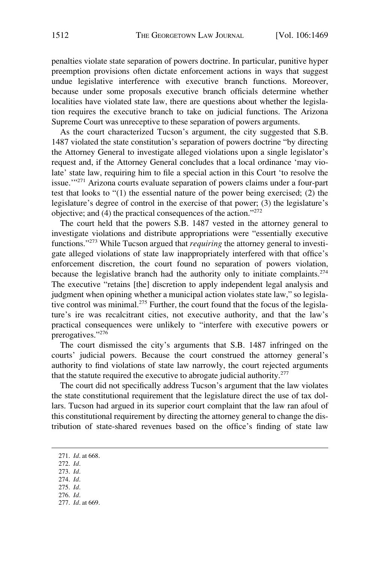penalties violate state separation of powers doctrine. In particular, punitive hyper preemption provisions often dictate enforcement actions in ways that suggest undue legislative interference with executive branch functions. Moreover, because under some proposals executive branch officials determine whether localities have violated state law, there are questions about whether the legislation requires the executive branch to take on judicial functions. The Arizona Supreme Court was unreceptive to these separation of powers arguments.

As the court characterized Tucson's argument, the city suggested that S.B. 1487 violated the state constitution's separation of powers doctrine "by directing the Attorney General to investigate alleged violations upon a single legislator's request and, if the Attorney General concludes that a local ordinance 'may violate' state law, requiring him to file a special action in this Court 'to resolve the issue.'"271 Arizona courts evaluate separation of powers claims under a four-part test that looks to "(1) the essential nature of the power being exercised; (2) the legislature's degree of control in the exercise of that power; (3) the legislature's objective; and (4) the practical consequences of the action."<sup>272</sup>

The court held that the powers S.B. 1487 vested in the attorney general to investigate violations and distribute appropriations were "essentially executive functions."273 While Tucson argued that *requiring* the attorney general to investigate alleged violations of state law inappropriately interfered with that office's enforcement discretion, the court found no separation of powers violation, because the legislative branch had the authority only to initiate complaints.<sup>274</sup> The executive "retains [the] discretion to apply independent legal analysis and judgment when opining whether a municipal action violates state law," so legislative control was minimal.<sup>275</sup> Further, the court found that the focus of the legislature's ire was recalcitrant cities, not executive authority, and that the law's practical consequences were unlikely to "interfere with executive powers or prerogatives."276

The court dismissed the city's arguments that S.B. 1487 infringed on the courts' judicial powers. Because the court construed the attorney general's authority to find violations of state law narrowly, the court rejected arguments that the statute required the executive to abrogate judicial authority.<sup>277</sup>

The court did not specifically address Tucson's argument that the law violates the state constitutional requirement that the legislature direct the use of tax dollars. Tucson had argued in its superior court complaint that the law ran afoul of this constitutional requirement by directing the attorney general to change the distribution of state-shared revenues based on the office's finding of state law

- 276. *Id*.
- 277. *Id*. at 669.

<sup>271.</sup> *Id*. at 668.

<sup>272.</sup> *Id*.

<sup>273.</sup> *Id*.

<sup>274.</sup> *Id*. 275. *Id*.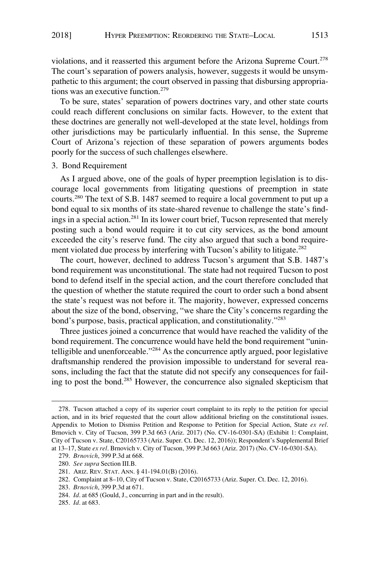<span id="page-44-0"></span>violations, and it reasserted this argument before the Arizona Supreme Court.<sup>278</sup> The court's separation of powers analysis, however, suggests it would be unsympathetic to this argument; the court observed in passing that disbursing appropriations was an executive function.<sup>279</sup>

To be sure, states' separation of powers doctrines vary, and other state courts could reach different conclusions on similar facts. However, to the extent that these doctrines are generally not well-developed at the state level, holdings from other jurisdictions may be particularly influential. In this sense, the Supreme Court of Arizona's rejection of these separation of powers arguments bodes poorly for the success of such challenges elsewhere.

# 3. Bond Requirement

As I argued above, one of the goals of hyper preemption legislation is to discourage local governments from litigating questions of preemption in state courts.280 The text of S.B. 1487 seemed to require a local government to put up a bond equal to six months of its state-shared revenue to challenge the state's findings in a special action.281 In its lower court brief, Tucson represented that merely posting such a bond would require it to cut city services, as the bond amount exceeded the city's reserve fund. The city also argued that such a bond requirement violated due process by interfering with Tucson's ability to litigate.<sup>282</sup>

The court, however, declined to address Tucson's argument that S.B. 1487's bond requirement was unconstitutional. The state had not required Tucson to post bond to defend itself in the special action, and the court therefore concluded that the question of whether the statute required the court to order such a bond absent the state's request was not before it. The majority, however, expressed concerns about the size of the bond, observing, "we share the City's concerns regarding the bond's purpose, basis, practical application, and constitutionality."<sup>283</sup>

Three justices joined a concurrence that would have reached the validity of the bond requirement. The concurrence would have held the bond requirement "unintelligible and unenforceable."284 As the concurrence aptly argued, poor legislative draftsmanship rendered the provision impossible to understand for several reasons, including the fact that the statute did not specify any consequences for failing to post the bond.285 However, the concurrence also signaled skepticism that

283. *Brnovich*, 399 P.3d at 671.

<sup>278.</sup> Tucson attached a copy of its superior court complaint to its reply to the petition for special action, and in its brief requested that the court allow additional briefing on the constitutional issues. Appendix to Motion to Dismiss Petition and Response to Petition for Special Action, State *ex rel*. Brnovich v. City of Tucson, 399 P.3d 663 (Ariz. 2017) (No. CV-16-0301-SA) (Exhibit 1: Complaint, City of Tucson v. State, C20165733 (Ariz. Super. Ct. Dec. 12, 2016)); Respondent's Supplemental Brief at 13–17, State *ex rel*. Brnovich v. City of Tucson, 399 P.3d 663 (Ariz. 2017) (No. CV-16-0301-SA).

<sup>279.</sup> *Brnovich*, 399 P.3d at 668.

<sup>280.</sup> *See supra* Section III.B.

<sup>281.</sup> ARIZ. REV. STAT. ANN. § 41-194.01(B) (2016).

<sup>282.</sup> Complaint at 8–10, City of Tucson v. State, C20165733 (Ariz. Super. Ct. Dec. 12, 2016).

<sup>284.</sup> *Id*. at 685 (Gould, J., concurring in part and in the result).

<sup>285.</sup> *Id*. at 683.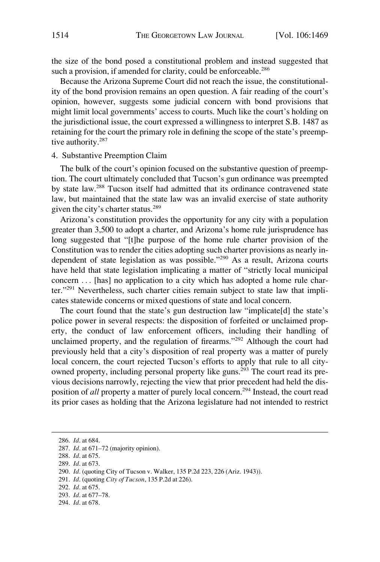<span id="page-45-0"></span>the size of the bond posed a constitutional problem and instead suggested that such a provision, if amended for clarity, could be enforceable.<sup>286</sup>

Because the Arizona Supreme Court did not reach the issue, the constitutionality of the bond provision remains an open question. A fair reading of the court's opinion, however, suggests some judicial concern with bond provisions that might limit local governments' access to courts. Much like the court's holding on the jurisdictional issue, the court expressed a willingness to interpret S.B. 1487 as retaining for the court the primary role in defining the scope of the state's preemptive authority.<sup>287</sup>

### 4. Substantive Preemption Claim

The bulk of the court's opinion focused on the substantive question of preemption. The court ultimately concluded that Tucson's gun ordinance was preempted by state law.288 Tucson itself had admitted that its ordinance contravened state law, but maintained that the state law was an invalid exercise of state authority given the city's charter status.<sup>289</sup>

Arizona's constitution provides the opportunity for any city with a population greater than 3,500 to adopt a charter, and Arizona's home rule jurisprudence has long suggested that "[t]he purpose of the home rule charter provision of the Constitution was to render the cities adopting such charter provisions as nearly independent of state legislation as was possible."290 As a result, Arizona courts have held that state legislation implicating a matter of "strictly local municipal concern . . . [has] no application to a city which has adopted a home rule charter."291 Nevertheless, such charter cities remain subject to state law that implicates statewide concerns or mixed questions of state and local concern.

The court found that the state's gun destruction law "implicate[d] the state's police power in several respects: the disposition of forfeited or unclaimed property, the conduct of law enforcement officers, including their handling of unclaimed property, and the regulation of firearms."292 Although the court had previously held that a city's disposition of real property was a matter of purely local concern, the court rejected Tucson's efforts to apply that rule to all cityowned property, including personal property like guns.<sup>293</sup> The court read its previous decisions narrowly, rejecting the view that prior precedent had held the disposition of *all* property a matter of purely local concern.<sup>294</sup> Instead, the court read its prior cases as holding that the Arizona legislature had not intended to restrict

<sup>286.</sup> *Id*. at 684.

<sup>287.</sup> *Id*. at 671–72 (majority opinion).

<sup>288.</sup> *Id*. at 675.

<sup>289.</sup> *Id*. at 673.

<sup>290.</sup> *Id*. (quoting City of Tucson v. Walker, 135 P.2d 223, 226 (Ariz. 1943)).

<sup>291.</sup> *Id*. (quoting *City of Tucson*, 135 P.2d at 226).

<sup>292.</sup> *Id*. at 675.

<sup>293.</sup> *Id*. at 677–78.

<sup>294.</sup> *Id*. at 678.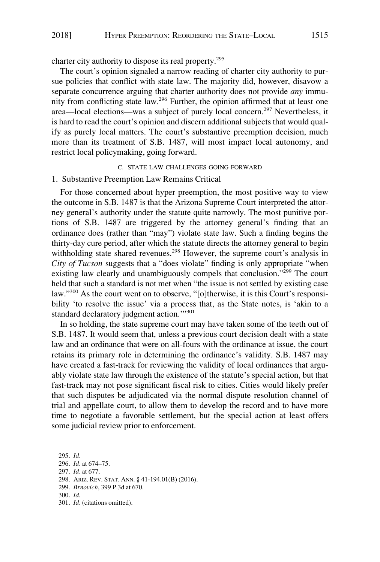<span id="page-46-0"></span>charter city authority to dispose its real property.295

The court's opinion signaled a narrow reading of charter city authority to pursue policies that conflict with state law. The majority did, however, disavow a separate concurrence arguing that charter authority does not provide *any* immunity from conflicting state law.296 Further, the opinion affirmed that at least one area—local elections—was a subject of purely local concern.297 Nevertheless, it is hard to read the court's opinion and discern additional subjects that would qualify as purely local matters. The court's substantive preemption decision, much more than its treatment of S.B. 1487, will most impact local autonomy, and restrict local policymaking, going forward.

#### C. STATE LAW CHALLENGES GOING FORWARD

### 1. Substantive Preemption Law Remains Critical

For those concerned about hyper preemption, the most positive way to view the outcome in S.B. 1487 is that the Arizona Supreme Court interpreted the attorney general's authority under the statute quite narrowly. The most punitive portions of S.B. 1487 are triggered by the attorney general's finding that an ordinance does (rather than "may") violate state law. Such a finding begins the thirty-day cure period, after which the statute directs the attorney general to begin withholding state shared revenues.<sup>298</sup> However, the supreme court's analysis in *City of Tucson* suggests that a "does violate" finding is only appropriate "when existing law clearly and unambiguously compels that conclusion."<sup>299</sup> The court held that such a standard is not met when "the issue is not settled by existing case law."300 As the court went on to observe, "[o]therwise, it is this Court's responsibility 'to resolve the issue' via a process that, as the State notes, is 'akin to a standard declaratory judgment action."301

In so holding, the state supreme court may have taken some of the teeth out of S.B. 1487. It would seem that, unless a previous court decision dealt with a state law and an ordinance that were on all-fours with the ordinance at issue, the court retains its primary role in determining the ordinance's validity. S.B. 1487 may have created a fast-track for reviewing the validity of local ordinances that arguably violate state law through the existence of the statute's special action, but that fast-track may not pose significant fiscal risk to cities. Cities would likely prefer that such disputes be adjudicated via the normal dispute resolution channel of trial and appellate court, to allow them to develop the record and to have more time to negotiate a favorable settlement, but the special action at least offers some judicial review prior to enforcement.

<sup>295.</sup> *Id*.

<sup>296.</sup> *Id*. at 674–75.

<sup>297.</sup> *Id*. at 677.

<sup>298.</sup> ARIZ. REV. STAT. ANN. § 41-194.01(B) (2016).

<sup>299.</sup> *Brnovich*, 399 P.3d at 670.

<sup>300.</sup> *Id*.

<sup>301.</sup> *Id*. (citations omitted).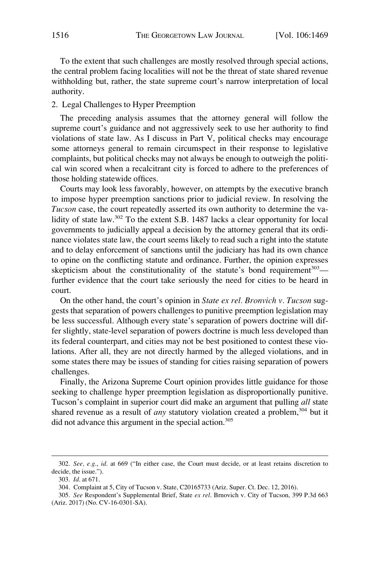<span id="page-47-0"></span>To the extent that such challenges are mostly resolved through special actions, the central problem facing localities will not be the threat of state shared revenue withholding but, rather, the state supreme court's narrow interpretation of local authority.

### 2. Legal Challenges to Hyper Preemption

The preceding analysis assumes that the attorney general will follow the supreme court's guidance and not aggressively seek to use her authority to find violations of state law. As I discuss in Part V, political checks may encourage some attorneys general to remain circumspect in their response to legislative complaints, but political checks may not always be enough to outweigh the political win scored when a recalcitrant city is forced to adhere to the preferences of those holding statewide offices.

Courts may look less favorably, however, on attempts by the executive branch to impose hyper preemption sanctions prior to judicial review. In resolving the *Tucson* case, the court repeatedly asserted its own authority to determine the validity of state law.302 To the extent S.B. 1487 lacks a clear opportunity for local governments to judicially appeal a decision by the attorney general that its ordinance violates state law, the court seems likely to read such a right into the statute and to delay enforcement of sanctions until the judiciary has had its own chance to opine on the conflicting statute and ordinance. Further, the opinion expresses skepticism about the constitutionality of the statute's bond requirement $303$  further evidence that the court take seriously the need for cities to be heard in court.

On the other hand, the court's opinion in *State ex rel. Bronvich v. Tucson* suggests that separation of powers challenges to punitive preemption legislation may be less successful. Although every state's separation of powers doctrine will differ slightly, state-level separation of powers doctrine is much less developed than its federal counterpart, and cities may not be best positioned to contest these violations. After all, they are not directly harmed by the alleged violations, and in some states there may be issues of standing for cities raising separation of powers challenges.

Finally, the Arizona Supreme Court opinion provides little guidance for those seeking to challenge hyper preemption legislation as disproportionally punitive. Tucson's complaint in superior court did make an argument that pulling *all* state shared revenue as a result of *any* statutory violation created a problem,<sup>304</sup> but it did not advance this argument in the special action.<sup>305</sup>

<sup>302.</sup> *See, e.g*., *id*. at 669 ("In either case, the Court must decide, or at least retains discretion to decide, the issue.").

<sup>303.</sup> *Id*. at 671.

<sup>304.</sup> Complaint at 5, City of Tucson v. State, C20165733 (Ariz. Super. Ct. Dec. 12, 2016).

<sup>305.</sup> *See* Respondent's Supplemental Brief, State *ex rel*. Brnovich v. City of Tucson, 399 P.3d 663 (Ariz. 2017) (No. CV-16-0301-SA).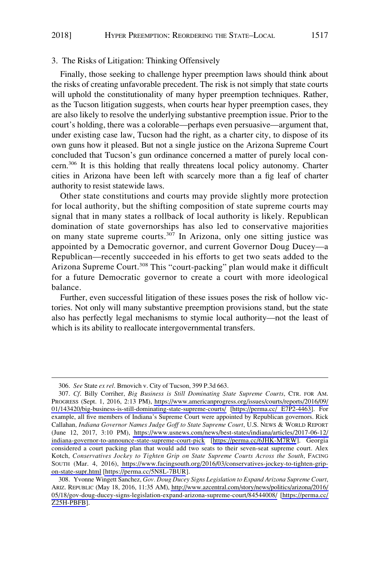## <span id="page-48-0"></span>3. The Risks of Litigation: Thinking Offensively

Finally, those seeking to challenge hyper preemption laws should think about the risks of creating unfavorable precedent. The risk is not simply that state courts will uphold the constitutionality of many hyper preemption techniques. Rather, as the Tucson litigation suggests, when courts hear hyper preemption cases, they are also likely to resolve the underlying substantive preemption issue. Prior to the court's holding, there was a colorable—perhaps even persuasive—argument that, under existing case law, Tucson had the right, as a charter city, to dispose of its own guns how it pleased. But not a single justice on the Arizona Supreme Court concluded that Tucson's gun ordinance concerned a matter of purely local concern.306 It is this holding that really threatens local policy autonomy. Charter cities in Arizona have been left with scarcely more than a fig leaf of charter authority to resist statewide laws.

Other state constitutions and courts may provide slightly more protection for local authority, but the shifting composition of state supreme courts may signal that in many states a rollback of local authority is likely. Republican domination of state governorships has also led to conservative majorities on many state supreme courts.<sup>307</sup> In Arizona, only one sitting justice was appointed by a Democratic governor, and current Governor Doug Ducey—a Republican—recently succeeded in his efforts to get two seats added to the Arizona Supreme Court.<sup>308</sup> This "court-packing" plan would make it difficult for a future Democratic governor to create a court with more ideological balance.

Further, even successful litigation of these issues poses the risk of hollow victories. Not only will many substantive preemption provisions stand, but the state also has perfectly legal mechanisms to stymie local authority—not the least of which is its ability to reallocate intergovernmental transfers.

<sup>306.</sup> *See* State *ex rel*. Brnovich v. City of Tucson, 399 P.3d 663.

*Cf*. Billy Corriher, *Big Business is Still Dominating State Supreme Courts*, CTR. FOR AM. 307. PROGRESS (Sept. 1, 2016, 2:13 PM), [https://www.americanprogress.org/issues/courts/reports/2016/09/](https://www.americanprogress.org/issues/courts/reports/2016/09/01/143420/big-business-is-still-dominating-state-supreme-courts/)  [01/143420/big-business-is-still-dominating-state-supreme-courts/](https://www.americanprogress.org/issues/courts/reports/2016/09/01/143420/big-business-is-still-dominating-state-supreme-courts/) [\[https://perma.cc/ E7P2-4463](https://perma.cc/E7P2-4463)]. For example, all five members of Indiana's Supreme Court were appointed by Republican governors. Rick Callahan*, Indiana Governor Names Judge Goff to State Supreme Court*, U.S. NEWS & WORLD REPORT (June 12, 2017, 3:10 PM), [https://www.usnews.com/news/best-states/indiana/articles/2017-06-12/](https://www.usnews.com/news/best-states/indiana/articles/2017-06-12/indiana-governor-to-announce-state-supreme-court-pick)  [indiana-governor-to-announce-state-supreme-court-pick](https://www.usnews.com/news/best-states/indiana/articles/2017-06-12/indiana-governor-to-announce-state-supreme-court-pick) [\[https://perma.cc/6JHK-M7RW](https://perma.cc/6JHK-M7RW)]. Georgia considered a court packing plan that would add two seats to their seven-seat supreme court. Alex Kotch, *Conservatives Jockey to Tighten Grip on State Supreme Courts Across the South*, FACING SOUTH (Mar. 4, 2016), [https://www.facingsouth.org/2016/03/conservatives-jockey-to-tighten-grip](https://www.facingsouth.org/2016/03/conservatives-jockey-to-tighten-grip-on-state-supr.html)[on-state-supr.html](https://www.facingsouth.org/2016/03/conservatives-jockey-to-tighten-grip-on-state-supr.html) [\[https://perma.cc/5N8L-7BUR](https://perma.cc/5N8L-7BUR)].

<sup>308.</sup> Yvonne Wingett Sanchez, Gov. Doug Ducey Signs Legislation to Expand Arizona Supreme Court, ARIZ. REPUBLIC (May 18, 2016, 11:35 AM), [http://www.azcentral.com/story/news/politics/arizona/2016/](http://www.azcentral.com/story/news/politics/arizona/2016/05/18/gov-doug-ducey-signs-legislation-expand-arizona-supreme-court/84544008/)  [05/18/gov-doug-ducey-signs-legislation-expand-arizona-supreme-court/84544008/](http://www.azcentral.com/story/news/politics/arizona/2016/05/18/gov-doug-ducey-signs-legislation-expand-arizona-supreme-court/84544008/) [\[https://perma.cc/](https://perma.cc/Z25H-PBFB) [Z25H-PBFB](https://perma.cc/Z25H-PBFB)].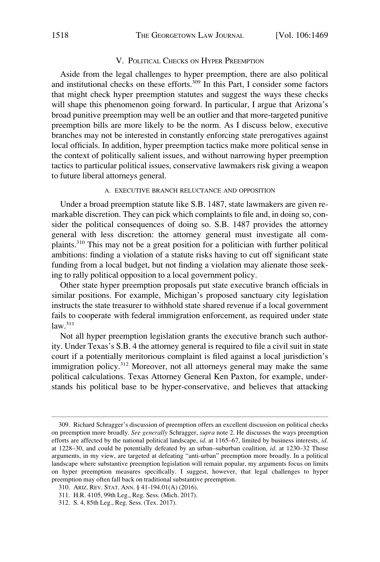### V. POLITICAL CHECKS ON HYPER PREEMPTION

<span id="page-49-0"></span>Aside from the legal challenges to hyper preemption, there are also political and institutional checks on these efforts.<sup>309</sup> In this Part, I consider some factors that might check hyper preemption statutes and suggest the ways these checks will shape this phenomenon going forward. In particular, I argue that Arizona's broad punitive preemption may well be an outlier and that more-targeted punitive preemption bills are more likely to be the norm. As I discuss below, executive branches may not be interested in constantly enforcing state prerogatives against local officials. In addition, hyper preemption tactics make more political sense in the context of politically salient issues, and without narrowing hyper preemption tactics to particular political issues, conservative lawmakers risk giving a weapon to future liberal attorneys general.

### A. EXECUTIVE BRANCH RELUCTANCE AND OPPOSITION

Under a broad preemption statute like S.B. 1487, state lawmakers are given remarkable discretion. They can pick which complaints to file and, in doing so, consider the political consequences of doing so. S.B. 1487 provides the attorney general with less discretion: the attorney general must investigate all complaints.310 This may not be a great position for a politician with further political ambitions: finding a violation of a statute risks having to cut off significant state funding from a local budget, but not finding a violation may alienate those seeking to rally political opposition to a local government policy.

Other state hyper preemption proposals put state executive branch officials in similar positions. For example, Michigan's proposed sanctuary city legislation instructs the state treasurer to withhold state shared revenue if a local government fails to cooperate with federal immigration enforcement, as required under state  $law<sup>311</sup>$ 

Not all hyper preemption legislation grants the executive branch such authority. Under Texas's S.B. 4 the attorney general is required to file a civil suit in state court if a potentially meritorious complaint is filed against a local jurisdiction's immigration policy.312 Moreover, not all attorneys general may make the same political calculations. Texas Attorney General Ken Paxton, for example, understands his political base to be hyper-conservative, and believes that attacking

<sup>309.</sup> Richard Schragger's discussion of preemption offers an excellent discussion on political checks on preemption more broadly. *See generally* Schragger, *supra* note 2. He discusses the ways preemption efforts are affected by the national political landscape, *id*. at 1165–67, limited by business interests, *id*. at 1228–30, and could be potentially defeated by an urban–suburban coalition*, id*. at 1230–32 Those arguments, in my view, are targeted at defeating "anti-urban" preemption more broadly. In a political landscape where substantive preemption legislation will remain popular, my arguments focus on limits on hyper preemption measures specifically. I suggest, however, that legal challenges to hyper preemption may often fall back on traditional substantive preemption.

<sup>310.</sup> ARIZ. REV. STAT. ANN. § 41-194.01(A) (2016).

<sup>311.</sup> H.R. 4105, 99th Leg., Reg. Sess. (Mich. 2017).

<sup>312.</sup> S. 4, 85th Leg., Reg. Sess. (Tex. 2017).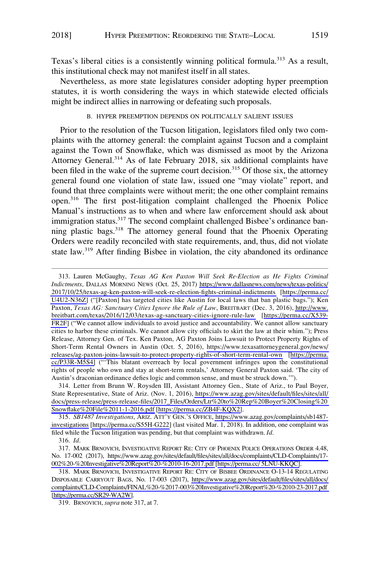<span id="page-50-0"></span>Texas's liberal cities is a consistently winning political formula.<sup>313</sup> As a result, this institutional check may not manifest itself in all states.

Nevertheless, as more state legislatures consider adopting hyper preemption statutes, it is worth considering the ways in which statewide elected officials might be indirect allies in narrowing or defeating such proposals.

# B. HYPER PREEMPTION DEPENDS ON POLITICALLY SALIENT ISSUES

Prior to the resolution of the Tucson litigation, legislators filed only two complaints with the attorney general: the complaint against Tucson and a complaint against the Town of Snowflake, which was dismissed as moot by the Arizona Attorney General.<sup>314</sup> As of late February 2018, six additional complaints have been filed in the wake of the supreme court decision.<sup>315</sup> Of those six, the attorney general found one violation of state law, issued one "may violate" report, and found that three complaints were without merit; the one other complaint remains open.316 The first post-litigation complaint challenged the Phoenix Police Manual's instructions as to when and where law enforcement should ask about immigration status.<sup>317</sup> The second complaint challenged Bisbee's ordinance banning plastic bags.<sup>318</sup> The attorney general found that the Phoenix Operating Orders were readily reconciled with state requirements, and, thus, did not violate state law.319 After finding Bisbee in violation, the city abandoned its ordinance

*SB1487 Investigations*, ARIZ. ATT'Y GEN.'S OFFICE, [https://www.azag.gov/complaints/sb1487-](https://www.azag.gov/complaints/sb1487-investigations)  315. [investigations](https://www.azag.gov/complaints/sb1487-investigations) [\[https://perma.cc/S55H-G222\]](https://perma.cc/S55H-G222) (last visited Mar. 1, 2018). In addition, one complaint was filed while the Tucson litigation was pending, but that complaint was withdrawn. *Id*.

<sup>313.</sup> Lauren McGaughy, Texas AG Ken Paxton Will Seek Re-Election as He Fights Criminal *Indictments*, DALLAS MORNING NEWS (Oct. 25, 2017) [https://www.dallasnews.com/news/texas-politics/](https://www.dallasnews.com/news/texas-politics/2017/10/25/texas-ag-ken-paxton-will-seek-re-election-fights-criminal-indictments) [2017/10/25/texas-ag-ken-paxton-will-seek-re-election-fights-criminal-indictments](https://www.dallasnews.com/news/texas-politics/2017/10/25/texas-ag-ken-paxton-will-seek-re-election-fights-criminal-indictments) [\[https://perma.cc/](https://perma.cc/U4U2-N36Z)  [U4U2-N36Z\]](https://perma.cc/U4U2-N36Z) ("[Paxton] has targeted cities like Austin for local laws that ban plastic bags."); Ken Paxton, *Texas AG: Sanctuary Cities Ignore the Rule of Law*, BREITBART (Dec. 3, 2016), [http://www.](http://www.breitbart.com/texas/2016/12/03/texas-ag-sanctuary-cities-ignore-rule-law) [breitbart.com/texas/2016/12/03/texas-ag-sanctuary-cities-ignore-rule-law](http://www.breitbart.com/texas/2016/12/03/texas-ag-sanctuary-cities-ignore-rule-law) [[https://perma.cc/X539-](https://perma.cc/X539-FR2F) [FR2F\]](https://perma.cc/X539-FR2F) ("We cannot allow individuals to avoid justice and accountability. We cannot allow sanctuary cities to harbor these criminals. We cannot allow city officials to skirt the law at their whim."); Press Release, Attorney Gen. of Tex. Ken Paxton, AG Paxton Joins Lawsuit to Protect Property Rights of Short-Term Rental Owners in Austin (Oct. 5, 2016), [https://www.texasattorneygeneral.gov/news/](https://www.texasattorneygeneral.gov/news/releases/ag-paxton-joins-lawsuit-to-protect-property-rights-of-short-term-rental-own)  [releases/ag-paxton-joins-lawsuit-to-protect-property-rights-of-short-term-rental-own](https://www.texasattorneygeneral.gov/news/releases/ag-paxton-joins-lawsuit-to-protect-property-rights-of-short-term-rental-own) [\[https://perma.](https://perma.cc/P33R-M5S4) [cc/P33R-M5S4\]](https://perma.cc/P33R-M5S4) ("'This blatant overreach by local government infringes upon the constitutional rights of people who own and stay at short-term rentals,' Attorney General Paxton said. 'The city of Austin's draconian ordinance defies logic and common sense, and must be struck down.'").

<sup>314.</sup> Letter from Brunn W. Roysden III, Assistant Attorney Gen., State of Ariz., to Paul Boyer, State Representative, State of Ariz. (Nov. 1, 2016), [https://www.azag.gov/sites/default/files/sites/all/](https://www.azag.gov/sites/default/files/sites/all/docs/press-release/press-release-files/2017_Files/Orders/Ltr%20to%20Rep%20Boyer%20Closing%20Snowflake%20File%2011-1-2016.pdf)  [docs/press-release/press-release-files/2017\\_Files/Orders/Ltr%20to%20Rep%20Boyer%20Closing%20](https://www.azag.gov/sites/default/files/sites/all/docs/press-release/press-release-files/2017_Files/Orders/Ltr%20to%20Rep%20Boyer%20Closing%20Snowflake%20File%2011-1-2016.pdf)  [Snowflake%20File%2011-1-2016.pdf](https://www.azag.gov/sites/default/files/sites/all/docs/press-release/press-release-files/2017_Files/Orders/Ltr%20to%20Rep%20Boyer%20Closing%20Snowflake%20File%2011-1-2016.pdf) [\[https://perma.cc/ZB4F-KQX2\]](https://perma.cc/ZB4F-KQX2).

<sup>316.</sup> *Id*.

MARK BRNOVICH, INVESTIGATIVE REPORT RE: CITY OF PHOENIX POLICE OPERATIONS ORDER 4.48, 317. No. 17-002 (2017), [https://www.azag.gov/sites/default/files/sites/all/docs/complaints/CLD-Complaints/17-](https://www.azag.gov/sites/default/files/sites/all/docs/complaints/CLD-Complaints/17-002%20-%20Investigative%20Report%20-%2010-16-2017.pdf)  [002%20-%20Investigative%20Report%20-%2010-16-2017.pdf](https://www.azag.gov/sites/default/files/sites/all/docs/complaints/CLD-Complaints/17-002%20-%20Investigative%20Report%20-%2010-16-2017.pdf) [\[https://perma.cc/ 5LNU-KKQC\]](https://perma.cc/5LNU-KKQC).

<sup>318.</sup> MARK BRNOVICH, INVESTIGATIVE REPORT RE: CITY OF BISBEE ORDINANCE O-13-14 REGULATING DISPOSABLE CARRYOUT BAGS, No. 17-003 (2017), [https://www.azag.gov/sites/default/files/sites/all/docs/](https://www.azag.gov/sites/default/files/sites/all/docs/complaints/CLD-Complaints/FINAL%20-%2017-003%20Investigative%20Report%20-%2010-23-2017.pdf)  [complaints/CLD-Complaints/FINAL%20-%2017-003%20Investigative%20Report%20-%2010-23-2017.pdf](https://www.azag.gov/sites/default/files/sites/all/docs/complaints/CLD-Complaints/FINAL%20-%2017-003%20Investigative%20Report%20-%2010-23-2017.pdf)  [\[https://perma.cc/SR29-WA2W](https://perma.cc/SR29-WA2W)].

<sup>319.</sup> BRNOVICH, *supra* note 317, at 7.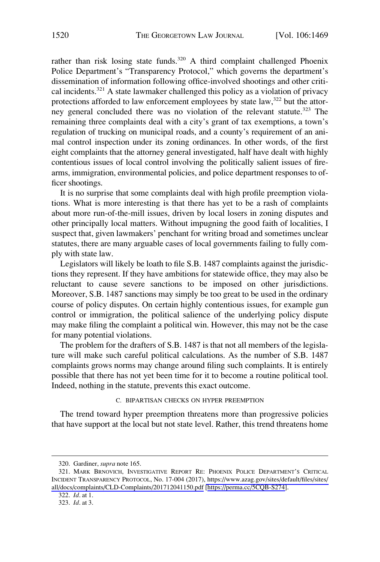<span id="page-51-0"></span>rather than risk losing state funds.<sup>320</sup> A third complaint challenged Phoenix Police Department's "Transparency Protocol," which governs the department's dissemination of information following office-involved shootings and other critical incidents.<sup>321</sup> A state lawmaker challenged this policy as a violation of privacy protections afforded to law enforcement employees by state law,<sup>322</sup> but the attorney general concluded there was no violation of the relevant statute.<sup>323</sup> The remaining three complaints deal with a city's grant of tax exemptions, a town's regulation of trucking on municipal roads, and a county's requirement of an animal control inspection under its zoning ordinances. In other words, of the first eight complaints that the attorney general investigated, half have dealt with highly contentious issues of local control involving the politically salient issues of firearms, immigration, environmental policies, and police department responses to officer shootings.

It is no surprise that some complaints deal with high profile preemption violations. What is more interesting is that there has yet to be a rash of complaints about more run-of-the-mill issues, driven by local losers in zoning disputes and other principally local matters. Without impugning the good faith of localities, I suspect that, given lawmakers' penchant for writing broad and sometimes unclear statutes, there are many arguable cases of local governments failing to fully comply with state law.

Legislators will likely be loath to file S.B. 1487 complaints against the jurisdictions they represent. If they have ambitions for statewide office, they may also be reluctant to cause severe sanctions to be imposed on other jurisdictions. Moreover, S.B. 1487 sanctions may simply be too great to be used in the ordinary course of policy disputes. On certain highly contentious issues, for example gun control or immigration, the political salience of the underlying policy dispute may make filing the complaint a political win. However, this may not be the case for many potential violations.

The problem for the drafters of S.B. 1487 is that not all members of the legislature will make such careful political calculations. As the number of S.B. 1487 complaints grows norms may change around filing such complaints. It is entirely possible that there has not yet been time for it to become a routine political tool. Indeed, nothing in the statute, prevents this exact outcome.

C. BIPARTISAN CHECKS ON HYPER PREEMPTION

The trend toward hyper preemption threatens more than progressive policies that have support at the local but not state level. Rather, this trend threatens home

<sup>320.</sup> Gardiner, *supra* note 165.

<sup>321.</sup> MARK BRNOVICH, INVESTIGATIVE REPORT RE: PHOENIX POLICE DEPARTMENT'S CRITICAL INCIDENT TRANSPARENCY PROTOCOL, No. 17-004 (2017), [https://www.azag.gov/sites/default/files/sites/](https://www.azag.gov/sites/default/files/sites/all/docs/complaints/CLD-Complaints/201712041150.pdf)  [all/docs/complaints/CLD-Complaints/201712041150.pdf](https://www.azag.gov/sites/default/files/sites/all/docs/complaints/CLD-Complaints/201712041150.pdf) [\[https://perma.cc/5CQB-S274\]](https://perma.cc/5CQB-S274).

<sup>322.</sup> *Id*. at 1.

<sup>323.</sup> *Id*. at 3.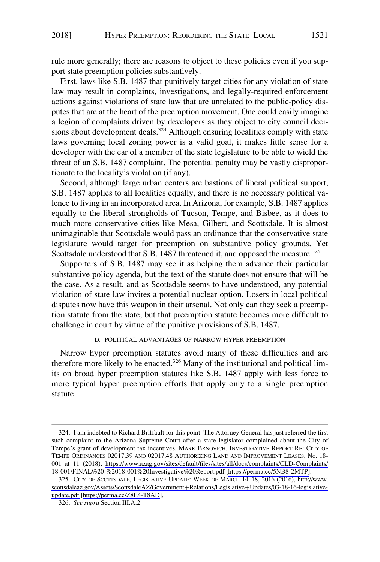<span id="page-52-0"></span>rule more generally; there are reasons to object to these policies even if you support state preemption policies substantively.

First, laws like S.B. 1487 that punitively target cities for any violation of state law may result in complaints, investigations, and legally-required enforcement actions against violations of state law that are unrelated to the public-policy disputes that are at the heart of the preemption movement. One could easily imagine a legion of complaints driven by developers as they object to city council decisions about development deals.<sup>324</sup> Although ensuring localities comply with state laws governing local zoning power is a valid goal, it makes little sense for a developer with the ear of a member of the state legislature to be able to wield the threat of an S.B. 1487 complaint. The potential penalty may be vastly disproportionate to the locality's violation (if any).

Second, although large urban centers are bastions of liberal political support, S.B. 1487 applies to all localities equally, and there is no necessary political valence to living in an incorporated area. In Arizona, for example, S.B. 1487 applies equally to the liberal strongholds of Tucson, Tempe, and Bisbee, as it does to much more conservative cities like Mesa, Gilbert, and Scottsdale. It is almost unimaginable that Scottsdale would pass an ordinance that the conservative state legislature would target for preemption on substantive policy grounds. Yet Scottsdale understood that S.B. 1487 threatened it, and opposed the measure.<sup>325</sup>

Supporters of S.B. 1487 may see it as helping them advance their particular substantive policy agenda, but the text of the statute does not ensure that will be the case. As a result, and as Scottsdale seems to have understood, any potential violation of state law invites a potential nuclear option. Losers in local political disputes now have this weapon in their arsenal. Not only can they seek a preemption statute from the state, but that preemption statute becomes more difficult to challenge in court by virtue of the punitive provisions of S.B. 1487.

#### D. POLITICAL ADVANTAGES OF NARROW HYPER PREEMPTION

Narrow hyper preemption statutes avoid many of these difficulties and are therefore more likely to be enacted.<sup>326</sup> Many of the institutional and political limits on broad hyper preemption statutes like S.B. 1487 apply with less force to more typical hyper preemption efforts that apply only to a single preemption statute.

<sup>324.</sup> I am indebted to Richard Briffault for this point. The Attorney General has just referred the first such complaint to the Arizona Supreme Court after a state legislator complained about the City of Tempe's grant of development tax incentives. MARK BRNOVICH, INVESTIGATIVE REPORT RE: CITY OF TEMPE ORDINANCES 02017.39 AND 02017.48 AUTHORIZING LAND AND IMPROVEMENT LEASES, No. 18- 001 at 11 (2018), [https://www.azag.gov/sites/default/files/sites/all/docs/complaints/CLD-Complaints/](https://www.azag.gov/sites/default/files/sites/all/docs/complaints/CLD-Complaints/18-001/FINAL%20-%2018-001%20Investigative%20Report.pdf)  [18-001/FINAL%20-%2018-001%20Investigative%20Report.pdf](https://www.azag.gov/sites/default/files/sites/all/docs/complaints/CLD-Complaints/18-001/FINAL%20-%2018-001%20Investigative%20Report.pdf) [\[https://perma.cc/5NB8-2MTP\]](https://perma.cc/5NB8-2MTP).

<sup>325.</sup> CITY OF SCOTTSDALE, LEGISLATIVE UPDATE: WEEK OF MARCH 14–18, 2016 (2016), http://www. [scottsdaleaz.gov/Assets/ScottsdaleAZ/Government](http://www.scottsdaleaz.gov/Assets/ScottsdaleAZ/Government+Relations/Legislative+Updates/03-18-16-legislative-update.pdf)+Relations/Legislative+Updates/03-18-16-legislative[update.pdf](http://www.scottsdaleaz.gov/Assets/ScottsdaleAZ/Government+Relations/Legislative+Updates/03-18-16-legislative-update.pdf) [\[https://perma.cc/Z8E4-T8AD\]](https://perma.cc/Z8E4-T8AD).

<sup>326.</sup> *See supra* Section III.A.2.